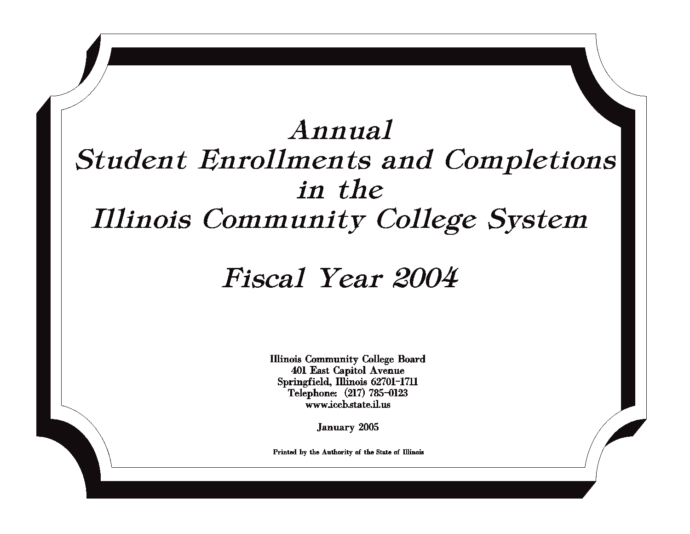# Annual **Student Enrollments and Completions** in the **Illinois Community College System**

# Fiscal Year 2004

**Illinois Community College Board 401 East Capitol Avenue** Springfield, Illinois 62701-1711 Telephone: (217) 785-0123 www.iccb.state.il.us

**January 2005** 

Printed by the Authority of the State of Illinois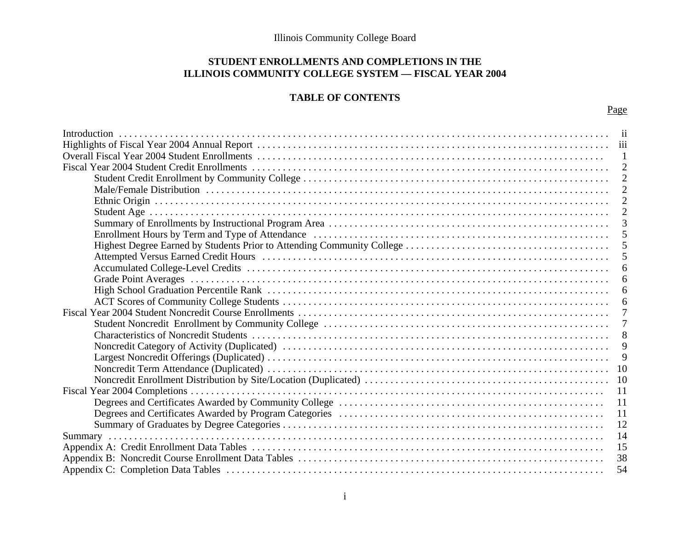## **STUDENT ENROLLMENTS AND COMPLETIONS IN THE ILLINOIS COMMUNITY COLLEGE SYSTEM — FISCAL YEAR 2004**

## **TABLE OF CONTENTS**

| $\mathbf{1}$   |
|----------------|
|                |
|                |
|                |
|                |
| 2              |
| 2              |
| 2              |
|                |
|                |
| -5             |
| -5             |
| -5             |
| 6              |
| 6              |
| -6             |
| 6              |
| 7              |
| $\overline{7}$ |
| 8              |
| 9              |
| 9              |
|                |
|                |
| 11             |
| <sup>11</sup>  |
| 11             |
| 12             |
| 14             |
| 15             |
| 38             |
| 54             |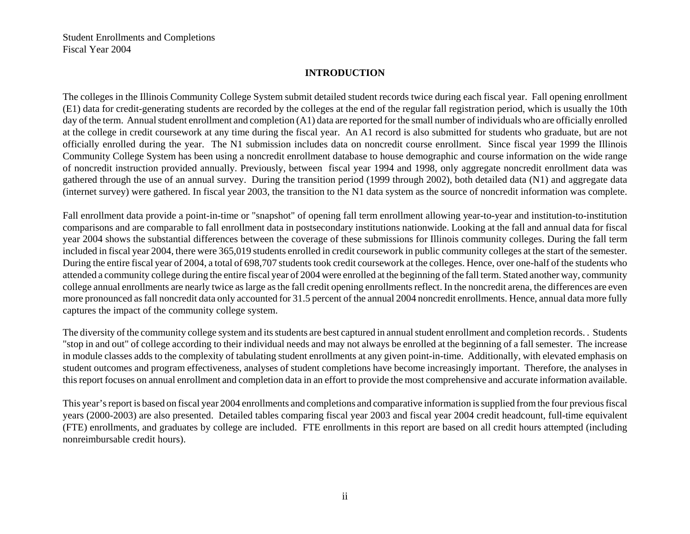Student Enrollments and Completions Fiscal Year 2004

#### **INTRODUCTION**

The colleges in the Illinois Community College System submit detailed student records twice during each fiscal year. Fall opening enrollment (E1) data for credit-generating students are recorded by the colleges at the end of the regular fall registration period, which is usually the 10th day of the term. Annual student enrollment and completion (A1) data are reported for the small number of individuals who are officially enrolled at the college in credit coursework at any time during the fiscal year. An A1 record is also submitted for students who graduate, but are not officially enrolled during the year. The N1 submission includes data on noncredit course enrollment. Since fiscal year 1999 the Illinois Community College System has been using a noncredit enrollment database to house demographic and course information on the wide range of noncredit instruction provided annually. Previously, between fiscal year 1994 and 1998, only aggregate noncredit enrollment data was gathered through the use of an annual survey. During the transition period (1999 through 2002), both detailed data (N1) and aggregate data (internet survey) were gathered. In fiscal year 2003, the transition to the N1 data system as the source of noncredit information was complete.

Fall enrollment data provide a point-in-time or "snapshot" of opening fall term enrollment allowing year-to-year and institution-to-institution comparisons and are comparable to fall enrollment data in postsecondary institutions nationwide. Looking at the fall and annual data for fiscal year 2004 shows the substantial differences between the coverage of these submissions for Illinois community colleges. During the fall term included in fiscal year 2004, there were 365,019 students enrolled in credit coursework in public community colleges at the start of the semester. During the entire fiscal year of 2004, a total of 698,707 students took credit coursework at the colleges. Hence, over one-half of the students who attended a community college during the entire fiscal year of 2004 were enrolled at the beginning of the fall term. Stated another way, community college annual enrollments are nearly twice as large as the fall credit opening enrollments reflect. In the noncredit arena, the differences are even more pronounced as fall noncredit data only accounted for 31.5 percent of the annual 2004 noncredit enrollments. Hence, annual data more fully captures the impact of the community college system.

The diversity of the community college system and its students are best captured in annual student enrollment and completion records. . Students "stop in and out" of college according to their individual needs and may not always be enrolled at the beginning of a fall semester. The increase in module classes adds to the complexity of tabulating student enrollments at any given point-in-time. Additionally, with elevated emphasis on student outcomes and program effectiveness, analyses of student completions have become increasingly important. Therefore, the analyses in this report focuses on annual enrollment and completion data in an effort to provide the most comprehensive and accurate information available.

This year's report is based on fiscal year 2004 enrollments and completions and comparative information is supplied from the four previous fiscal years (2000-2003) are also presented. Detailed tables comparing fiscal year 2003 and fiscal year 2004 credit headcount, full-time equivalent (FTE) enrollments, and graduates by college are included. FTE enrollments in this report are based on all credit hours attempted (including nonreimbursable credit hours).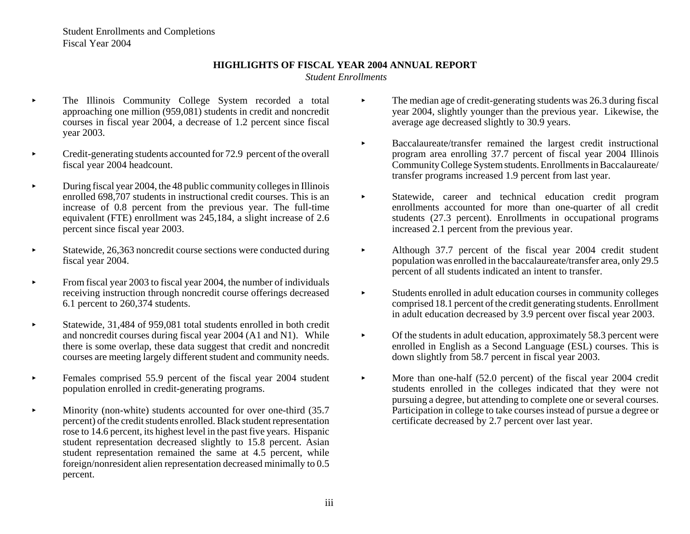Student Enrollments and Completions Fiscal Year 2004

#### **HIGHLIGHTS OF FISCAL YEAR 2004 ANNUAL REPORT**

 *Student Enrollments*

- $\blacktriangleright$  The Illinois Community College System recorded a total approaching one million (959,081) students in credit and noncredit courses in fiscal year 2004, a decrease of 1.2 percent since fiscal year 2003.
- $\blacktriangleright$  Credit-generating students accounted for 72.9 percent of the overall fiscal year 2004 headcount.
- $\blacktriangleright$  During fiscal year 2004, the 48 public community colleges in Illinois enrolled 698,707 students in instructional credit courses. This is an increase of 0.8 percent from the previous year. The full-time equivalent (FTE) enrollment was 245,184, a slight increase of 2.6 percent since fiscal year 2003.
- $\blacktriangleright$  Statewide, 26,363 noncredit course sections were conducted during fiscal year 2004.
- $\blacktriangleright$  From fiscal year 2003 to fiscal year 2004, the number of individuals receiving instruction through noncredit course offerings decreased 6.1 percent to 260,374 students.
- $\blacktriangleright$  Statewide, 31,484 of 959,081 total students enrolled in both credit and noncredit courses during fiscal year 2004 (A1 and N1). While there is some overlap, these data suggest that credit and noncredit courses are meeting largely different student and community needs.
- $\blacktriangleright$  Females comprised 55.9 percent of the fiscal year 2004 student population enrolled in credit-generating programs.
- $\blacktriangleright$  Minority (non-white) students accounted for over one-third (35.7 percent) of the credit students enrolled. Black student representation rose to 14.6 percent, its highest level in the past five years. Hispanic student representation decreased slightly to 15.8 percent. Asian student representation remained the same at 4.5 percent, while foreign/nonresident alien representation decreased minimally to 0.5 percent.
- $\blacktriangleright$  The median age of credit-generating students was 26.3 during fiscal year 2004, slightly younger than the previous year. Likewise, the average age decreased slightly to 30.9 years.
- $\blacktriangleright$  Baccalaureate/transfer remained the largest credit instructional program area enrolling 37.7 percent of fiscal year 2004 Illinois Community College System students. Enrollments in Baccalaureate/ transfer programs increased 1.9 percent from last year.
- $\blacktriangleright$  Statewide, career and technical education credit program enrollments accounted for more than one-quarter of all credit students (27.3 percent). Enrollments in occupational programs increased 2.1 percent from the previous year.
- $\blacktriangleright$  Although 37.7 percent of the fiscal year 2004 credit student population was enrolled in the baccalaureate/transfer area, only 29.5 percent of all students indicated an intent to transfer.
- $\blacktriangleright$  Students enrolled in adult education courses in community colleges comprised 18.1 percent of the credit generating students. Enrollment in adult education decreased by 3.9 percent over fiscal year 2003.
- $\blacktriangleright$  Of the students in adult education, approximately 58.3 percent were enrolled in English as a Second Language (ESL) courses. This is down slightly from 58.7 percent in fiscal year 2003.
- $\blacktriangleright$  More than one-half (52.0 percent) of the fiscal year 2004 credit students enrolled in the colleges indicated that they were not pursuing a degree, but attending to complete one or several courses. Participation in college to take courses instead of pursue a degree or certificate decreased by 2.7 percent over last year.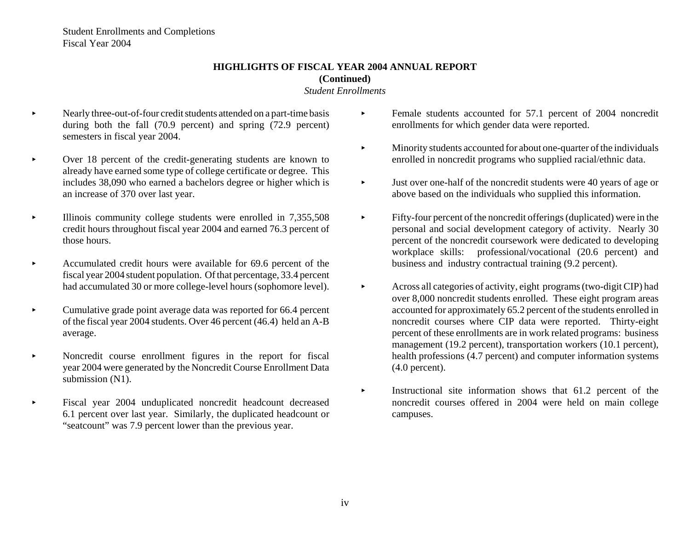Student Enrollments and Completions Fiscal Year 2004

# **HIGHLIGHTS OF FISCAL YEAR 2004 ANNUAL REPORT(Continued)**

#### *Student Enrollments*

- $\blacktriangleright$  Nearly three-out-of-four credit students attended on a part-time basis during both the fall (70.9 percent) and spring (72.9 percent) semesters in fiscal year 2004.
- $\blacktriangleright$  Over 18 percent of the credit-generating students are known to already have earned some type of college certificate or degree. This includes 38,090 who earned a bachelors degree or higher which is an increase of 370 over last year.
- $\blacktriangleright$  Illinois community college students were enrolled in 7,355,508 credit hours throughout fiscal year 2004 and earned 76.3 percent of those hours.
- $\blacktriangleright$  Accumulated credit hours were available for 69.6 percent of the fiscal year 2004 student population. Of that percentage, 33.4 percent had accumulated 30 or more college-level hours (sophomore level).
- $\blacktriangleright$  Cumulative grade point average data was reported for 66.4 percent of the fiscal year 2004 students. Over 46 percent (46.4) held an A-B average.
- $\blacktriangleright$  Noncredit course enrollment figures in the report for fiscal year 2004 were generated by the Noncredit Course Enrollment Data submission (N1).
- $\blacktriangleright$  Fiscal year 2004 unduplicated noncredit headcount decreased 6.1 percent over last year. Similarly, the duplicated headcount or "seatcount" was 7.9 percent lower than the previous year.
- $\blacktriangleright$  Female students accounted for 57.1 percent of 2004 noncredit enrollments for which gender data were reported.
- $\blacktriangleright$  Minority students accounted for about one-quarter of the individuals enrolled in noncredit programs who supplied racial/ethnic data.
- $\blacktriangleright$  Just over one-half of the noncredit students were 40 years of age or above based on the individuals who supplied this information.
- $\blacktriangleright$  Fifty-four percent of the noncredit offerings (duplicated) were in the personal and social development category of activity. Nearly 30 percent of the noncredit coursework were dedicated to developing workplace skills: professional/vocational (20.6 percent) and business and industry contractual training (9.2 percent).
- $\blacktriangleright$  Across all categories of activity, eight programs (two-digit CIP) had over 8,000 noncredit students enrolled. These eight program areas accounted for approximately 65.2 percent of the students enrolled in noncredit courses where CIP data were reported. Thirty-eight percent of these enrollments are in work related programs: business management (19.2 percent), transportation workers (10.1 percent), health professions (4.7 percent) and computer information systems (4.0 percent).
- $\blacktriangleright$  Instructional site information shows that 61.2 percent of the noncredit courses offered in 2004 were held on main college campuses.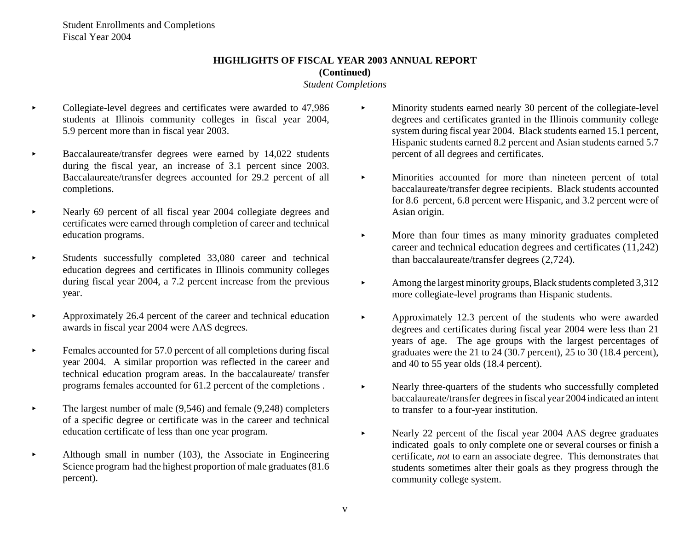# **HIGHLIGHTS OF FISCAL YEAR 2003 ANNUAL REPORT(Continued)**

#### *Student Completions*

- $\blacktriangleright$  Collegiate-level degrees and certificates were awarded to 47,986 students at Illinois community colleges in fiscal year 2004, 5.9 percent more than in fiscal year 2003.
- $\blacktriangleright$  Baccalaureate/transfer degrees were earned by 14,022 students during the fiscal year, an increase of 3.1 percent since 2003. Baccalaureate/transfer degrees accounted for 29.2 percent of all completions.
- $\blacktriangleright$  Nearly 69 percent of all fiscal year 2004 collegiate degrees and certificates were earned through completion of career and technical education programs.
- $\blacktriangleright$  Students successfully completed 33,080 career and technical education degrees and certificates in Illinois community colleges during fiscal year 2004, a 7.2 percent increase from the previous year.
- $\blacktriangleright$  Approximately 26.4 percent of the career and technical education awards in fiscal year 2004 were AAS degrees.
- $\blacktriangleright$  Females accounted for 57.0 percent of all completions during fiscal year 2004. A similar proportion was reflected in the career and technical education program areas. In the baccalaureate/ transfer programs females accounted for 61.2 percent of the completions .
- $\blacktriangleright$  The largest number of male (9,546) and female (9,248) completers of a specific degree or certificate was in the career and technical education certificate of less than one year program.
- $\blacktriangleright$  Although small in number (103), the Associate in Engineering Science program had the highest proportion of male graduates (81.6 percent).
- $\blacktriangleright$  Minority students earned nearly 30 percent of the collegiate-level degrees and certificates granted in the Illinois community college system during fiscal year 2004. Black students earned 15.1 percent, Hispanic students earned 8.2 percent and Asian students earned 5.7 percent of all degrees and certificates.
- $\blacktriangleright$  Minorities accounted for more than nineteen percent of total baccalaureate/transfer degree recipients. Black students accounted for 8.6 percent, 6.8 percent were Hispanic, and 3.2 percent were of Asian origin.
- $\blacktriangleright$  More than four times as many minority graduates completed career and technical education degrees and certificates (11,242) than baccalaureate/transfer degrees (2,724).
- $\blacktriangleright$  Among the largest minority groups, Black students completed 3,312 more collegiate-level programs than Hispanic students.
- $\blacktriangleright$  Approximately 12.3 percent of the students who were awarded degrees and certificates during fiscal year 2004 were less than 21 years of age. The age groups with the largest percentages of graduates were the 21 to 24 (30.7 percent), 25 to 30 (18.4 percent), and 40 to 55 year olds (18.4 percent).
- $\blacktriangleright$  Nearly three-quarters of the students who successfully completed baccalaureate/transfer degrees in fiscal year 2004 indicated an intent to transfer to a four-year institution.
- $\blacktriangleright$  Nearly 22 percent of the fiscal year 2004 AAS degree graduates indicated goals to only complete one or several courses or finish a certificate, *not* to earn an associate degree. This demonstrates that students sometimes alter their goals as they progress through the community college system.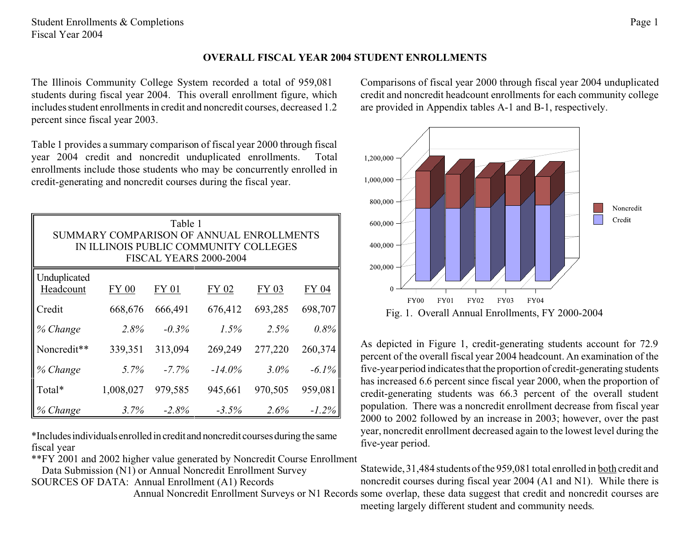## **OVERALL FISCAL YEAR 2004 STUDENT ENROLLMENTS**

The Illinois Community College System recorded a total of 959,081 students during fiscal year 2004. This overall enrollment figure, which includes student enrollments in credit and noncredit courses, decreased 1.2 percent since fiscal year 2003.

Table 1 provides a summary comparison of fiscal year 2000 through fiscal year 2004 credit and noncredit unduplicated enrollments. Total enrollments include those students who may be concurrently enrolled in credit-generating and noncredit courses during the fiscal year.

| Table 1<br>SUMMARY COMPARISON OF ANNUAL ENROLLMENTS<br>IN ILLINOIS PUBLIC COMMUNITY COLLEGES<br>FISCAL YEARS 2000-2004 |              |          |           |         |          |  |  |  |
|------------------------------------------------------------------------------------------------------------------------|--------------|----------|-----------|---------|----------|--|--|--|
| Unduplicated<br>Headcount                                                                                              | <b>FY 00</b> | FY 01    | FY 02     | FY 03   | FY 04    |  |  |  |
| Credit                                                                                                                 | 668,676      | 666,491  | 676,412   | 693,285 | 698,707  |  |  |  |
| % Change                                                                                                               | 2.8%         | $-0.3\%$ | 1.5%      | 2.5%    | 0.8%     |  |  |  |
| Noncredit**                                                                                                            | 339,351      | 313,094  | 269,249   | 277,220 | 260,374  |  |  |  |
| % Change                                                                                                               | 5.7%         | $-7.7\%$ | $-14.0\%$ | $3.0\%$ | $-6.1\%$ |  |  |  |
| Total*                                                                                                                 | 1,008,027    | 979,585  | 945,661   | 970,505 | 959,081  |  |  |  |
| % Change                                                                                                               | 3.7%         | $-2.8%$  | $-3.5%$   | 2.6%    | $-1.2\%$ |  |  |  |

\*Includesindividualsenrolled in credit and noncredit coursesduring the same fiscal year

\*\*FY 2001 and 2002 higher value generated by Noncredit Course Enrollment

 Data Submission (N1) or Annual Noncredit Enrollment Survey SOURCES OF DATA: Annual Enrollment (A1) Records

Comparisons of fiscal year 2000 through fiscal year 2004 unduplicated credit and noncredit headcount enrollments for each community college are provided in Appendix tables A-1 and B-1, respectively.



As depicted in Figure 1, credit-generating students account for 72.9 percent of the overall fiscal year 2004 headcount. An examination of the five-year period indicates that the proportion of credit-generating students has increased 6.6 percent since fiscal year 2000, when the proportion of credit-generating students was 66.3 percent of the overall student population. There was a noncredit enrollment decrease from fiscal year 2000 to 2002 followed by an increase in 2003; however, over the past year, noncredit enrollment decreased again to the lowest level during the five-year period.

 Annual Noncredit Enrollment Surveys or N1 Records some overlap, these data suggest that credit and noncredit courses are Statewide, 31,484 students of the 959,081 total enrolled in both credit and noncredit courses during fiscal year 2004 (A1 and N1). While there is meeting largely different student and community needs.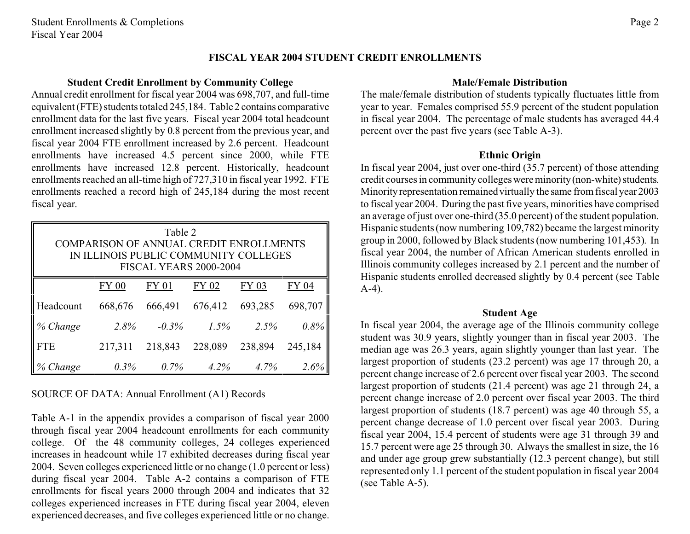## **FISCAL YEAR 2004 STUDENT CREDIT ENROLLMENTS**

#### **Student Credit Enrollment by Community College**

Annual credit enrollment for fiscal year 2004 was 698,707, and full-time equivalent (FTE) students totaled 245,184. Table 2 contains comparative enrollment data for the last five years. Fiscal year 2004 total headcount enrollment increased slightly by 0.8 percent from the previous year, and fiscal year 2004 FTE enrollment increased by 2.6 percent. Headcount enrollments have increased 4.5 percent since 2000, while FTE enrollments have increased 12.8 percent. Historically, headcount enrollments reached an all-time high of 727,310 in fiscal year 1992. FTE enrollments reached a record high of 245,184 during the most recent fiscal year.

| Table 2<br>COMPARISON OF ANNUAL CREDIT ENROLLMENTS<br>IN ILLINOIS PUBLIC COMMUNITY COLLEGES<br>FISCAL YEARS 2000-2004 |                                                  |          |         |         |         |  |  |  |
|-----------------------------------------------------------------------------------------------------------------------|--------------------------------------------------|----------|---------|---------|---------|--|--|--|
|                                                                                                                       | FY 01<br>FY 02<br>FY 04<br>FY 03<br><b>FY 00</b> |          |         |         |         |  |  |  |
| Headcount                                                                                                             | 668,676                                          | 666,491  | 676,412 | 693,285 | 698,707 |  |  |  |
| % Change                                                                                                              | 2.8%                                             | $-0.3\%$ | $1.5\%$ | 2.5%    | $0.8\%$ |  |  |  |
| <b>FTE</b>                                                                                                            | 217,311                                          | 218,843  | 228,089 | 238,894 | 245,184 |  |  |  |
| Change                                                                                                                | $0.3\%$                                          | $0.7\%$  | $4.2\%$ | 4.7%    | 2.6%    |  |  |  |

## SOURCE OF DATA: Annual Enrollment (A1) Records

Table A-1 in the appendix provides a comparison of fiscal year 2000 through fiscal year 2004 headcount enrollments for each community college. Of the 48 community colleges, 24 colleges experienced increases in headcount while 17 exhibited decreases during fiscal year 2004. Seven colleges experienced little or no change (1.0 percent or less) during fiscal year 2004. Table A-2 contains a comparison of FTE enrollments for fiscal years 2000 through 2004 and indicates that 32 colleges experienced increases in FTE during fiscal year 2004, eleven experienced decreases, and five colleges experienced little or no change.

#### **Male/Female Distribution**

The male/female distribution of students typically fluctuates little from year to year. Females comprised 55.9 percent of the student population in fiscal year 2004. The percentage of male students has averaged 44.4 percent over the past five years (see Table A-3).

#### **Ethnic Origin**

In fiscal year 2004, just over one-third (35.7 percent) of those attending credit courses in community colleges were minority (non-white) students. Minority representation remained virtually the same from fiscal year 2003 to fiscal year 2004. During the past five years, minorities have comprised an average of just over one-third (35.0 percent) of the student population. Hispanic students (now numbering 109,782) became the largest minority group in 2000, followed by Black students (now numbering 101,453). In fiscal year 2004, the number of African American students enrolled in Illinois community colleges increased by 2.1 percent and the number of Hispanic students enrolled decreased slightly by 0.4 percent (see Table A-4).

#### **Student Age**

In fiscal year 2004, the average age of the Illinois community college student was 30.9 years, slightly younger than in fiscal year 2003. The median age was 26.3 years, again slightly younger than last year. The largest proportion of students (23.2 percent) was age 17 through 20, a percent change increase of 2.6 percent over fiscal year 2003. The second largest proportion of students (21.4 percent) was age 21 through 24, a percent change increase of 2.0 percent over fiscal year 2003. The third largest proportion of students (18.7 percent) was age 40 through 55, a percent change decrease of 1.0 percent over fiscal year 2003. During fiscal year 2004, 15.4 percent of students were age 31 through 39 and 15.7 percent were age 25 through 30. Always the smallest in size, the 16 and under age group grew substantially (12.3 percent change), but still represented only 1.1 percent of the student population in fiscal year 2004 (see Table A-5).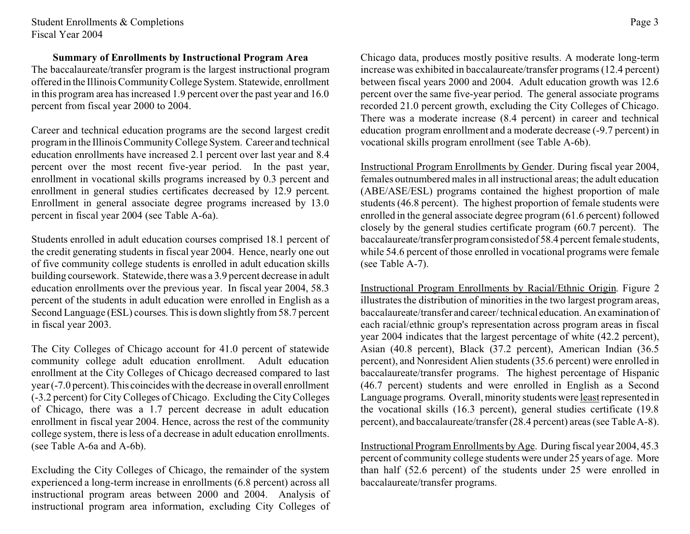## **Summary of Enrollments by Instructional Program Area**

The baccalaureate/transfer program is the largest instructional program offered in the Illinois CommunityCollege System. Statewide, enrollment in this program area has increased 1.9 percent over the past year and 16.0 percent from fiscal year 2000 to 2004.

Career and technical education programs are the second largest credit program in the Illinois Community College System. Career and technical education enrollments have increased 2.1 percent over last year and 8.4 percent over the most recent five-year period. In the past year, enrollment in vocational skills programs increased by 0.3 percent and enrollment in general studies certificates decreased by 12.9 percent. Enrollment in general associate degree programs increased by 13.0 percent in fiscal year 2004 (see Table A-6a).

Students enrolled in adult education courses comprised 18.1 percent of the credit generating students in fiscal year 2004. Hence, nearly one out of five community college students is enrolled in adult education skills building coursework. Statewide, there was a 3.9 percent decrease in adult education enrollments over the previous year. In fiscal year 2004, 58.3 percent of the students in adult education were enrolled in English as a Second Language (ESL) courses. This is down slightly from 58.7 percent in fiscal year 2003.

The City Colleges of Chicago account for 41.0 percent of statewide community college adult education enrollment. Adult education enrollment at the City Colleges of Chicago decreased compared to last year(-7.0 percent).This coincides with the decrease in overall enrollment (-3.2 percent) for City Colleges of Chicago. Excluding the City Colleges of Chicago, there was a 1.7 percent decrease in adult education enrollment in fiscal year 2004. Hence, across the rest of the community college system, there is less of a decrease in adult education enrollments. (see Table A-6a and A-6b).

Excluding the City Colleges of Chicago, the remainder of the system experienced a long-term increase in enrollments (6.8 percent) across all instructional program areas between 2000 and 2004. Analysis of instructional program area information, excluding City Colleges of

Chicago data, produces mostly positive results. A moderate long-term increase was exhibited in baccalaureate/transfer programs (12.4 percent) between fiscal years 2000 and 2004. Adult education growth was 12.6 percent over the same five-year period. The general associate programs recorded 21.0 percent growth, excluding the City Colleges of Chicago. There was a moderate increase (8.4 percent) in career and technical education program enrollment and a moderate decrease (-9.7 percent) in vocational skills program enrollment (see Table A-6b).

Instructional Program Enrollments by Gender. During fiscal year 2004, females outnumbered males in all instructional areas; the adult education (ABE/ASE/ESL) programs contained the highest proportion of male students (46.8 percent). The highest proportion of female students were enrolled in the general associate degree program (61.6 percent) followed closely by the general studies certificate program (60.7 percent). The baccalaureate/transferprogramconsistedof 58.4 percent female students, while 54.6 percent of those enrolled in vocational programs were female (see Table A-7).

Instructional Program Enrollments by Racial/Ethnic Origin. Figure 2 illustrates the distribution of minorities in the two largest program areas, baccalaureate/transfer and career/technical education. An examination of each racial/ethnic group's representation across program areas in fiscal year 2004 indicates that the largest percentage of white (42.2 percent), Asian (40.8 percent), Black (37.2 percent), American Indian (36.5 percent), and Nonresident Alien students (35.6 percent) were enrolled in baccalaureate/transfer programs. The highest percentage of Hispanic (46.7 percent) students and were enrolled in English as a Second Language programs. Overall, minority students were least represented in the vocational skills (16.3 percent), general studies certificate (19.8 percent), and baccalaureate/transfer (28.4 percent) areas (see Table A-8).

Instructional Program Enrollments by Age. During fiscal year 2004, 45.3 percent of community college students were under 25 years of age. More than half (52.6 percent) of the students under 25 were enrolled in baccalaureate/transfer programs.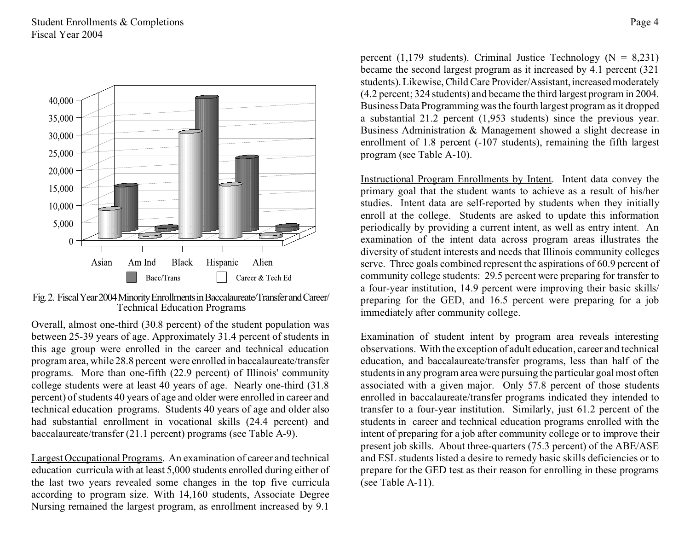



Overall, almost one-third (30.8 percent) of the student population was between 25-39 years of age. Approximately 31.4 percent of students in this age group were enrolled in the career and technical education program area, while 28.8 percent were enrolled in baccalaureate/transfer programs. More than one-fifth (22.9 percent) of Illinois' community college students were at least 40 years of age. Nearly one-third (31.8 percent) of students 40 years of age and older were enrolled in career and technical education programs. Students 40 years of age and older also had substantial enrollment in vocational skills (24.4 percent) and baccalaureate/transfer (21.1 percent) programs (see Table A-9).

Largest Occupational Programs. An examination of career and technical education curricula with at least 5,000 students enrolled during either of the last two years revealed some changes in the top five curricula according to program size. With 14,160 students, Associate Degree Nursing remained the largest program, as enrollment increased by 9.1

percent (1,179 students). Criminal Justice Technology ( $N = 8,231$ ) became the second largest program as it increased by 4.1 percent (321 students). Likewise, Child Care Provider/Assistant, increased moderately (4.2 percent; 324 students) and became the third largest program in 2004. Business Data Programming was the fourth largest program as it dropped a substantial 21.2 percent (1,953 students) since the previous year. Business Administration & Management showed a slight decrease in enrollment of 1.8 percent (-107 students), remaining the fifth largest program (see Table A-10).

Instructional Program Enrollments by Intent. Intent data convey the primary goal that the student wants to achieve as a result of his/her studies. Intent data are self-reported by students when they initially enroll at the college. Students are asked to update this information periodically by providing a current intent, as well as entry intent. An examination of the intent data across program areas illustrates the diversity of student interests and needs that Illinois community colleges serve. Three goals combined represent the aspirations of 60.9 percent of community college students: 29.5 percent were preparing for transfer to a four-year institution, 14.9 percent were improving their basic skills/ preparing for the GED, and 16.5 percent were preparing for a job immediately after community college.

Examination of student intent by program area reveals interesting observations. With the exception of adult education, career and technical education, and baccalaureate/transfer programs, less than half of the students in any program area were pursuing the particular goal most often associated with a given major. Only 57.8 percent of those students enrolled in baccalaureate/transfer programs indicated they intended to transfer to a four-year institution. Similarly, just 61.2 percent of the students in career and technical education programs enrolled with the intent of preparing for a job after community college or to improve their present job skills. About three-quarters (75.3 percent) of the ABE/ASE and ESL students listed a desire to remedy basic skills deficiencies or to prepare for the GED test as their reason for enrolling in these programs (see Table A-11).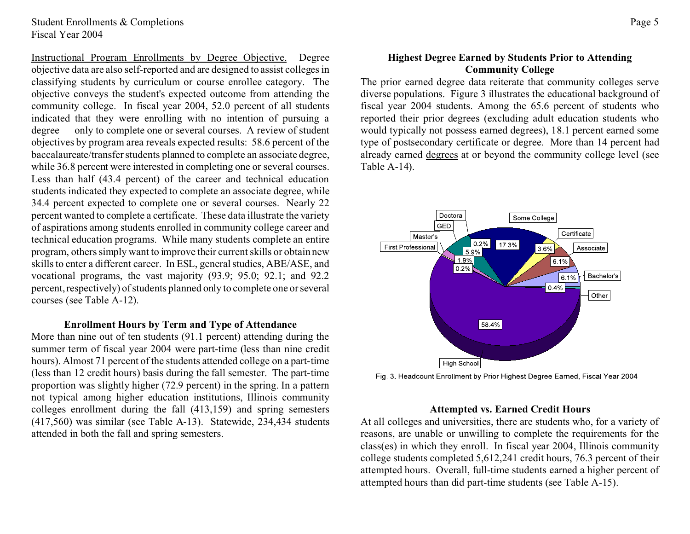Instructional Program Enrollments by Degree Objective. Degree objective data are also self-reported and are designed to assist colleges in classifying students by curriculum or course enrollee category. The objective conveys the student's expected outcome from attending the community college. In fiscal year 2004, 52.0 percent of all students indicated that they were enrolling with no intention of pursuing a degree — only to complete one or several courses. A review of student objectives by program area reveals expected results: 58.6 percent of the baccalaureate/transfer students planned to complete an associate degree, while 36.8 percent were interested in completing one or several courses. Less than half (43.4 percent) of the career and technical education students indicated they expected to complete an associate degree, while 34.4 percent expected to complete one or several courses. Nearly 22 percent wanted to complete a certificate. These data illustrate the variety of aspirations among students enrolled in community college career and technical education programs. While many students complete an entire program, others simply want to improve their current skills or obtain new skills to enter a different career. In ESL, general studies, ABE/ASE, and vocational programs, the vast majority (93.9; 95.0; 92.1; and 92.2 percent, respectively) of students planned only to complete one or several courses (see Table A-12).

#### **Enrollment Hours by Term and Type of Attendance**

More than nine out of ten students (91.1 percent) attending during the summer term of fiscal year 2004 were part-time (less than nine credit hours). Almost 71 percent of the students attended college on a part-time (less than 12 credit hours) basis during the fall semester. The part-time proportion was slightly higher (72.9 percent) in the spring. In a pattern not typical among higher education institutions, Illinois community colleges enrollment during the fall (413,159) and spring semesters (417,560) was similar (see Table A-13). Statewide, 234,434 students attended in both the fall and spring semesters.

## **Highest Degree Earned by Students Prior to Attending Community College**

The prior earned degree data reiterate that community colleges serve diverse populations. Figure 3 illustrates the educational background of fiscal year 2004 students. Among the 65.6 percent of students who reported their prior degrees (excluding adult education students who would typically not possess earned degrees), 18.1 percent earned some type of postsecondary certificate or degree. More than 14 percent had already earned degrees at or beyond the community college level (see Table A-14).



#### Fig. 3. Headcount Enrollment by Prior Highest Degree Earned, Fiscal Year 2004

#### **Attempted vs. Earned Credit Hours**

At all colleges and universities, there are students who, for a variety of reasons, are unable or unwilling to complete the requirements for the class(es) in which they enroll. In fiscal year 2004, Illinois community college students completed 5,612,241 credit hours, 76.3 percent of their attempted hours. Overall, full-time students earned a higher percent of attempted hours than did part-time students (see Table A-15).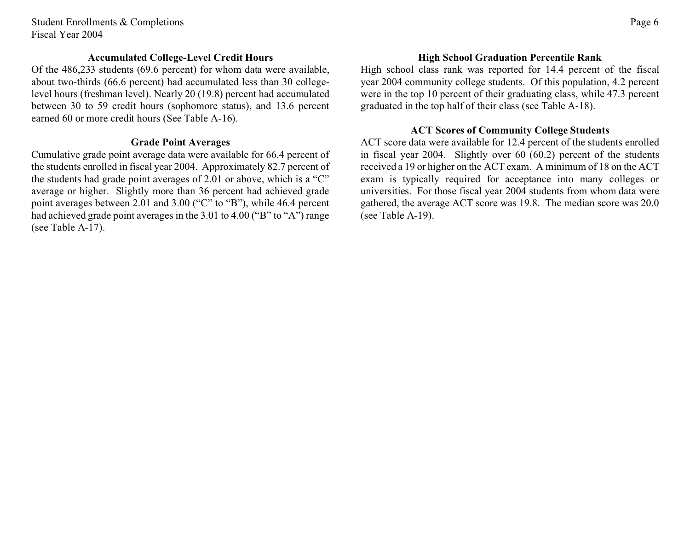Student Enrollments & Completions Fiscal Year 2004

### **Accumulated College-Level Credit Hours**

Of the 486,233 students (69.6 percent) for whom data were available, about two-thirds (66.6 percent) had accumulated less than 30 collegelevel hours (freshman level). Nearly 20 (19.8) percent had accumulated between 30 to 59 credit hours (sophomore status), and 13.6 percent earned 60 or more credit hours (See Table A-16).

#### **Grade Point Averages**

Cumulative grade point average data were available for 66.4 percent of the students enrolled in fiscal year 2004. Approximately 82.7 percent of the students had grade point averages of 2.01 or above, which is a "C" average or higher. Slightly more than 36 percent had achieved grade point averages between 2.01 and 3.00 ("C" to "B"), while 46.4 percent had achieved grade point averages in the 3.01 to 4.00 ("B" to "A") range (see Table A-17).

## **High School Graduation Percentile Rank**

High school class rank was reported for 14.4 percent of the fiscal year 2004 community college students. Of this population, 4.2 percent were in the top 10 percent of their graduating class, while 47.3 percent graduated in the top half of their class (see Table A-18).

#### **ACT Scores of Community College Students**

ACT score data were available for 12.4 percent of the students enrolled in fiscal year 2004. Slightly over 60 (60.2) percent of the students received a 19 or higher on the ACT exam. A minimum of 18 on the ACT exam is typically required for acceptance into many colleges or universities. For those fiscal year 2004 students from whom data were gathered, the average ACT score was 19.8. The median score was 20.0 (see Table A-19).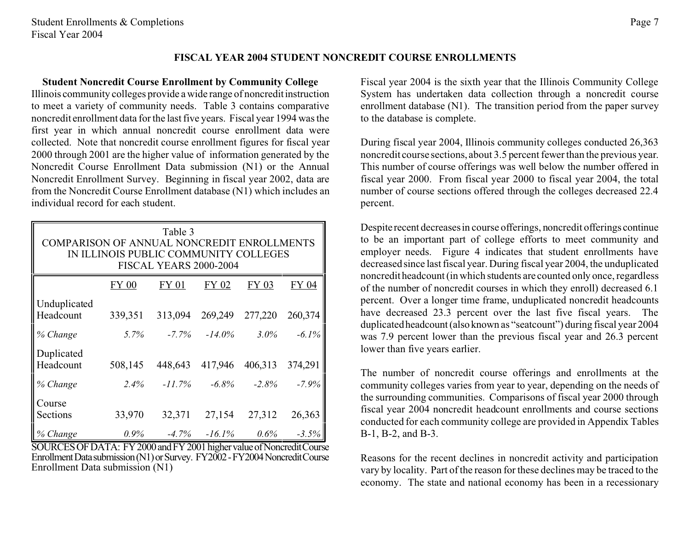## **FISCAL YEAR 2004 STUDENT NONCREDIT COURSE ENROLLMENTS**

#### **Student Noncredit Course Enrollment by Community College**

Illinois community colleges provide a wide range of noncreditinstruction to meet a variety of community needs. Table 3 contains comparative noncredit enrollment data for the last five years. Fiscal year 1994 was the first year in which annual noncredit course enrollment data were collected. Note that noncredit course enrollment figures for fiscal year 2000 through 2001 are the higher value of information generated by the Noncredit Course Enrollment Data submission (N1) or the Annual Noncredit Enrollment Survey. Beginning in fiscal year 2002, data are from the Noncredit Course Enrollment database (N1) which includes an individual record for each student.

| Table 3<br>COMPARISON OF ANNUAL NONCREDIT ENROLLMENTS<br>IN ILLINOIS PUBLIC COMMUNITY COLLEGES<br>FISCAL YEARS 2000-2004 |         |           |           |         |          |  |  |  |  |
|--------------------------------------------------------------------------------------------------------------------------|---------|-----------|-----------|---------|----------|--|--|--|--|
|                                                                                                                          | FY 00   | FY 01     | FY 02     | FY 03   | FY 04    |  |  |  |  |
| Unduplicated<br>Headcount                                                                                                | 339,351 | 313,094   | 269,249   | 277,220 | 260,374  |  |  |  |  |
| % Change                                                                                                                 | 5.7%    | $-7.7\%$  | $-14.0\%$ | $3.0\%$ | $-6.1\%$ |  |  |  |  |
| Duplicated<br>Headcount                                                                                                  | 508,145 | 448,643   | 417,946   | 406,313 | 374,291  |  |  |  |  |
| % Change                                                                                                                 | 2.4%    | $-11.7\%$ | $-6.8\%$  | $-2.8%$ | $-7.9%$  |  |  |  |  |
| Course<br>Sections                                                                                                       | 33,970  | 32,371    | 27,154    | 27,312  | 26,363   |  |  |  |  |
| % Change                                                                                                                 | $0.9\%$ | $-4.7\%$  | $-16.1\%$ | $0.6\%$ | $-3.5%$  |  |  |  |  |

SOURCES OF DATA: FY 2000 and FY 2001 higher value of Noncredit Course Enrollment Data submission (N1) or Survey. FY2002 - FY2004 Noncredit Course Enrollment Data submission (N1)

Fiscal year 2004 is the sixth year that the Illinois Community College System has undertaken data collection through a noncredit course enrollment database (N1). The transition period from the paper survey to the database is complete.

During fiscal year 2004, Illinois community colleges conducted 26,363 noncredit course sections, about 3.5 percent fewer than the previous year. This number of course offerings was well below the number offered in fiscal year 2000. From fiscal year 2000 to fiscal year 2004, the total number of course sections offered through the colleges decreased 22.4 percent.

Despite recent decreasesin course offerings, noncredit offerings continue to be an important part of college efforts to meet community and employer needs. Figure 4 indicates that student enrollments have decreased since last fiscal year. During fiscal year 2004, the unduplicated noncredit headcount (in which students are counted only once, regardless of the number of noncredit courses in which they enroll) decreased 6.1 percent. Over a longer time frame, unduplicated noncredit headcounts have decreased 23.3 percent over the last five fiscal years. The duplicatedheadcount(also known as "seatcount") during fiscal year 2004 was 7.9 percent lower than the previous fiscal year and 26.3 percent lower than five years earlier.

The number of noncredit course offerings and enrollments at the community colleges varies from year to year, depending on the needs of the surrounding communities. Comparisons of fiscal year 2000 through fiscal year 2004 noncredit headcount enrollments and course sections conducted for each community college are provided in Appendix Tables B-1, B-2, and B-3.

Reasons for the recent declines in noncredit activity and participation vary by locality. Part of the reason for these declines may be traced to the economy. The state and national economy has been in a recessionary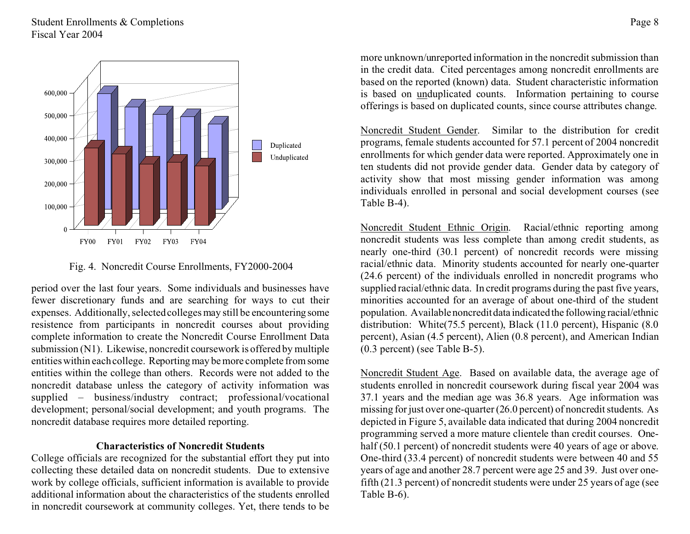## Student Enrollments & Completions Fiscal Year 2004



Fig. 4. Noncredit Course Enrollments, FY2000-2004

period over the last four years. Some individuals and businesses have fewer discretionary funds and are searching for ways to cut their expenses. Additionally, selected colleges may still be encountering some resistence from participants in noncredit courses about providing complete information to create the Noncredit Course Enrollment Data submission (N1). Likewise, noncredit coursework is offered by multiple entities within each college. Reportingmay be more complete from some entities within the college than others. Records were not added to the noncredit database unless the category of activity information was supplied – business/industry contract; professional/vocational development; personal/social development; and youth programs. The noncredit database requires more detailed reporting.

#### **Characteristics of Noncredit Students**

College officials are recognized for the substantial effort they put into collecting these detailed data on noncredit students. Due to extensive work by college officials, sufficient information is available to provide additional information about the characteristics of the students enrolled in noncredit coursework at community colleges. Yet, there tends to be more unknown/unreported information in the noncredit submission than in the credit data. Cited percentages among noncredit enrollments are based on the reported (known) data. Student characteristic information is based on unduplicated counts. Information pertaining to course offerings is based on duplicated counts, since course attributes change.

Noncredit Student Gender. Similar to the distribution for credit programs, female students accounted for 57.1 percent of 2004 noncredit enrollments for which gender data were reported. Approximately one in ten students did not provide gender data. Gender data by category of activity show that most missing gender information was among individuals enrolled in personal and social development courses (see Table B-4).

Noncredit Student Ethnic Origin. Racial/ethnic reporting among noncredit students was less complete than among credit students, as nearly one-third (30.1 percent) of noncredit records were missing racial/ethnic data. Minority students accounted for nearly one-quarter (24.6 percent) of the individuals enrolled in noncredit programs who supplied racial/ethnic data. In credit programs during the past five years, minorities accounted for an average of about one-third of the student population. Availablenoncreditdata indicatedthe following racial/ethnic distribution: White(75.5 percent), Black (11.0 percent), Hispanic (8.0) percent), Asian (4.5 percent), Alien (0.8 percent), and American Indian (0.3 percent) (see Table B-5).

Noncredit Student Age. Based on available data, the average age of students enrolled in noncredit coursework during fiscal year 2004 was 37.1 years and the median age was 36.8 years. Age information was missing for just over one-quarter (26.0 percent) of noncredit students. As depicted in Figure 5, available data indicated that during 2004 noncredit programming served a more mature clientele than credit courses. Onehalf (50.1 percent) of noncredit students were 40 years of age or above. One-third (33.4 percent) of noncredit students were between 40 and 55 years of age and another 28.7 percent were age 25 and 39. Just over onefifth (21.3 percent) of noncredit students were under 25 years of age (see Table B-6).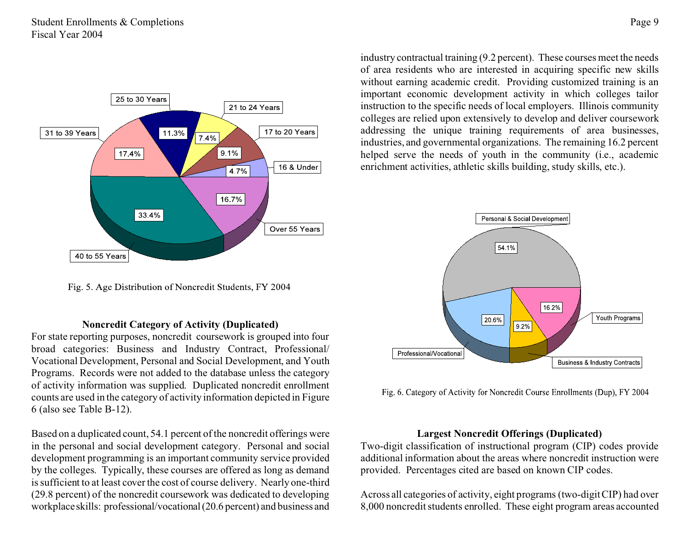

Fig. 5. Age Distribution of Noncredit Students, FY 2004

#### **Noncredit Category of Activity (Duplicated)**

For state reporting purposes, noncredit coursework is grouped into four broad categories: Business and Industry Contract, Professional/ Vocational Development, Personal and Social Development, and Youth Programs. Records were not added to the database unless the category of activity information was supplied. Duplicated noncredit enrollment counts are used in the category of activity information depicted in Figure 6 (also see Table B-12).

Based on a duplicated count, 54.1 percent of the noncredit offerings were in the personal and social development category. Personal and social development programming is an important community service provided by the colleges. Typically, these courses are offered as long as demand is sufficient to at least cover the cost of course delivery. Nearly one-third (29.8 percent) of the noncredit coursework was dedicated to developing workplaceskills: professional/vocational(20.6 percent) and business and

industry contractual training (9.2 percent). These courses meet the needs of area residents who are interested in acquiring specific new skills without earning academic credit. Providing customized training is an important economic development activity in which colleges tailor instruction to the specific needs of local employers. Illinois community colleges are relied upon extensively to develop and deliver coursework addressing the unique training requirements of area businesses, industries, and governmental organizations. The remaining 16.2 percent helped serve the needs of youth in the community (i.e., academic enrichment activities, athletic skills building, study skills, etc.).



Fig. 6. Category of Activity for Noncredit Course Enrollments (Dup), FY 2004

## **Largest Noncredit Offerings (Duplicated)**

Two-digit classification of instructional program (CIP) codes provide additional information about the areas where noncredit instruction were provided. Percentages cited are based on known CIP codes.

Across all categories of activity, eight programs (two-digit CIP) had over 8,000 noncredit students enrolled. These eight program areas accounted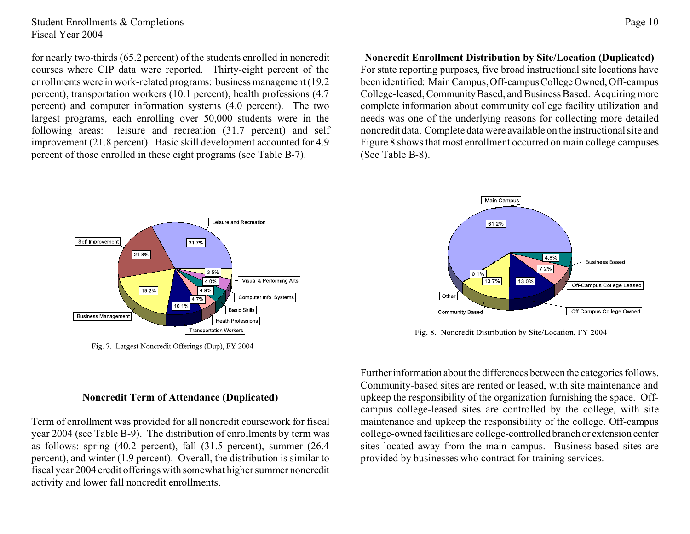Student Enrollments & Completions Fiscal Year 2004

for nearly two-thirds (65.2 percent) of the students enrolled in noncredit courses where CIP data were reported. Thirty-eight percent of the enrollments were in work-related programs: business management (19.2 percent), transportation workers (10.1 percent), health professions (4.7 percent) and computer information systems (4.0 percent). The two largest programs, each enrolling over 50,000 students were in the following areas: leisure and recreation (31.7 percent) and self improvement (21.8 percent). Basic skill development accounted for 4.9 percent of those enrolled in these eight programs (see Table B-7).

**Noncredit Enrollment Distribution by Site/Location (Duplicated)** For state reporting purposes, five broad instructional site locations have been identified: Main Campus, Off-campus College Owned, Off-campus College-leased, Community Based, and Business Based. Acquiring more complete information about community college facility utilization and needs was one of the underlying reasons for collecting more detailed noncredit data. Complete data were available on the instructional site and Figure 8 shows that most enrollment occurred on main college campuses (See Table B-8).



Fig. 7. Largest Noncredit Offerings (Dup), FY 2004



Fig. 8. Noncredit Distribution by Site/Location, FY 2004

Furtherinformation about the differences between the categories follows. Community-based sites are rented or leased, with site maintenance and upkeep the responsibility of the organization furnishing the space. Offcampus college-leased sites are controlled by the college, with site maintenance and upkeep the responsibility of the college. Off-campus college-owned facilities are college-controlledbranchor extension center sites located away from the main campus. Business-based sites are provided by businesses who contract for training services.

#### **Noncredit Term of Attendance (Duplicated)**

Term of enrollment was provided for all noncredit coursework for fiscal year 2004 (see Table B-9). The distribution of enrollments by term was as follows: spring (40.2 percent), fall (31.5 percent), summer (26.4 percent), and winter (1.9 percent). Overall, the distribution is similar to fiscal year 2004 credit offerings with somewhat higher summer noncredit activity and lower fall noncredit enrollments.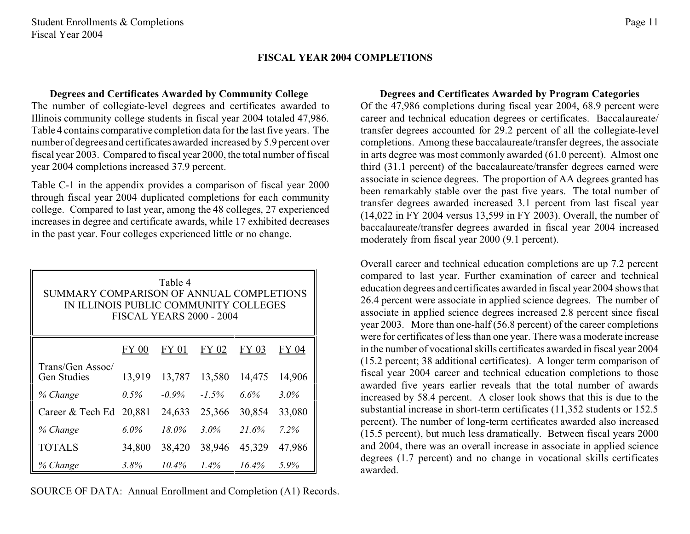#### **FISCAL YEAR 2004 COMPLETIONS**

## **Degrees and Certificates Awarded by Community College**

The number of collegiate-level degrees and certificates awarded to Illinois community college students in fiscal year 2004 totaled 47,986. Table 4 contains comparative completion data for the last five years. The number of degrees and certificates awarded increased by 5.9 percent over fiscal year 2003. Compared to fiscal year 2000, the total number of fiscal year 2004 completions increased 37.9 percent.

Table C-1 in the appendix provides a comparison of fiscal year 2000 through fiscal year 2004 duplicated completions for each community college. Compared to last year, among the 48 colleges, 27 experienced increases in degree and certificate awards, while 17 exhibited decreases in the past year. Four colleges experienced little or no change.

| Table 4<br>SUMMARY COMPARISON OF ANNUAL COMPLETIONS<br>IN ILLINOIS PUBLIC COMMUNITY COLLEGES<br><b>FISCAL YEARS 2000 - 2004</b> |                                                |          |         |        |         |  |  |  |  |
|---------------------------------------------------------------------------------------------------------------------------------|------------------------------------------------|----------|---------|--------|---------|--|--|--|--|
| FY 02<br>FY 03<br>FY 04<br>FY 01<br>FY 00                                                                                       |                                                |          |         |        |         |  |  |  |  |
| Trans/Gen Assoc/<br><b>Gen Studies</b>                                                                                          | 13,919                                         | 13,787   | 13,580  | 14,475 | 14,906  |  |  |  |  |
| % Change                                                                                                                        | $0.5\%$                                        | $-0.9\%$ | $-1.5%$ | 6.6%   | $3.0\%$ |  |  |  |  |
| Career & Tech Ed                                                                                                                | 20,881                                         | 24,633   | 25,366  | 30,854 | 33,080  |  |  |  |  |
| % Change                                                                                                                        | $6.0\%$                                        | $18.0\%$ | $3.0\%$ | 21.6%  | 7.2%    |  |  |  |  |
| <b>TOTALS</b>                                                                                                                   | 47,986<br>34,800<br>38,420<br>38,946<br>45,329 |          |         |        |         |  |  |  |  |
| % Change                                                                                                                        | 3.8%                                           | 10.4%    | $1.4\%$ | 16.4%  | 5.9%    |  |  |  |  |

SOURCE OF DATA: Annual Enrollment and Completion (A1) Records.

## **Degrees and Certificates Awarded by Program Categories**

Of the 47,986 completions during fiscal year 2004, 68.9 percent were career and technical education degrees or certificates. Baccalaureate/ transfer degrees accounted for 29.2 percent of all the collegiate-level completions. Among these baccalaureate/transfer degrees, the associate in arts degree was most commonly awarded (61.0 percent). Almost one third (31.1 percent) of the baccalaureate/transfer degrees earned were associate in science degrees. The proportion of AA degrees granted has been remarkably stable over the past five years. The total number of transfer degrees awarded increased 3.1 percent from last fiscal year (14,022 in FY 2004 versus 13,599 in FY 2003). Overall, the number of baccalaureate/transfer degrees awarded in fiscal year 2004 increased moderately from fiscal year 2000 (9.1 percent).

Overall career and technical education completions are up 7.2 percent compared to last year. Further examination of career and technical education degrees and certificates awarded in fiscal year 2004 shows that 26.4 percent were associate in applied science degrees. The number of associate in applied science degrees increased 2.8 percent since fiscal year 2003. More than one-half (56.8 percent) of the career completions were for certificates of less than one year. There was a moderate increase in the number of vocational skills certificates awarded in fiscal year 2004 (15.2 percent; 38 additional certificates). A longer term comparison of fiscal year 2004 career and technical education completions to those awarded five years earlier reveals that the total number of awards increased by 58.4 percent. A closer look shows that this is due to the substantial increase in short-term certificates (11,352 students or 152.5 percent). The number of long-term certificates awarded also increased (15.5 percent), but much less dramatically. Between fiscal years 2000 and 2004, there was an overall increase in associate in applied science degrees (1.7 percent) and no change in vocational skills certificates awarded.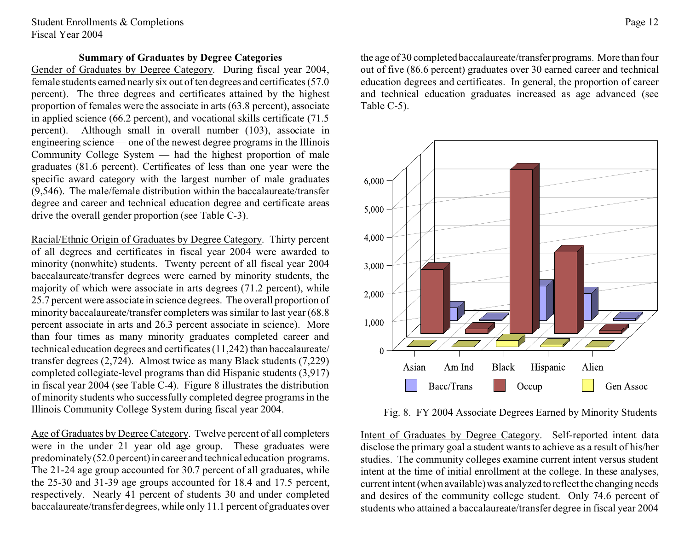Student Enrollments & Completions Fiscal Year 2004

#### **Summary of Graduates by Degree Categories**

Gender of Graduates by Degree Category. During fiscal year 2004, female students earned nearly six out of ten degrees and certificates (57.0 percent). The three degrees and certificates attained by the highest proportion of females were the associate in arts (63.8 percent), associate in applied science (66.2 percent), and vocational skills certificate (71.5 percent). Although small in overall number (103), associate in engineering science — one of the newest degree programs in the Illinois Community College System — had the highest proportion of male graduates (81.6 percent). Certificates of less than one year were the specific award category with the largest number of male graduates (9,546). The male/female distribution within the baccalaureate/transfer degree and career and technical education degree and certificate areas drive the overall gender proportion (see Table C-3).

Racial/Ethnic Origin of Graduates by Degree Category. Thirty percent of all degrees and certificates in fiscal year 2004 were awarded to minority (nonwhite) students. Twenty percent of all fiscal year 2004 baccalaureate/transfer degrees were earned by minority students, the majority of which were associate in arts degrees (71.2 percent), while 25.7 percent were associate in science degrees. The overall proportion of minority baccalaureate/transfer completers was similar to last year (68.8 percent associate in arts and 26.3 percent associate in science). More than four times as many minority graduates completed career and technical education degrees and certificates (11,242) than baccalaureate/ transfer degrees (2,724). Almost twice as many Black students (7,229) completed collegiate-level programs than did Hispanic students (3,917) in fiscal year 2004 (see Table C-4). Figure 8 illustrates the distribution of minority students who successfully completed degree programs in the Illinois Community College System during fiscal year 2004.

Age of Graduates by Degree Category. Twelve percent of all completers were in the under 21 year old age group. These graduates were predominately (52.0 percent) in career and technical education programs. The 21-24 age group accounted for 30.7 percent of all graduates, while the 25-30 and 31-39 age groups accounted for 18.4 and 17.5 percent, respectively. Nearly 41 percent of students 30 and under completed baccalaureate/transfer degrees, while only 11.1 percent of graduates over

the age of 30 completed baccalaureate/transfer programs. More than four out of five (86.6 percent) graduates over 30 earned career and technical education degrees and certificates. In general, the proportion of career and technical education graduates increased as age advanced (see Table C-5).



Fig. 8. FY 2004 Associate Degrees Earned by Minority Students

Intent of Graduates by Degree Category. Self-reported intent data disclose the primary goal a student wants to achieve as a result of his/her studies. The community colleges examine current intent versus student intent at the time of initial enrollment at the college. In these analyses, current intent (when available) was analyzed to reflect the changing needs and desires of the community college student. Only 74.6 percent of students who attained a baccalaureate/transfer degree in fiscal year 2004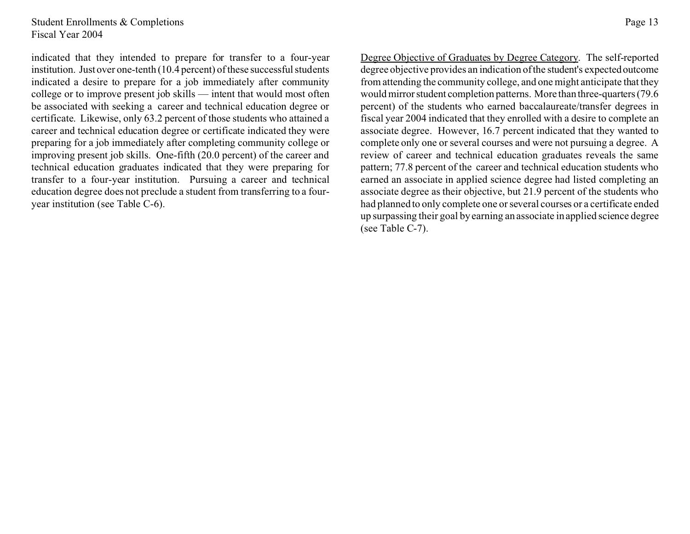Student Enrollments & Completions Fiscal Year 2004

indicated that they intended to prepare for transfer to a four-year institution. Just over one-tenth (10.4 percent) of these successful students indicated a desire to prepare for a job immediately after community college or to improve present job skills — intent that would most often be associated with seeking a career and technical education degree or certificate. Likewise, only 63.2 percent of those students who attained a career and technical education degree or certificate indicated they were preparing for a job immediately after completing community college or improving present job skills. One-fifth (20.0 percent) of the career and technical education graduates indicated that they were preparing for transfer to a four-year institution. Pursuing a career and technical education degree does not preclude a student from transferring to a fouryear institution (see Table C-6).

Page 13

Degree Objective of Graduates by Degree Category. The self-reported degree objective provides an indication of the student's expectedoutcome from attending the community college, and one might anticipate that they would mirror student completion patterns. More than three-quarters (79.6) percent) of the students who earned baccalaureate/transfer degrees in fiscal year 2004 indicated that they enrolled with a desire to complete an associate degree. However, 16.7 percent indicated that they wanted to complete only one or several courses and were not pursuing a degree. A review of career and technical education graduates reveals the same pattern; 77.8 percent of the career and technical education students who earned an associate in applied science degree had listed completing an associate degree as their objective, but 21.9 percent of the students who had planned to only complete one or several courses or a certificate ended up surpassing their goal by earning an associate in applied science degree (see Table C-7).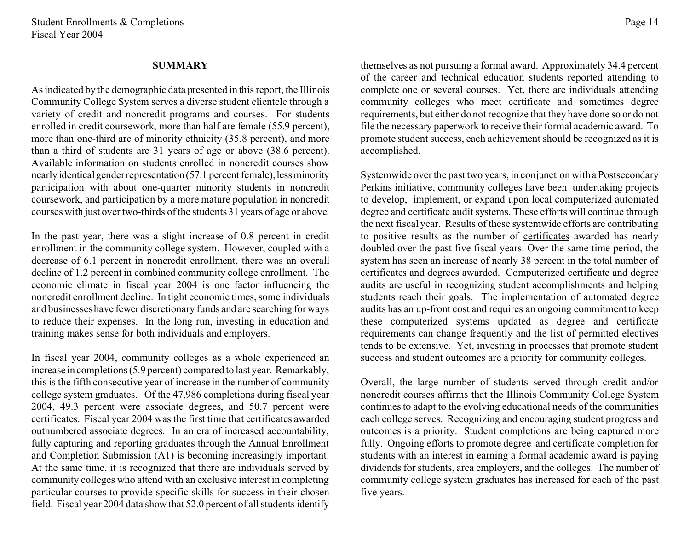#### **SUMMARY**

As indicated by the demographic data presented in this report, the Illinois Community College System serves a diverse student clientele through a variety of credit and noncredit programs and courses. For students enrolled in credit coursework, more than half are female (55.9 percent), more than one-third are of minority ethnicity (35.8 percent), and more than a third of students are 31 years of age or above (38.6 percent). Available information on students enrolled in noncredit courses show nearly identical gender representation (57.1 percent female), less minority participation with about one-quarter minority students in noncredit coursework, and participation by a more mature population in noncredit courses with just over two-thirds of the students 31 years of age or above.

In the past year, there was a slight increase of 0.8 percent in credit enrollment in the community college system. However, coupled with a decrease of 6.1 percent in noncredit enrollment, there was an overall decline of 1.2 percent in combined community college enrollment. The economic climate in fiscal year 2004 is one factor influencing the noncredit enrollment decline. In tight economic times, some individuals and businesses have fewer discretionary funds and are searching for ways to reduce their expenses. In the long run, investing in education and training makes sense for both individuals and employers.

In fiscal year 2004, community colleges as a whole experienced an increase in completions (5.9 percent) compared to last year. Remarkably, this is the fifth consecutive year of increase in the number of community college system graduates. Of the 47,986 completions during fiscal year 2004, 49.3 percent were associate degrees, and 50.7 percent were certificates. Fiscal year 2004 was the first time that certificates awarded outnumbered associate degrees. In an era of increased accountability, fully capturing and reporting graduates through the Annual Enrollment and Completion Submission (A1) is becoming increasingly important. At the same time, it is recognized that there are individuals served by community colleges who attend with an exclusive interest in completing particular courses to provide specific skills for success in their chosen field. Fiscal year 2004 data show that 52.0 percent of all students identify

themselves as not pursuing a formal award. Approximately 34.4 percent of the career and technical education students reported attending to complete one or several courses. Yet, there are individuals attending community colleges who meet certificate and sometimes degree requirements, but either do not recognize that they have done so or do not file the necessary paperwork to receive their formal academic award. To promote student success, each achievement should be recognized as it is accomplished.

Systemwide over the past two years, in conjunction with a Postsecondary Perkins initiative, community colleges have been undertaking projects to develop, implement, or expand upon local computerized automated degree and certificate audit systems. These efforts will continue through the next fiscal year. Results of these systemwide efforts are contributing to positive results as the number of certificates awarded has nearly doubled over the past five fiscal years. Over the same time period, the system has seen an increase of nearly 38 percent in the total number of certificates and degrees awarded. Computerized certificate and degree audits are useful in recognizing student accomplishments and helping students reach their goals. The implementation of automated degree audits has an up-front cost and requires an ongoing commitment to keep these computerized systems updated as degree and certificate requirements can change frequently and the list of permitted electives tends to be extensive. Yet, investing in processes that promote student success and student outcomes are a priority for community colleges.

Overall, the large number of students served through credit and/or noncredit courses affirms that the Illinois Community College System continues to adapt to the evolving educational needs of the communities each college serves. Recognizing and encouraging student progress and outcomes is a priority. Student completions are being captured more fully. Ongoing efforts to promote degree and certificate completion for students with an interest in earning a formal academic award is paying dividends for students, area employers, and the colleges. The number of community college system graduates has increased for each of the past five years.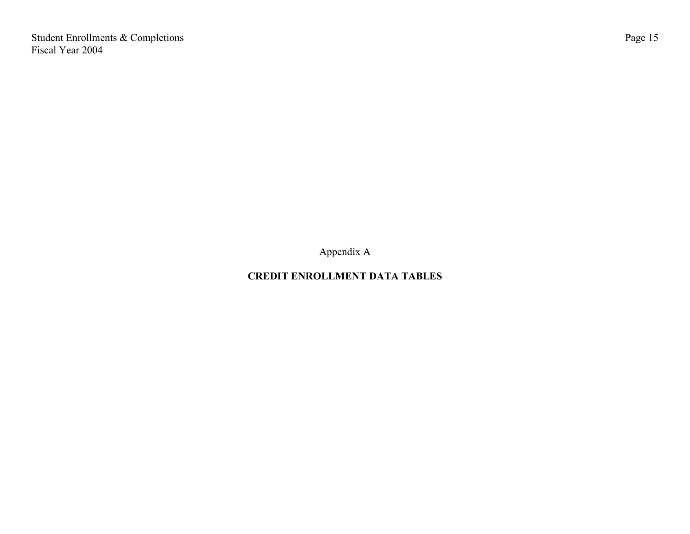Student Enrollments & Completions Fiscal Year 2004

Appendix A

# **CREDIT ENROLLMENT DATA TABLES**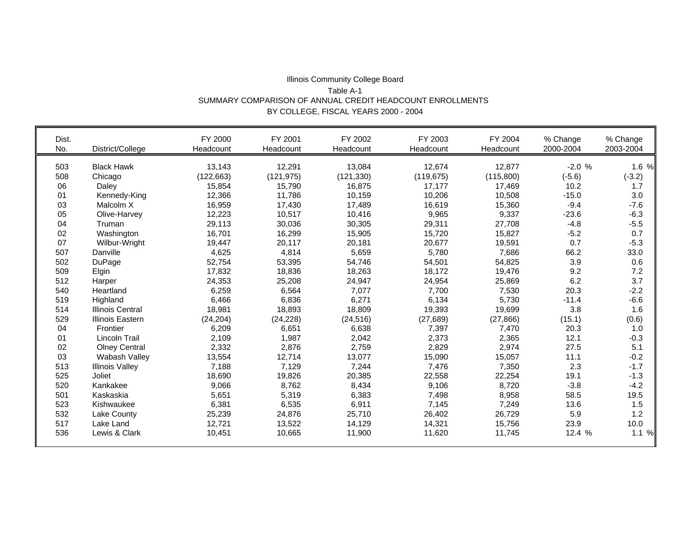#### Illinois Community College Board Table A-1 SUMMARY COMPARISON OF ANNUAL CREDIT HEADCOUNT ENROLLMENTS BY COLLEGE, FISCAL YEARS 2000 - 2004

| Dist. |                         | FY 2000    | FY 2001    | FY 2002    | FY 2003    | FY 2004   | % Change  | % Change  |
|-------|-------------------------|------------|------------|------------|------------|-----------|-----------|-----------|
| No.   | District/College        | Headcount  | Headcount  | Headcount  | Headcount  | Headcount | 2000-2004 | 2003-2004 |
| 503   | <b>Black Hawk</b>       | 13,143     | 12,291     | 13,084     | 12,674     | 12,877    | $-2.0%$   | 1.6 %     |
| 508   | Chicago                 | (122, 663) | (121, 975) | (121, 330) | (119, 675) | (115,800) | $(-5.6)$  | $(-3.2)$  |
| 06    | Daley                   | 15,854     | 15,790     | 16,875     | 17,177     | 17,469    | 10.2      | 1.7       |
| 01    | Kennedy-King            | 12,366     | 11,786     | 10,159     | 10,206     | 10,508    | $-15.0$   | 3.0       |
| 03    | Malcolm X               | 16,959     | 17,430     | 17,489     | 16,619     | 15,360    | $-9.4$    | $-7.6$    |
| 05    | Olive-Harvey            | 12,223     | 10,517     | 10,416     | 9,965      | 9,337     | $-23.6$   | $-6.3$    |
| 04    | Truman                  | 29,113     | 30,036     | 30,305     | 29,311     | 27,708    | $-4.8$    | $-5.5$    |
| 02    | Washington              | 16,701     | 16,299     | 15,905     | 15,720     | 15,827    | $-5.2$    | 0.7       |
| 07    | Wilbur-Wright           | 19,447     | 20,117     | 20,181     | 20,677     | 19,591    | 0.7       | $-5.3$    |
| 507   | Danville                | 4,625      | 4,814      | 5,659      | 5,780      | 7,686     | 66.2      | 33.0      |
| 502   | DuPage                  | 52,754     | 53,395     | 54,746     | 54,501     | 54,825    | 3.9       | 0.6       |
| 509   | Elgin                   | 17,832     | 18,836     | 18,263     | 18,172     | 19,476    | 9.2       | 7.2       |
| 512   | Harper                  | 24,353     | 25,208     | 24,947     | 24,954     | 25,869    | 6.2       | 3.7       |
| 540   | Heartland               | 6,259      | 6,564      | 7,077      | 7,700      | 7,530     | 20.3      | $-2.2$    |
| 519   | Highland                | 6,466      | 6,836      | 6,271      | 6,134      | 5,730     | $-11.4$   | $-6.6$    |
| 514   | <b>Illinois Central</b> | 18,981     | 18,893     | 18,809     | 19,393     | 19,699    | 3.8       | 1.6       |
| 529   | Illinois Eastern        | (24, 204)  | (24, 228)  | (24, 516)  | (27, 689)  | (27, 866) | (15.1)    | (0.6)     |
| 04    | Frontier                | 6,209      | 6,651      | 6,638      | 7,397      | 7,470     | 20.3      | 1.0       |
| 01    | Lincoln Trail           | 2,109      | 1,987      | 2,042      | 2,373      | 2,365     | 12.1      | $-0.3$    |
| 02    | <b>Olney Central</b>    | 2,332      | 2,876      | 2,759      | 2,829      | 2,974     | 27.5      | 5.1       |
| 03    | Wabash Valley           | 13,554     | 12,714     | 13,077     | 15,090     | 15,057    | 11.1      | $-0.2$    |
| 513   | <b>Illinois Valley</b>  | 7,188      | 7,129      | 7,244      | 7,476      | 7,350     | 2.3       | $-1.7$    |
| 525   | Joliet                  | 18,690     | 19,826     | 20,385     | 22,558     | 22,254    | 19.1      | $-1.3$    |
| 520   | Kankakee                | 9,066      | 8,762      | 8,434      | 9,106      | 8,720     | $-3.8$    | $-4.2$    |
| 501   | Kaskaskia               | 5,651      | 5,319      | 6,383      | 7,498      | 8,958     | 58.5      | 19.5      |
| 523   | Kishwaukee              | 6,381      | 6,535      | 6,911      | 7,145      | 7,249     | 13.6      | 1.5       |
| 532   | Lake County             | 25,239     | 24,876     | 25,710     | 26,402     | 26,729    | 5.9       | 1.2       |
| 517   | Lake Land               | 12,721     | 13,522     | 14,129     | 14,321     | 15,756    | 23.9      | 10.0      |
| 536   | Lewis & Clark           | 10,451     | 10,665     | 11,900     | 11,620     | 11,745    | 12.4 %    | 1.1%      |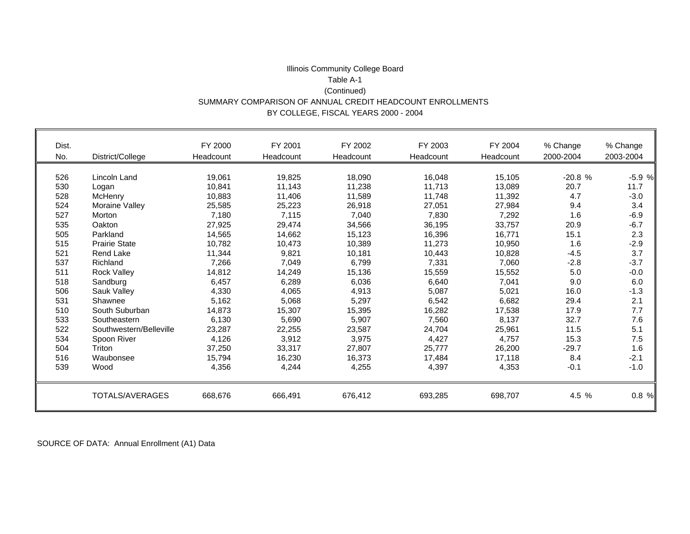#### Illinois Community College Board Table A-1 (Continued) SUMMARY COMPARISON OF ANNUAL CREDIT HEADCOUNT ENROLLMENTS BY COLLEGE, FISCAL YEARS 2000 - 2004

| Dist.<br>No. | District/College        | FY 2000<br>Headcount | FY 2001<br>Headcount | FY 2002<br>Headcount | FY 2003<br>Headcount | FY 2004<br>Headcount | % Change<br>2000-2004 | % Change<br>2003-2004 |
|--------------|-------------------------|----------------------|----------------------|----------------------|----------------------|----------------------|-----------------------|-----------------------|
| 526          | Lincoln Land            | 19,061               | 19,825               | 18,090               | 16,048               | 15,105               | $-20.8%$              | $-5.9%$               |
| 530          | Logan                   | 10,841               | 11,143               | 11,238               | 11,713               | 13,089               | 20.7                  | 11.7                  |
| 528          | McHenry                 | 10,883               | 11,406               | 11,589               | 11,748               | 11,392               | 4.7                   | $-3.0$                |
| 524          | Moraine Valley          | 25,585               | 25,223               | 26,918               | 27,051               | 27,984               | 9.4                   | 3.4                   |
| 527          | Morton                  | 7,180                | 7,115                | 7,040                | 7,830                | 7,292                | 1.6                   | $-6.9$                |
| 535          | Oakton                  | 27,925               | 29,474               | 34,566               | 36,195               | 33,757               | 20.9                  | $-6.7$                |
| 505          | Parkland                | 14,565               | 14,662               | 15,123               | 16,396               | 16,771               | 15.1                  | 2.3                   |
| 515          | <b>Prairie State</b>    | 10,782               | 10,473               | 10,389               | 11,273               | 10,950               | 1.6                   | $-2.9$                |
| 521          | <b>Rend Lake</b>        | 11,344               | 9,821                | 10,181               | 10,443               | 10,828               | $-4.5$                | 3.7                   |
| 537          | Richland                | 7,266                | 7,049                | 6,799                | 7,331                | 7,060                | $-2.8$                | $-3.7$                |
| 511          | <b>Rock Valley</b>      | 14,812               | 14,249               | 15,136               | 15,559               | 15,552               | 5.0                   | $-0.0$                |
| 518          | Sandburg                | 6,457                | 6,289                | 6,036                | 6,640                | 7,041                | 9.0                   | 6.0                   |
| 506          | Sauk Valley             | 4,330                | 4,065                | 4,913                | 5,087                | 5,021                | 16.0                  | $-1.3$                |
| 531          | Shawnee                 | 5,162                | 5,068                | 5,297                | 6,542                | 6,682                | 29.4                  | 2.1                   |
| 510          | South Suburban          | 14,873               | 15,307               | 15,395               | 16,282               | 17,538               | 17.9                  | 7.7                   |
| 533          | Southeastern            | 6,130                | 5,690                | 5,907                | 7,560                | 8,137                | 32.7                  | 7.6                   |
| 522          | Southwestern/Belleville | 23,287               | 22,255               | 23,587               | 24,704               | 25,961               | 11.5                  | 5.1                   |
| 534          | Spoon River             | 4,126                | 3,912                | 3,975                | 4,427                | 4,757                | 15.3                  | 7.5                   |
| 504          | Triton                  | 37,250               | 33,317               | 27,807               | 25,777               | 26,200               | $-29.7$               | 1.6                   |
| 516          | Waubonsee               | 15,794               | 16,230               | 16,373               | 17,484               | 17,118               | 8.4                   | $-2.1$                |
| 539          | Wood                    | 4,356                | 4,244                | 4,255                | 4,397                | 4,353                | $-0.1$                | $-1.0$                |
|              | TOTALS/AVERAGES         | 668,676              | 666,491              | 676,412              | 693,285              | 698,707              | 4.5 %                 | 0.8 %                 |

SOURCE OF DATA: Annual Enrollment (A1) Data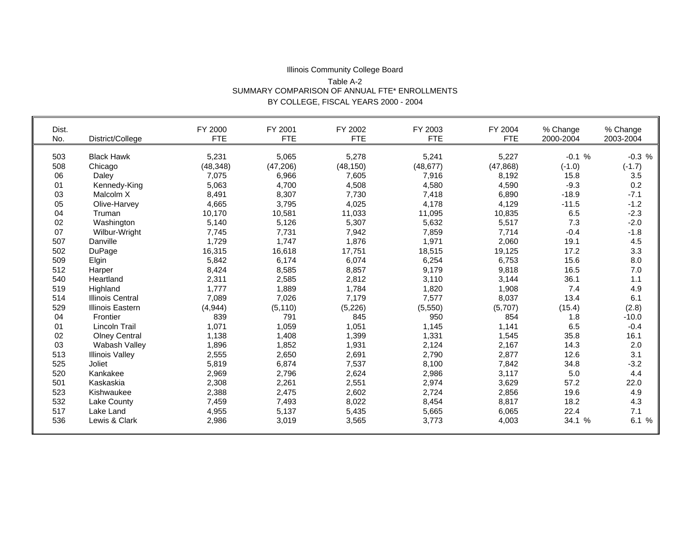#### Illinois Community College Board Table A-2 SUMMARY COMPARISON OF ANNUAL FTE\* ENROLLMENTS BY COLLEGE, FISCAL YEARS 2000 - 2004

| Dist. |                         | FY 2000    | FY 2001    | FY 2002    | FY 2003    | FY 2004    | % Change  | % Change  |
|-------|-------------------------|------------|------------|------------|------------|------------|-----------|-----------|
| No.   | District/College        | <b>FTE</b> | <b>FTE</b> | <b>FTE</b> | <b>FTE</b> | <b>FTE</b> | 2000-2004 | 2003-2004 |
| 503   | <b>Black Hawk</b>       | 5,231      | 5,065      | 5,278      | 5,241      | 5,227      | $-0.1%$   | $-0.3%$   |
| 508   | Chicago                 | (48, 348)  | (47, 206)  | (48, 150)  | (48, 677)  | (47, 868)  | $(-1.0)$  | $(-1.7)$  |
| 06    |                         |            |            |            |            |            | 15.8      | 3.5       |
|       | Daley                   | 7,075      | 6,966      | 7,605      | 7,916      | 8,192      |           |           |
| 01    | Kennedy-King            | 5,063      | 4.700      | 4,508      | 4,580      | 4,590      | $-9.3$    | 0.2       |
| 03    | Malcolm X               | 8,491      | 8,307      | 7,730      | 7,418      | 6,890      | $-18.9$   | $-7.1$    |
| 05    | Olive-Harvey            | 4,665      | 3,795      | 4,025      | 4,178      | 4,129      | $-11.5$   | $-1.2$    |
| 04    | Truman                  | 10,170     | 10,581     | 11,033     | 11,095     | 10,835     | 6.5       | $-2.3$    |
| 02    | Washington              | 5,140      | 5,126      | 5,307      | 5,632      | 5,517      | 7.3       | $-2.0$    |
| 07    | Wilbur-Wright           | 7,745      | 7,731      | 7,942      | 7,859      | 7,714      | $-0.4$    | $-1.8$    |
| 507   | Danville                | 1,729      | 1,747      | 1,876      | 1,971      | 2,060      | 19.1      | 4.5       |
| 502   | DuPage                  | 16,315     | 16,618     | 17,751     | 18,515     | 19,125     | 17.2      | 3.3       |
| 509   | Elgin                   | 5,842      | 6,174      | 6,074      | 6,254      | 6,753      | 15.6      | 8.0       |
| 512   | Harper                  | 8,424      | 8,585      | 8,857      | 9,179      | 9,818      | 16.5      | 7.0       |
| 540   | Heartland               | 2,311      | 2,585      | 2,812      | 3,110      | 3,144      | 36.1      | 1.1       |
| 519   | Highland                | 1,777      | 1,889      | 1,784      | 1,820      | 1,908      | 7.4       | 4.9       |
| 514   | <b>Illinois Central</b> | 7,089      | 7,026      | 7,179      | 7,577      | 8,037      | 13.4      | 6.1       |
| 529   | <b>Illinois Eastern</b> | (4, 944)   | (5, 110)   | (5, 226)   | (5,550)    | (5,707)    | (15.4)    | (2.8)     |
| 04    | Frontier                | 839        | 791        | 845        | 950        | 854        | 1.8       | $-10.0$   |
| 01    | Lincoln Trail           | 1,071      | 1,059      | 1,051      | 1,145      | 1,141      | 6.5       | $-0.4$    |
| 02    | <b>Olney Central</b>    | 1,138      | 1,408      | 1,399      | 1,331      | 1,545      | 35.8      | 16.1      |
| 03    | Wabash Valley           | 1,896      | 1,852      | 1,931      | 2,124      | 2,167      | 14.3      | 2.0       |
| 513   | <b>Illinois Valley</b>  | 2,555      | 2,650      | 2,691      | 2,790      | 2,877      | 12.6      | 3.1       |
| 525   | Joliet                  | 5,819      | 6,874      | 7,537      | 8,100      | 7,842      | 34.8      | $-3.2$    |
| 520   | Kankakee                | 2,969      | 2,796      | 2,624      | 2,986      | 3,117      | 5.0       | 4.4       |
| 501   | Kaskaskia               | 2,308      | 2,261      | 2,551      | 2,974      | 3,629      | 57.2      | 22.0      |
| 523   | Kishwaukee              | 2,388      | 2,475      | 2,602      | 2,724      | 2,856      | 19.6      | 4.9       |
| 532   | Lake County             |            |            |            |            |            | 18.2      | 4.3       |
|       |                         | 7,459      | 7,493      | 8,022      | 8,454      | 8,817      |           |           |
| 517   | Lake Land               | 4,955      | 5,137      | 5,435      | 5,665      | 6,065      | 22.4      | 7.1       |
| 536   | Lewis & Clark           | 2,986      | 3,019      | 3,565      | 3,773      | 4,003      | 34.1 %    | 6.1%      |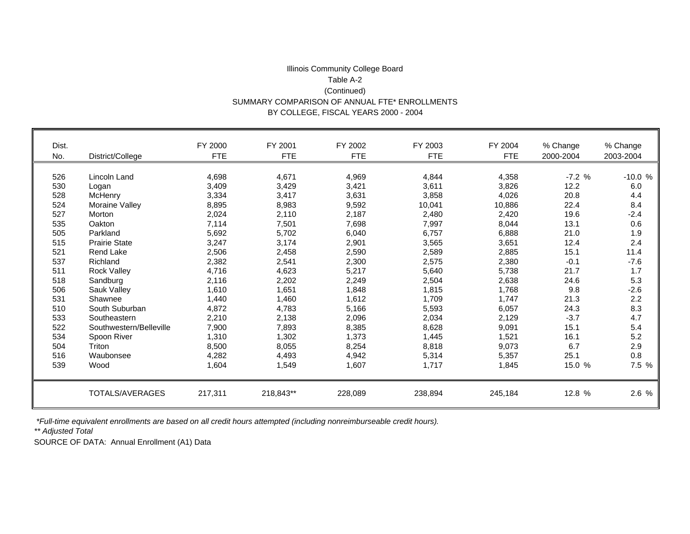#### Illinois Community College Board Table A-2 (Continued) SUMMARY COMPARISON OF ANNUAL FTE\* ENROLLMENTS BY COLLEGE, FISCAL YEARS 2000 - 2004

| Dist.<br>No. | District/College        | FY 2000<br><b>FTE</b> | FY 2001<br><b>FTE</b> | FY 2002<br><b>FTE</b> | FY 2003<br><b>FTE</b> | FY 2004<br><b>FTE</b> | % Change<br>2000-2004 | % Change<br>2003-2004 |
|--------------|-------------------------|-----------------------|-----------------------|-----------------------|-----------------------|-----------------------|-----------------------|-----------------------|
|              |                         |                       |                       |                       |                       |                       |                       |                       |
|              |                         |                       |                       |                       |                       |                       |                       |                       |
| 526          | Lincoln Land            | 4,698                 | 4,671                 | 4,969                 | 4,844                 | 4,358                 | $-7.2%$               | $-10.0%$              |
| 530          | Logan                   | 3,409                 | 3,429                 | 3,421                 | 3,611                 | 3,826                 | 12.2                  | 6.0                   |
| 528          | McHenry                 | 3,334                 | 3,417                 | 3,631                 | 3,858                 | 4,026                 | 20.8                  | 4.4                   |
| 524          | Moraine Valley          | 8,895                 | 8,983                 | 9,592                 | 10,041                | 10,886                | 22.4                  | 8.4                   |
| 527          | Morton                  | 2,024                 | 2,110                 | 2,187                 | 2,480                 | 2,420                 | 19.6                  | $-2.4$                |
| 535          | Oakton                  | 7,114                 | 7,501                 | 7,698                 | 7,997                 | 8,044                 | 13.1                  | 0.6                   |
| 505          | Parkland                | 5,692                 | 5,702                 | 6,040                 | 6,757                 | 6,888                 | 21.0                  | 1.9                   |
| 515          | <b>Prairie State</b>    | 3,247                 | 3,174                 | 2,901                 | 3,565                 | 3,651                 | 12.4                  | 2.4                   |
| 521          | <b>Rend Lake</b>        | 2,506                 | 2,458                 | 2,590                 | 2,589                 | 2,885                 | 15.1                  | 11.4                  |
| 537          | Richland                | 2,382                 | 2,541                 | 2,300                 | 2,575                 | 2,380                 | $-0.1$                | $-7.6$                |
| 511          | <b>Rock Valley</b>      | 4,716                 | 4,623                 | 5,217                 | 5,640                 | 5,738                 | 21.7                  | 1.7                   |
| 518          | Sandburg                | 2,116                 | 2,202                 | 2,249                 | 2,504                 | 2,638                 | 24.6                  | 5.3                   |
| 506          | Sauk Valley             | 1,610                 | 1,651                 | 1,848                 | 1,815                 | 1,768                 | 9.8                   | $-2.6$                |
| 531          | Shawnee                 | 1,440                 | 1,460                 | 1,612                 | 1,709                 | 1.747                 | 21.3                  | 2.2                   |
| 510          | South Suburban          | 4,872                 | 4,783                 | 5,166                 | 5,593                 | 6,057                 | 24.3                  | 8.3                   |
| 533          | Southeastern            | 2,210                 | 2,138                 | 2,096                 | 2,034                 | 2,129                 | $-3.7$                | 4.7                   |
| 522          | Southwestern/Belleville | 7,900                 | 7,893                 | 8,385                 | 8,628                 | 9,091                 | 15.1                  | 5.4                   |
| 534          | Spoon River             | 1,310                 | 1,302                 | 1,373                 | 1,445                 | 1,521                 | 16.1                  | 5.2                   |
| 504          | Triton                  | 8,500                 | 8,055                 | 8,254                 | 8,818                 | 9,073                 | 6.7                   | 2.9                   |
| 516          | Waubonsee               | 4,282                 | 4,493                 | 4,942                 | 5,314                 | 5,357                 | 25.1                  | 0.8                   |
| 539          | Wood                    | 1,604                 | 1,549                 | 1,607                 | 1,717                 | 1,845                 | 15.0 %                | 7.5 %                 |
|              |                         |                       |                       |                       |                       |                       |                       |                       |
|              | TOTALS/AVERAGES         | 217,311               | 218,843**             | 228,089               | 238,894               | 245,184               | 12.8 %                | 2.6 %                 |

 *\*Full-time equivalent enrollments are based on all credit hours attempted (including nonreimburseable credit hours).*

*\*\* Adjusted Total*

п

SOURCE OF DATA: Annual Enrollment (A1) Data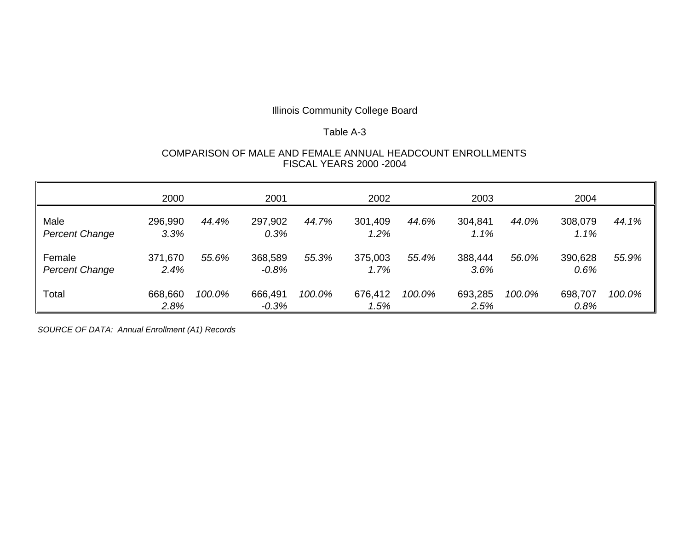#### Table A-3

#### COMPARISON OF MALE AND FEMALE ANNUAL HEADCOUNT ENROLLMENTS FISCAL YEARS 2000 -2004

|                                 | 2000            |        | 2001               |        | 2002            |        | 2003            |        | 2004            |        |
|---------------------------------|-----------------|--------|--------------------|--------|-----------------|--------|-----------------|--------|-----------------|--------|
| Male<br><b>Percent Change</b>   | 296,990<br>3.3% | 44.4%  | 297,902<br>0.3%    | 44.7%  | 301,409<br>1.2% | 44.6%  | 304,841<br>1.1% | 44.0%  | 308,079<br>1.1% | 44.1%  |
| Female<br><b>Percent Change</b> | 371,670<br>2.4% | 55.6%  | 368,589<br>$-0.8%$ | 55.3%  | 375,003<br>1.7% | 55.4%  | 388,444<br>3.6% | 56.0%  | 390,628<br>0.6% | 55.9%  |
| Total                           | 668,660<br>2.8% | 100.0% | 666,491<br>$-0.3%$ | 100.0% | 676,412<br>1.5% | 100.0% | 693,285<br>2.5% | 100.0% | 698,707<br>0.8% | 100.0% |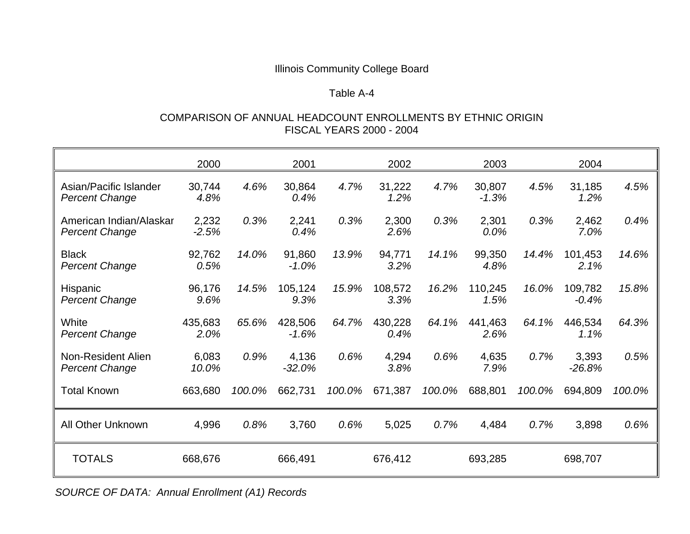# Table A-4

## COMPARISON OF ANNUAL HEADCOUNT ENROLLMENTS BY ETHNIC ORIGIN FISCAL YEARS 2000 - 2004

|                                                  | 2000             |        | 2001               |        | 2002            |        | 2003              |        | 2004               |        |
|--------------------------------------------------|------------------|--------|--------------------|--------|-----------------|--------|-------------------|--------|--------------------|--------|
| Asian/Pacific Islander<br><b>Percent Change</b>  | 30,744<br>4.8%   | 4.6%   | 30,864<br>0.4%     | 4.7%   | 31,222<br>1.2%  | 4.7%   | 30,807<br>$-1.3%$ | 4.5%   | 31,185<br>1.2%     | 4.5%   |
| American Indian/Alaskar<br><b>Percent Change</b> | 2,232<br>$-2.5%$ | 0.3%   | 2,241<br>0.4%      | 0.3%   | 2,300<br>2.6%   | 0.3%   | 2,301<br>0.0%     | 0.3%   | 2,462<br>7.0%      | 0.4%   |
| <b>Black</b><br><b>Percent Change</b>            | 92,762<br>0.5%   | 14.0%  | 91,860<br>$-1.0%$  | 13.9%  | 94,771<br>3.2%  | 14.1%  | 99,350<br>4.8%    | 14.4%  | 101,453<br>2.1%    | 14.6%  |
| Hispanic<br><b>Percent Change</b>                | 96,176<br>9.6%   | 14.5%  | 105,124<br>9.3%    | 15.9%  | 108,572<br>3.3% | 16.2%  | 110,245<br>1.5%   | 16.0%  | 109,782<br>$-0.4%$ | 15.8%  |
| White<br><b>Percent Change</b>                   | 435,683<br>2.0%  | 65.6%  | 428,506<br>$-1.6%$ | 64.7%  | 430,228<br>0.4% | 64.1%  | 441,463<br>2.6%   | 64.1%  | 446,534<br>1.1%    | 64.3%  |
| Non-Resident Alien<br><b>Percent Change</b>      | 6,083<br>10.0%   | 0.9%   | 4,136<br>$-32.0%$  | 0.6%   | 4,294<br>3.8%   | 0.6%   | 4,635<br>7.9%     | 0.7%   | 3,393<br>$-26.8%$  | 0.5%   |
| <b>Total Known</b>                               | 663,680          | 100.0% | 662,731            | 100.0% | 671,387         | 100.0% | 688,801           | 100.0% | 694,809            | 100.0% |
| All Other Unknown                                | 4,996            | 0.8%   | 3,760              | 0.6%   | 5,025           | 0.7%   | 4,484             | 0.7%   | 3,898              | 0.6%   |
| <b>TOTALS</b>                                    | 668,676          |        | 666,491            |        | 676,412         |        | 693,285           |        | 698,707            |        |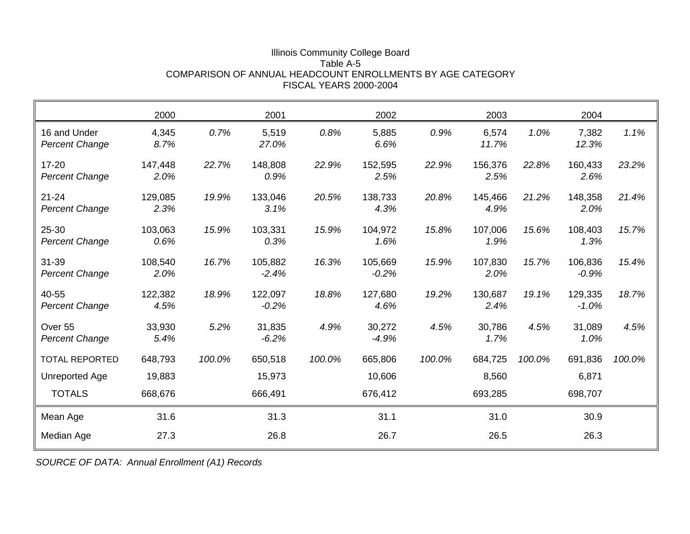#### Illinois Community College Board Table A-5 COMPARISON OF ANNUAL HEADCOUNT ENROLLMENTS BY AGE CATEGORY FISCAL YEARS 2000-2004

|                                             | 2000            |        | 2001               |        | 2002               |        | 2003            |        | 2004               |        |
|---------------------------------------------|-----------------|--------|--------------------|--------|--------------------|--------|-----------------|--------|--------------------|--------|
| 16 and Under<br><b>Percent Change</b>       | 4,345<br>8.7%   | 0.7%   | 5,519<br>27.0%     | 0.8%   | 5,885<br>6.6%      | 0.9%   | 6,574<br>11.7%  | 1.0%   | 7,382<br>12.3%     | 1.1%   |
| $17 - 20$<br><b>Percent Change</b>          | 147,448<br>2.0% | 22.7%  | 148,808<br>0.9%    | 22.9%  | 152,595<br>2.5%    | 22.9%  | 156,376<br>2.5% | 22.8%  | 160,433<br>2.6%    | 23.2%  |
| $21 - 24$<br><b>Percent Change</b>          | 129,085<br>2.3% | 19.9%  | 133,046<br>3.1%    | 20.5%  | 138,733<br>4.3%    | 20.8%  | 145,466<br>4.9% | 21.2%  | 148,358<br>2.0%    | 21.4%  |
| 25-30<br><b>Percent Change</b>              | 103,063<br>0.6% | 15.9%  | 103,331<br>0.3%    | 15.9%  | 104,972<br>1.6%    | 15.8%  | 107,006<br>1.9% | 15.6%  | 108,403<br>1.3%    | 15.7%  |
| 31-39<br><b>Percent Change</b>              | 108,540<br>2.0% | 16.7%  | 105,882<br>$-2.4%$ | 16.3%  | 105,669<br>$-0.2%$ | 15.9%  | 107,830<br>2.0% | 15.7%  | 106,836<br>$-0.9%$ | 15.4%  |
| 40-55<br><b>Percent Change</b>              | 122,382<br>4.5% | 18.9%  | 122,097<br>$-0.2%$ | 18.8%  | 127,680<br>4.6%    | 19.2%  | 130,687<br>2.4% | 19.1%  | 129,335<br>$-1.0%$ | 18.7%  |
| Over <sub>55</sub><br><b>Percent Change</b> | 33,930<br>5.4%  | 5.2%   | 31,835<br>$-6.2%$  | 4.9%   | 30,272<br>$-4.9%$  | 4.5%   | 30,786<br>1.7%  | 4.5%   | 31,089<br>1.0%     | 4.5%   |
| <b>TOTAL REPORTED</b>                       | 648,793         | 100.0% | 650,518            | 100.0% | 665,806            | 100.0% | 684,725         | 100.0% | 691,836            | 100.0% |
| Unreported Age                              | 19,883          |        | 15,973             |        | 10,606             |        | 8,560           |        | 6,871              |        |
| <b>TOTALS</b>                               | 668,676         |        | 666,491            |        | 676,412            |        | 693,285         |        | 698,707            |        |
| Mean Age                                    | 31.6            |        | 31.3               |        | 31.1               |        | 31.0            |        | 30.9               |        |
| Median Age                                  | 27.3            |        | 26.8               |        | 26.7               |        | 26.5            |        | 26.3               |        |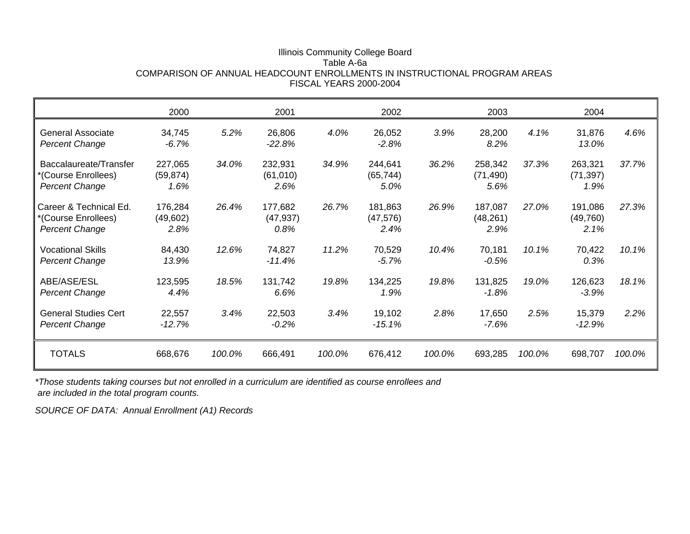#### Illinois Community College Board Table A-6a COMPARISON OF ANNUAL HEADCOUNT ENROLLMENTS IN INSTRUCTIONAL PROGRAM AREAS FISCAL YEARS 2000-2004

|                                                                        | 2000                         |        | 2001                         |        | 2002                         |        | 2003                         |        | 2004                         |        |
|------------------------------------------------------------------------|------------------------------|--------|------------------------------|--------|------------------------------|--------|------------------------------|--------|------------------------------|--------|
| <b>General Associate</b><br><b>Percent Change</b>                      | 34,745<br>$-6.7%$            | 5.2%   | 26,806<br>$-22.8%$           | 4.0%   | 26,052<br>$-2.8%$            | 3.9%   | 28,200<br>8.2%               | 4.1%   | 31,876<br>13.0%              | 4.6%   |
| Baccalaureate/Transfer<br>*(Course Enrollees)<br><b>Percent Change</b> | 227,065<br>(59, 874)<br>1.6% | 34.0%  | 232,931<br>(61,010)<br>2.6%  | 34.9%  | 244,641<br>(65, 744)<br>5.0% | 36.2%  | 258,342<br>(71, 490)<br>5.6% | 37.3%  | 263,321<br>(71, 397)<br>1.9% | 37.7%  |
| Career & Technical Ed.<br>*(Course Enrollees)<br><b>Percent Change</b> | 176,284<br>(49,602)<br>2.8%  | 26.4%  | 177,682<br>(47, 937)<br>0.8% | 26.7%  | 181,863<br>(47, 576)<br>2.4% | 26.9%  | 187,087<br>(48, 261)<br>2.9% | 27.0%  | 191,086<br>(49,760)<br>2.1%  | 27.3%  |
| <b>Vocational Skills</b><br><b>Percent Change</b>                      | 84,430<br>13.9%              | 12.6%  | 74,827<br>$-11.4%$           | 11.2%  | 70,529<br>$-5.7%$            | 10.4%  | 70,181<br>$-0.5%$            | 10.1%  | 70,422<br>0.3%               | 10.1%  |
| ABE/ASE/ESL<br><b>Percent Change</b>                                   | 123,595<br>4.4%              | 18.5%  | 131,742<br>6.6%              | 19.8%  | 134,225<br>1.9%              | 19.8%  | 131,825<br>$-1.8%$           | 19.0%  | 126,623<br>$-3.9%$           | 18.1%  |
| <b>General Studies Cert</b><br><b>Percent Change</b>                   | 22,557<br>$-12.7%$           | 3.4%   | 22,503<br>$-0.2%$            | 3.4%   | 19,102<br>$-15.1%$           | 2.8%   | 17,650<br>$-7.6%$            | 2.5%   | 15,379<br>$-12.9%$           | 2.2%   |
| <b>TOTALS</b>                                                          | 668,676                      | 100.0% | 666,491                      | 100.0% | 676,412                      | 100.0% | 693,285                      | 100.0% | 698,707                      | 100.0% |

*\*Those students taking courses but not enrolled in a curriculum are identified as course enrollees and are included in the total program counts.*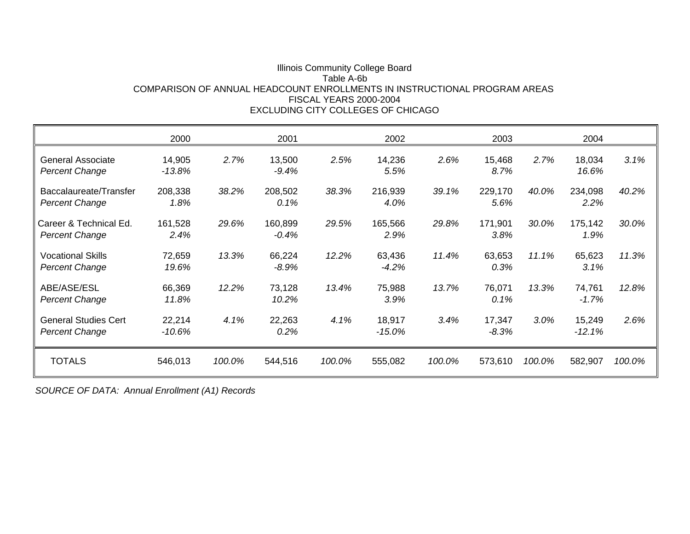#### Illinois Community College Board Table A-6b COMPARISON OF ANNUAL HEADCOUNT ENROLLMENTS IN INSTRUCTIONAL PROGRAM AREASFISCAL YEARS 2000-2004EXCLUDING CITY COLLEGES OF CHICAGO

|                                                      | 2000                |        | 2001              |        | 2002               |        | 2003              |        | 2004               |        |
|------------------------------------------------------|---------------------|--------|-------------------|--------|--------------------|--------|-------------------|--------|--------------------|--------|
| <b>General Associate</b><br><b>Percent Change</b>    | 14,905<br>$-13.8%$  | 2.7%   | 13,500<br>$-9.4%$ | 2.5%   | 14,236<br>5.5%     | 2.6%   | 15,468<br>8.7%    | 2.7%   | 18,034<br>16.6%    | 3.1%   |
| Baccalaureate/Transfer<br><b>Percent Change</b>      | 208,338<br>1.8%     | 38.2%  | 208,502<br>0.1%   | 38.3%  | 216,939<br>4.0%    | 39.1%  | 229,170<br>5.6%   | 40.0%  | 234,098<br>2.2%    | 40.2%  |
| Career & Technical Ed.<br><b>Percent Change</b>      | 161,528<br>2.4%     | 29.6%  | 160,899<br>-0.4%  | 29.5%  | 165,566<br>2.9%    | 29.8%  | 171,901<br>3.8%   | 30.0%  | 175,142<br>1.9%    | 30.0%  |
| <b>Vocational Skills</b><br>Percent Change           | 72,659<br>19.6%     | 13.3%  | 66,224<br>-8.9%   | 12.2%  | 63,436<br>$-4.2\%$ | 11.4%  | 63,653<br>0.3%    | 11.1%  | 65,623<br>3.1%     | 11.3%  |
| ABE/ASE/ESL<br><b>Percent Change</b>                 | 66,369<br>11.8%     | 12.2%  | 73,128<br>10.2%   | 13.4%  | 75,988<br>3.9%     | 13.7%  | 76,071<br>0.1%    | 13.3%  | 74,761<br>$-1.7%$  | 12.8%  |
| <b>General Studies Cert</b><br><b>Percent Change</b> | 22,214<br>$-10.6\%$ | 4.1%   | 22,263<br>0.2%    | 4.1%   | 18,917<br>$-15.0%$ | 3.4%   | 17,347<br>$-8.3%$ | 3.0%   | 15,249<br>$-12.1%$ | 2.6%   |
| <b>TOTALS</b>                                        | 546,013             | 100.0% | 544,516           | 100.0% | 555,082            | 100.0% | 573,610           | 100.0% | 582,907            | 100.0% |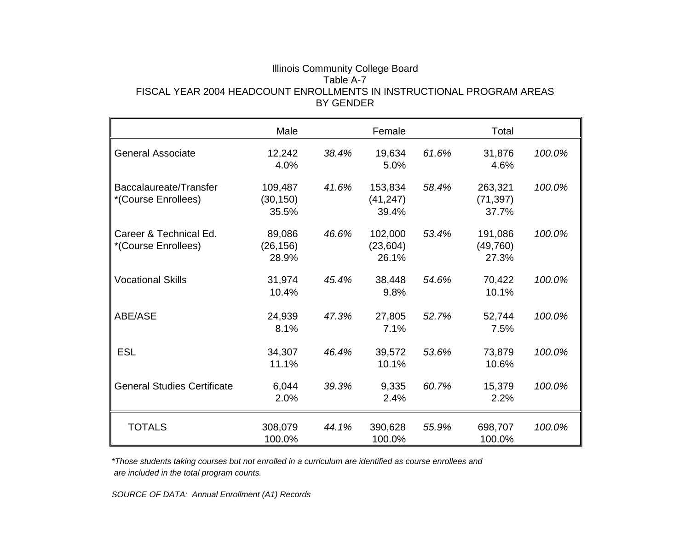#### Illinois Community College Board Table A-7 FISCAL YEAR 2004 HEADCOUNT ENROLLMENTS IN INSTRUCTIONAL PROGRAM AREASBY GENDER

|                                               | Male                          |       | Female                        |       | Total                         |        |
|-----------------------------------------------|-------------------------------|-------|-------------------------------|-------|-------------------------------|--------|
| <b>General Associate</b>                      | 12,242<br>4.0%                | 38.4% | 19,634<br>5.0%                | 61.6% | 31,876<br>4.6%                | 100.0% |
| Baccalaureate/Transfer<br>*(Course Enrollees) | 109,487<br>(30, 150)<br>35.5% | 41.6% | 153,834<br>(41, 247)<br>39.4% | 58.4% | 263,321<br>(71, 397)<br>37.7% | 100.0% |
| Career & Technical Ed.<br>*(Course Enrollees) | 89,086<br>(26, 156)<br>28.9%  | 46.6% | 102,000<br>(23, 604)<br>26.1% | 53.4% | 191,086<br>(49, 760)<br>27.3% | 100.0% |
| <b>Vocational Skills</b>                      | 31,974<br>10.4%               | 45.4% | 38,448<br>9.8%                | 54.6% | 70,422<br>10.1%               | 100.0% |
| ABE/ASE                                       | 24,939<br>8.1%                | 47.3% | 27,805<br>7.1%                | 52.7% | 52,744<br>7.5%                | 100.0% |
| <b>ESL</b>                                    | 34,307<br>11.1%               | 46.4% | 39,572<br>10.1%               | 53.6% | 73,879<br>10.6%               | 100.0% |
| <b>General Studies Certificate</b>            | 6,044<br>2.0%                 | 39.3% | 9,335<br>2.4%                 | 60.7% | 15,379<br>2.2%                | 100.0% |
| <b>TOTALS</b>                                 | 308,079<br>100.0%             | 44.1% | 390,628<br>100.0%             | 55.9% | 698,707<br>100.0%             | 100.0% |

*\*Those students taking courses but not enrolled in a curriculum are identified as course enrollees and are included in the total program counts.*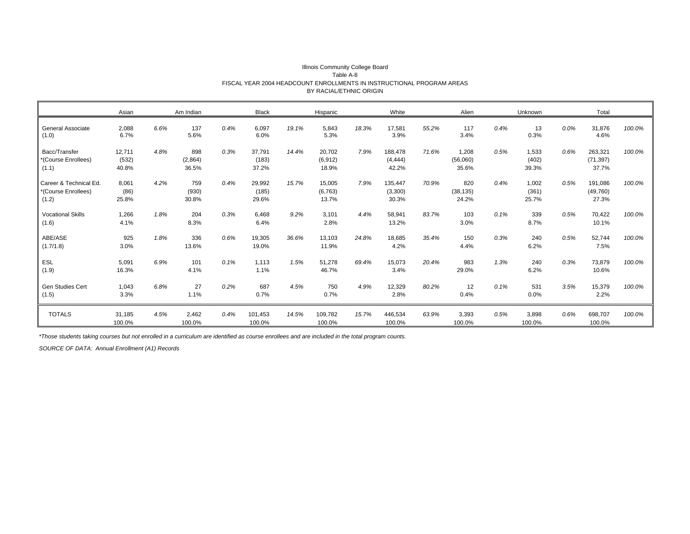|                                                        | Asian                    |      | Am Indian               |      | <b>Black</b>             |       | Hispanic                    |       | White                        |       | Alien                      |      | Unknown                 |      | Total                         |        |
|--------------------------------------------------------|--------------------------|------|-------------------------|------|--------------------------|-------|-----------------------------|-------|------------------------------|-------|----------------------------|------|-------------------------|------|-------------------------------|--------|
| General Associate<br>(1.0)                             | 2,088<br>6.7%            | 6.6% | 137<br>5.6%             | 0.4% | 6,097<br>6.0%            | 19.1% | 5,843<br>5.3%               | 18.3% | 17,581<br>3.9%               | 55.2% | 117<br>3.4%                | 0.4% | 13<br>0.3%              | 0.0% | 31,876<br>4.6%                | 100.0% |
| Bacc/Transfer<br>*(Course Enrollees)<br>(1.1)          | 12,711<br>(532)<br>40.8% | 4.8% | 898<br>(2,864)<br>36.5% | 0.3% | 37,791<br>(183)<br>37.2% | 14.4% | 20,702<br>(6, 912)<br>18.9% | 7.9%  | 188,478<br>(4, 444)<br>42.2% | 71.6% | 1,208<br>(56,060)<br>35.6% | 0.5% | 1,533<br>(402)<br>39.3% | 0.6% | 263,321<br>(71, 397)<br>37.7% | 100.0% |
| Career & Technical Ed.<br>*(Course Enrollees)<br>(1.2) | 8,061<br>(86)<br>25.8%   | 4.2% | 759<br>(930)<br>30.8%   | 0.4% | 29,992<br>(185)<br>29.6% | 15.7% | 15,005<br>(6, 763)<br>13.7% | 7.9%  | 135,447<br>(3,300)<br>30.3%  | 70.9% | 820<br>(38, 135)<br>24.2%  | 0.4% | 1,002<br>(361)<br>25.7% | 0.5% | 191,086<br>(49,760)<br>27.3%  | 100.0% |
| <b>Vocational Skills</b><br>(1.6)                      | 1,266<br>4.1%            | 1.8% | 204<br>8.3%             | 0.3% | 6,468<br>6.4%            | 9.2%  | 3,101<br>2.8%               | 4.4%  | 58,941<br>13.2%              | 83.7% | 103<br>3.0%                | 0.1% | 339<br>8.7%             | 0.5% | 70,422<br>10.1%               | 100.0% |
| ABE/ASE<br>(1.7/1.8)                                   | 925<br>3.0%              | 1.8% | 336<br>13.6%            | 0.6% | 19,305<br>19.0%          | 36.6% | 13,103<br>11.9%             | 24.8% | 18,685<br>4.2%               | 35.4% | 150<br>4.4%                | 0.3% | 240<br>6.2%             | 0.5% | 52,744<br>7.5%                | 100.0% |
| ESL<br>(1.9)                                           | 5,091<br>16.3%           | 6.9% | 101<br>4.1%             | 0.1% | 1.113<br>1.1%            | 1.5%  | 51,278<br>46.7%             | 69.4% | 15,073<br>3.4%               | 20.4% | 983<br>29.0%               | 1.3% | 240<br>6.2%             | 0.3% | 73,879<br>10.6%               | 100.0% |
| Gen Studies Cert<br>(1.5)                              | 1,043<br>3.3%            | 6.8% | 27<br>1.1%              | 0.2% | 687<br>0.7%              | 4.5%  | 750<br>0.7%                 | 4.9%  | 12,329<br>2.8%               | 80.2% | 12<br>0.4%                 | 0.1% | 531<br>0.0%             | 3.5% | 15,379<br>2.2%                | 100.0% |
| <b>TOTALS</b>                                          | 31,185<br>100.0%         | 4.5% | 2,462<br>100.0%         | 0.4% | 101,453<br>100.0%        | 14.5% | 109,782<br>100.0%           | 15.7% | 446,534<br>100.0%            | 63.9% | 3,393<br>100.0%            | 0.5% | 3,898<br>100.0%         | 0.6% | 698,707<br>100.0%             | 100.0% |

#### Illinois Community College Board Table A-8 FISCAL YEAR 2004 HEADCOUNT ENROLLMENTS IN INSTRUCTIONAL PROGRAM AREAS BY RACIAL/ETHNIC ORIGIN

*\*Those students taking courses but not enrolled in a curriculum are identified as course enrollees and are included in the total program counts.*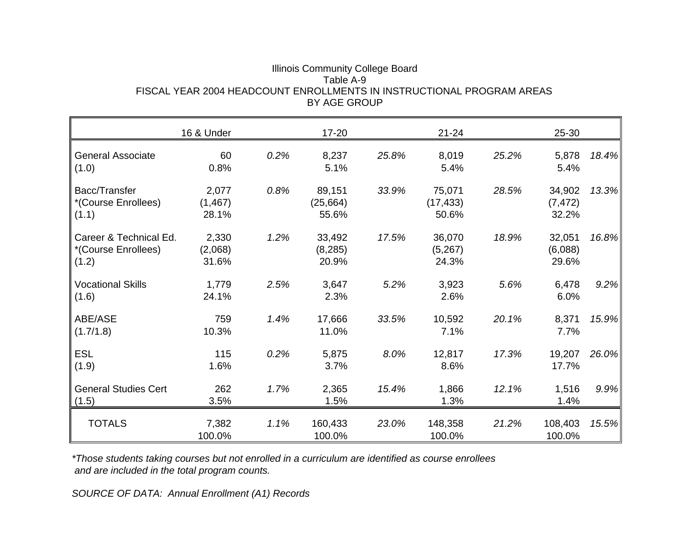| Illinois Community College Board                                      |
|-----------------------------------------------------------------------|
| Table A-9.                                                            |
| FISCAL YEAR 2004 HEADCOUNT ENROLLMENTS IN INSTRUCTIONAL PROGRAM AREAS |
| BY AGE GROUP                                                          |

|                                                        | 16 & Under                 |      | $17 - 20$                    |       | $21 - 24$                    |       | 25-30                       |       |
|--------------------------------------------------------|----------------------------|------|------------------------------|-------|------------------------------|-------|-----------------------------|-------|
| <b>General Associate</b><br>(1.0)                      | 60<br>0.8%                 | 0.2% | 8,237<br>5.1%                | 25.8% | 8,019<br>5.4%                | 25.2% | 5,878<br>5.4%               | 18.4% |
| Bacc/Transfer<br>*(Course Enrollees)<br>(1.1)          | 2,077<br>(1, 467)<br>28.1% | 0.8% | 89,151<br>(25, 664)<br>55.6% | 33.9% | 75,071<br>(17, 433)<br>50.6% | 28.5% | 34,902<br>(7, 472)<br>32.2% | 13.3% |
| Career & Technical Ed.<br>*(Course Enrollees)<br>(1.2) | 2,330<br>(2,068)<br>31.6%  | 1.2% | 33,492<br>(8, 285)<br>20.9%  | 17.5% | 36,070<br>(5,267)<br>24.3%   | 18.9% | 32,051<br>(6,088)<br>29.6%  | 16.8% |
| <b>Vocational Skills</b><br>(1.6)                      | 1,779<br>24.1%             | 2.5% | 3,647<br>2.3%                | 5.2%  | 3,923<br>2.6%                | 5.6%  | 6,478<br>6.0%               | 9.2%  |
| ABE/ASE<br>(1.7/1.8)                                   | 759<br>10.3%               | 1.4% | 17,666<br>11.0%              | 33.5% | 10,592<br>7.1%               | 20.1% | 8,371<br>7.7%               | 15.9% |
| <b>ESL</b><br>(1.9)                                    | 115<br>1.6%                | 0.2% | 5,875<br>3.7%                | 8.0%  | 12,817<br>8.6%               | 17.3% | 19,207<br>17.7%             | 26.0% |
| <b>General Studies Cert</b><br>(1.5)                   | 262<br>3.5%                | 1.7% | 2,365<br>1.5%                | 15.4% | 1,866<br>1.3%                | 12.1% | 1,516<br>1.4%               | 9.9%  |
| <b>TOTALS</b>                                          | 7,382<br>100.0%            | 1.1% | 160,433<br>100.0%            | 23.0% | 148,358<br>100.0%            | 21.2% | 108,403<br>100.0%           | 15.5% |

*\*Those students taking courses but not enrolled in a curriculum are identified as course enrollees and are included in the total program counts.*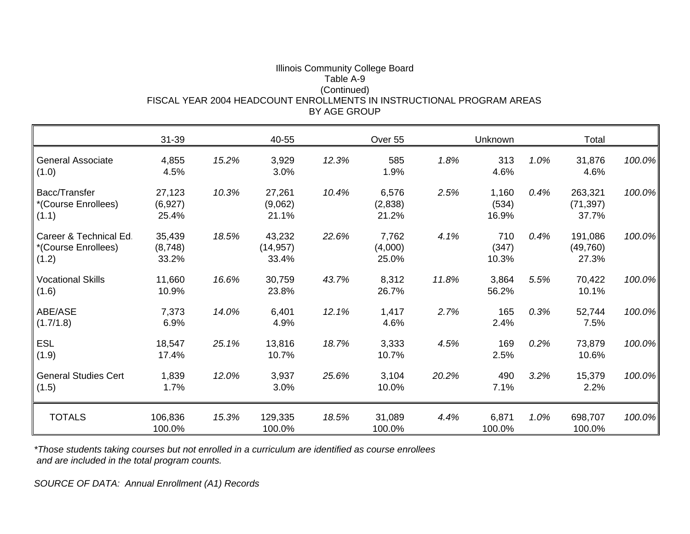#### Illinois Community College Board Table A-9 (Continued) FISCAL YEAR 2004 HEADCOUNT ENROLLMENTS IN INSTRUCTIONAL PROGRAM AREASBY AGE GROUP

|                                                        | $31 - 39$                  |       | 40-55                        |       | Over 55                   |       | Unknown                 |      | Total                         |           |
|--------------------------------------------------------|----------------------------|-------|------------------------------|-------|---------------------------|-------|-------------------------|------|-------------------------------|-----------|
| <b>General Associate</b><br>(1.0)                      | 4,855<br>4.5%              | 15.2% | 3,929<br>3.0%                | 12.3% | 585<br>1.9%               | 1.8%  | 313<br>4.6%             | 1.0% | 31,876<br>4.6%                | 100.0%    |
| Bacc/Transfer<br>*(Course Enrollees)<br>(1.1)          | 27,123<br>(6,927)<br>25.4% | 10.3% | 27,261<br>(9,062)<br>21.1%   | 10.4% | 6,576<br>(2,838)<br>21.2% | 2.5%  | 1,160<br>(534)<br>16.9% | 0.4% | 263,321<br>(71, 397)<br>37.7% | 100.0%    |
| Career & Technical Ed.<br>*(Course Enrollees)<br>(1.2) | 35,439<br>(8,748)<br>33.2% | 18.5% | 43,232<br>(14, 957)<br>33.4% | 22.6% | 7,762<br>(4,000)<br>25.0% | 4.1%  | 710<br>(347)<br>10.3%   | 0.4% | 191,086<br>(49, 760)<br>27.3% | 100.0%    |
| <b>Vocational Skills</b><br>(1.6)                      | 11,660<br>10.9%            | 16.6% | 30,759<br>23.8%              | 43.7% | 8,312<br>26.7%            | 11.8% | 3,864<br>56.2%          | 5.5% | 70,422<br>10.1%               | 100.0%    |
| ABE/ASE<br>(1.7/1.8)                                   | 7,373<br>6.9%              | 14.0% | 6,401<br>4.9%                | 12.1% | 1,417<br>4.6%             | 2.7%  | 165<br>2.4%             | 0.3% | 52,744<br>7.5%                | 100.0%    |
| <b>ESL</b><br>(1.9)                                    | 18,547<br>17.4%            | 25.1% | 13,816<br>10.7%              | 18.7% | 3,333<br>10.7%            | 4.5%  | 169<br>2.5%             | 0.2% | 73,879<br>10.6%               | 100.0%    |
| <b>General Studies Cert</b><br>(1.5)                   | 1,839<br>1.7%              | 12.0% | 3,937<br>3.0%                | 25.6% | 3,104<br>10.0%            | 20.2% | 490<br>7.1%             | 3.2% | 15,379<br>2.2%                | 100.0%    |
| <b>TOTALS</b>                                          | 106,836<br>100.0%          | 15.3% | 129,335<br>100.0%            | 18.5% | 31,089<br>100.0%          | 4.4%  | 6,871<br>100.0%         | 1.0% | 698,707<br>100.0%             | $100.0\%$ |

*\*Those students taking courses but not enrolled in a curriculum are identified as course enrollees and are included in the total program counts.*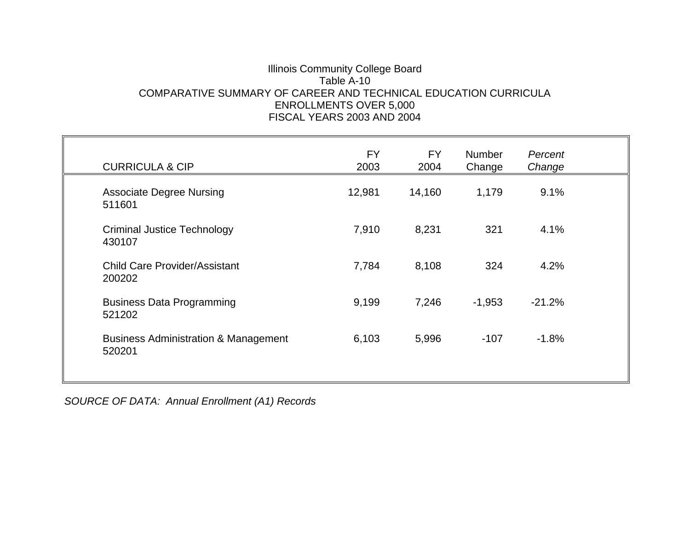## Illinois Community College Board Table A-10COMPARATIVE SUMMARY OF CAREER AND TECHNICAL EDUCATION CURRICULA ENROLLMENTS OVER 5,000 FISCAL YEARS 2003 AND 2004

| <b>CURRICULA &amp; CIP</b>                                | <b>FY</b><br>2003 | <b>FY</b><br>2004 | <b>Number</b><br>Change | Percent<br>Change |  |
|-----------------------------------------------------------|-------------------|-------------------|-------------------------|-------------------|--|
| <b>Associate Degree Nursing</b><br>511601                 | 12,981            | 14,160            | 1,179                   | 9.1%              |  |
| <b>Criminal Justice Technology</b><br>430107              | 7,910             | 8,231             | 321                     | 4.1%              |  |
| <b>Child Care Provider/Assistant</b><br>200202            | 7,784             | 8,108             | 324                     | 4.2%              |  |
| <b>Business Data Programming</b><br>521202                | 9,199             | 7,246             | $-1,953$                | $-21.2%$          |  |
| <b>Business Administration &amp; Management</b><br>520201 | 6,103             | 5,996             | $-107$                  | $-1.8%$           |  |
|                                                           |                   |                   |                         |                   |  |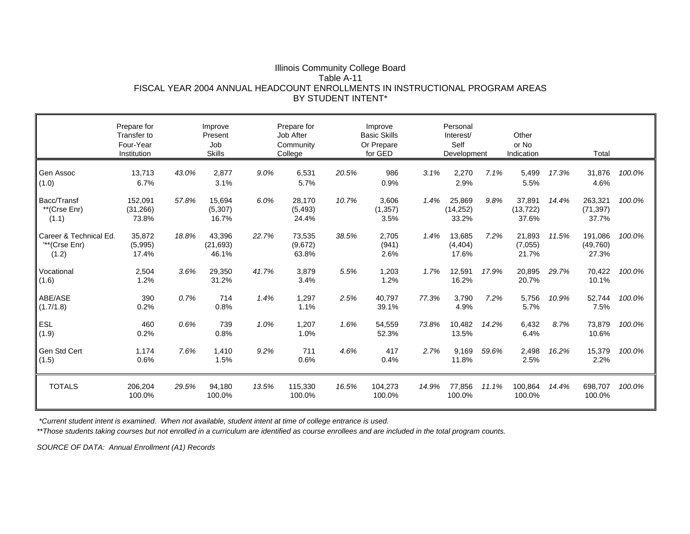#### Illinois Community College Board Table A-11 FISCAL YEAR 2004 ANNUAL HEADCOUNT ENROLLMENTS IN INSTRUCTIONAL PROGRAM AREASBY STUDENT INTENT\*

|                                                  | Prepare for<br>Transfer to<br>Four-Year<br>Institution |       | Improve<br>Present<br>Job<br><b>Skills</b> |       | Prepare for<br>Job After<br>Community<br>College |       | Improve<br><b>Basic Skills</b><br>Or Prepare<br>for GED |       | Personal<br>Interest/<br>Self<br>Development |       | Other<br>or No<br>Indication |       | Total                         |        |
|--------------------------------------------------|--------------------------------------------------------|-------|--------------------------------------------|-------|--------------------------------------------------|-------|---------------------------------------------------------|-------|----------------------------------------------|-------|------------------------------|-------|-------------------------------|--------|
| Gen Assoc<br>(1.0)                               | 13,713<br>6.7%                                         | 43.0% | 2,877<br>3.1%                              | 9.0%  | 6,531<br>5.7%                                    | 20.5% | 986<br>0.9%                                             | 3.1%  | 2,270<br>2.9%                                | 7.1%  | 5.499<br>5.5%                | 17.3% | 31,876<br>4.6%                | 100.0% |
| Bacc/Transf<br>**(Crse Enr)<br>(1.1)             | 152,091<br>(31, 266)<br>73.8%                          | 57.8% | 15,694<br>(5,307)<br>16.7%                 | 6.0%  | 28,170<br>(5, 493)<br>24.4%                      | 10.7% | 3,606<br>(1, 357)<br>3.5%                               | 1.4%  | 25,869<br>(14, 252)<br>33.2%                 | 9.8%  | 37,891<br>(13, 722)<br>37.6% | 14.4% | 263,321<br>(71, 397)<br>37.7% | 100.0% |
| Career & Technical Ed.<br>"**(Crse Enr)<br>(1.2) | 35,872<br>(5,995)<br>17.4%                             | 18.8% | 43,396<br>(21, 693)<br>46.1%               | 22.7% | 73,535<br>(9,672)<br>63.8%                       | 38.5% | 2,705<br>(941)<br>2.6%                                  | 1.4%  | 13,685<br>(4, 404)<br>17.6%                  | 7.2%  | 21,893<br>(7,055)<br>21.7%   | 11.5% | 191,086<br>(49,760)<br>27.3%  | 100.0% |
| Vocational<br>(1.6)                              | 2,504<br>1.2%                                          | 3.6%  | 29,350<br>31.2%                            | 41.7% | 3,879<br>3.4%                                    | 5.5%  | 1,203<br>1.2%                                           | 1.7%  | 12,591<br>16.2%                              | 17.9% | 20,895<br>20.7%              | 29.7% | 70,422<br>10.1%               | 100.0% |
| ABE/ASE<br>(1.7/1.8)                             | 390<br>0.2%                                            | 0.7%  | 714<br>0.8%                                | 1.4%  | 1,297<br>1.1%                                    | 2.5%  | 40,797<br>39.1%                                         | 77.3% | 3,790<br>4.9%                                | 7.2%  | 5,756<br>5.7%                | 10.9% | 52,744<br>7.5%                | 100.0% |
| ESL<br>(1.9)                                     | 460<br>0.2%                                            | 0.6%  | 739<br>0.8%                                | 1.0%  | 1,207<br>1.0%                                    | 1.6%  | 54,559<br>52.3%                                         | 73.8% | 10,482<br>13.5%                              | 14.2% | 6,432<br>6.4%                | 8.7%  | 73,879<br>10.6%               | 100.0% |
| Gen Std Cert<br>(1.5)                            | 1,174<br>0.6%                                          | 7.6%  | 1,410<br>1.5%                              | 9.2%  | 711<br>0.6%                                      | 4.6%  | 417<br>0.4%                                             | 2.7%  | 9,169<br>11.8%                               | 59.6% | 2,498<br>2.5%                | 16.2% | 15,379<br>2.2%                | 100.0% |
| <b>TOTALS</b>                                    | 206,204<br>100.0%                                      | 29.5% | 94,180<br>100.0%                           | 13.5% | 115,330<br>100.0%                                | 16.5% | 104,273<br>100.0%                                       | 14.9% | 77,856<br>100.0%                             | 11.1% | 100,864<br>100.0%            | 14.4% | 698,707<br>100.0%             | 100.0% |

 *\*Current student intent is examined. When not available, student intent at time of college entrance is used.*

*\*\*Those students taking courses but not enrolled in a curriculum are identified as course enrollees and are included in the total program counts.*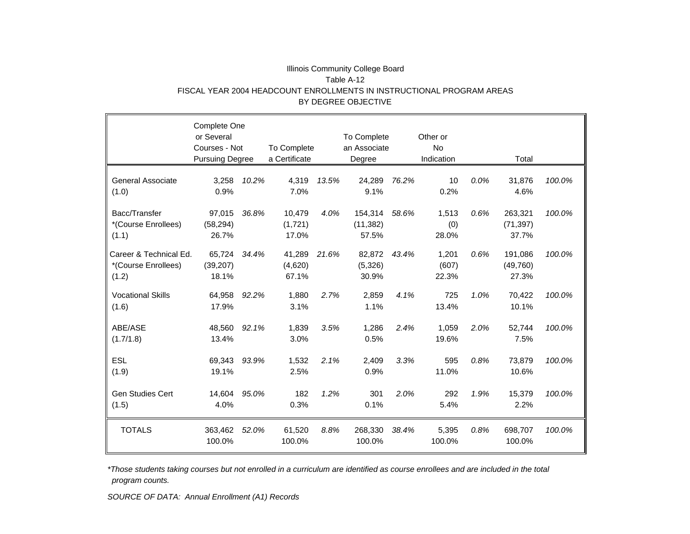#### Illinois Community College Board Table A-12 FISCAL YEAR 2004 HEADCOUNT ENROLLMENTS IN INSTRUCTIONAL PROGRAM AREAS BY DEGREE OBJECTIVE

|                                                        | Complete One<br>or Several<br>Courses - Not<br><b>Pursuing Degree</b> |       | To Complete<br>a Certificate |       | To Complete<br>an Associate<br>Degree |       | Other or<br>No<br>Indication |      | Total                         |        |
|--------------------------------------------------------|-----------------------------------------------------------------------|-------|------------------------------|-------|---------------------------------------|-------|------------------------------|------|-------------------------------|--------|
| <b>General Associate</b><br>(1.0)                      | 3,258<br>0.9%                                                         | 10.2% | 4,319<br>7.0%                | 13.5% | 24,289<br>9.1%                        | 76.2% | 10<br>0.2%                   | 0.0% | 31,876<br>4.6%                | 100.0% |
| Bacc/Transfer<br>*(Course Enrollees)<br>(1.1)          | 97,015<br>(58, 294)<br>26.7%                                          | 36.8% | 10,479<br>(1,721)<br>17.0%   | 4.0%  | 154,314<br>(11, 382)<br>57.5%         | 58.6% | 1,513<br>(0)<br>28.0%        | 0.6% | 263,321<br>(71, 397)<br>37.7% | 100.0% |
| Career & Technical Ed.<br>*(Course Enrollees)<br>(1.2) | 65,724<br>(39, 207)<br>18.1%                                          | 34.4% | 41,289<br>(4,620)<br>67.1%   | 21.6% | 82,872<br>(5,326)<br>30.9%            | 43.4% | 1,201<br>(607)<br>22.3%      | 0.6% | 191,086<br>(49, 760)<br>27.3% | 100.0% |
| <b>Vocational Skills</b><br>(1.6)                      | 64,958<br>17.9%                                                       | 92.2% | 1,880<br>3.1%                | 2.7%  | 2,859<br>1.1%                         | 4.1%  | 725<br>13.4%                 | 1.0% | 70,422<br>10.1%               | 100.0% |
| ABE/ASE<br>(1.7/1.8)                                   | 48,560<br>13.4%                                                       | 92.1% | 1,839<br>3.0%                | 3.5%  | 1,286<br>0.5%                         | 2.4%  | 1,059<br>19.6%               | 2.0% | 52,744<br>7.5%                | 100.0% |
| <b>ESL</b><br>(1.9)                                    | 69,343<br>19.1%                                                       | 93.9% | 1,532<br>2.5%                | 2.1%  | 2,409<br>0.9%                         | 3.3%  | 595<br>11.0%                 | 0.8% | 73,879<br>10.6%               | 100.0% |
| <b>Gen Studies Cert</b><br>(1.5)                       | 14,604<br>4.0%                                                        | 95.0% | 182<br>0.3%                  | 1.2%  | 301<br>0.1%                           | 2.0%  | 292<br>5.4%                  | 1.9% | 15,379<br>2.2%                | 100.0% |
| <b>TOTALS</b>                                          | 363,462<br>100.0%                                                     | 52.0% | 61,520<br>100.0%             | 8.8%  | 268,330<br>100.0%                     | 38.4% | 5,395<br>100.0%              | 0.8% | 698,707<br>100.0%             | 100.0% |

*\*Those students taking courses but not enrolled in a curriculum are identified as course enrollees and are included in the total program counts.*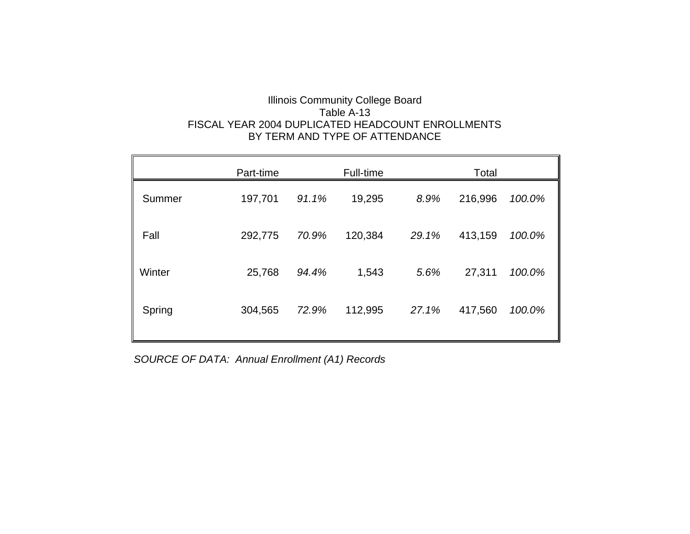## Illinois Community College Board Table A-13 FISCAL YEAR 2004 DUPLICATED HEADCOUNT ENROLLMENTSBY TERM AND TYPE OF ATTENDANCE

|        | Part-time |       | Full-time |       | Total   |        |
|--------|-----------|-------|-----------|-------|---------|--------|
| Summer | 197,701   | 91.1% | 19,295    | 8.9%  | 216,996 | 100.0% |
| Fall   | 292,775   | 70.9% | 120,384   | 29.1% | 413,159 | 100.0% |
| Winter | 25,768    | 94.4% | 1,543     | 5.6%  | 27,311  | 100.0% |
| Spring | 304,565   | 72.9% | 112,995   | 27.1% | 417,560 | 100.0% |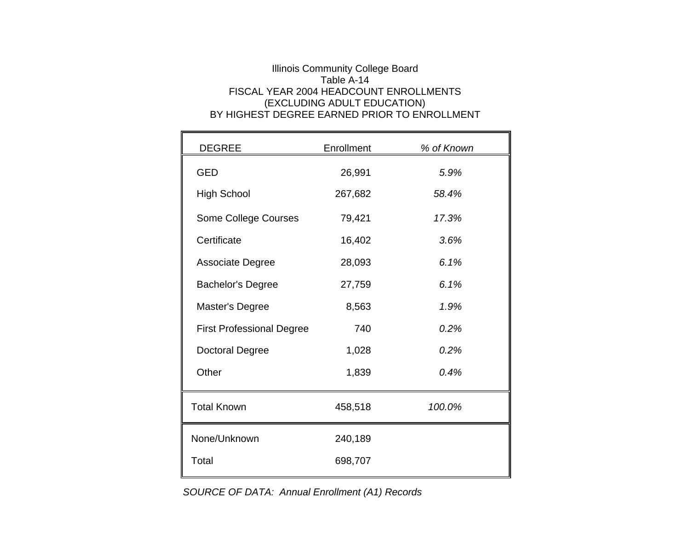## Illinois Community College Board Table A-14 FISCAL YEAR 2004 HEADCOUNT ENROLLMENTS(EXCLUDING ADULT EDUCATION) BY HIGHEST DEGREE EARNED PRIOR TO ENROLLMENT

| <b>DEGREE</b>                    | Enrollment | % of Known |
|----------------------------------|------------|------------|
| <b>GED</b>                       | 26,991     | 5.9%       |
| <b>High School</b>               | 267,682    | 58.4%      |
| Some College Courses             | 79,421     | 17.3%      |
| Certificate                      | 16,402     | 3.6%       |
| <b>Associate Degree</b>          | 28,093     | 6.1%       |
| <b>Bachelor's Degree</b>         | 27,759     | 6.1%       |
| Master's Degree                  | 8,563      | 1.9%       |
| <b>First Professional Degree</b> | 740        | 0.2%       |
| <b>Doctoral Degree</b>           | 1,028      | 0.2%       |
| Other                            | 1,839      | 0.4%       |
| <b>Total Known</b>               | 458,518    | 100.0%     |
| None/Unknown                     | 240,189    |            |
| Total                            | 698,707    |            |

*SOURCE OF DATA: Annual Enrollment (A1) Records*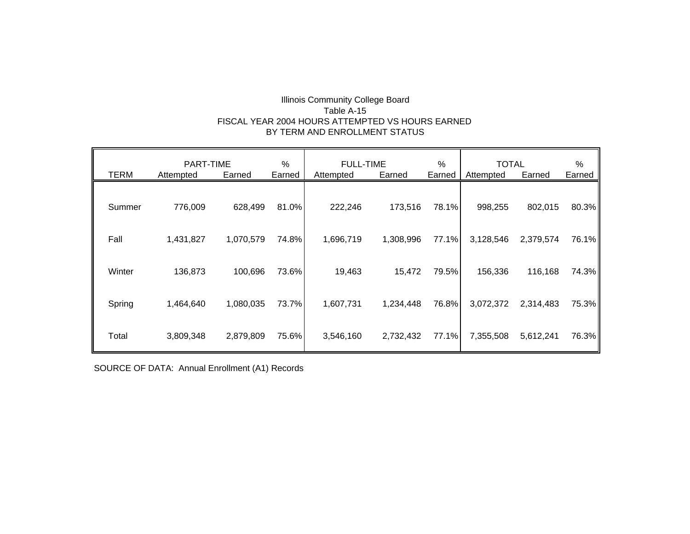#### Illinois Community College Board Table A-15 FISCAL YEAR 2004 HOURS ATTEMPTED VS HOURS EARNED BY TERM AND ENROLLMENT STATUS

|             | $\%$<br>PART-TIME |           | %<br><b>FULL-TIME</b> |           |           | <b>TOTAL</b> | %         |           |        |
|-------------|-------------------|-----------|-----------------------|-----------|-----------|--------------|-----------|-----------|--------|
| <b>TERM</b> | Attempted         | Earned    | Earned                | Attempted | Earned    | Earned       | Attempted | Earned    | Earned |
| Summer      | 776,009           | 628,499   | 81.0%                 | 222,246   | 173,516   | 78.1%        | 998,255   | 802,015   | 80.3%  |
| Fall        | 1,431,827         | 1,070,579 | 74.8%                 | 1,696,719 | 1,308,996 | 77.1%        | 3,128,546 | 2,379,574 | 76.1%  |
| Winter      | 136,873           | 100,696   | 73.6%                 | 19,463    | 15,472    | 79.5%        | 156,336   | 116,168   | 74.3%  |
| Spring      | 1,464,640         | 1,080,035 | 73.7%                 | 1,607,731 | 1,234,448 | 76.8%        | 3,072,372 | 2,314,483 | 75.3%  |
| Total       | 3,809,348         | 2,879,809 | 75.6%                 | 3,546,160 | 2,732,432 | 77.1%        | 7,355,508 | 5,612,241 | 76.3%  |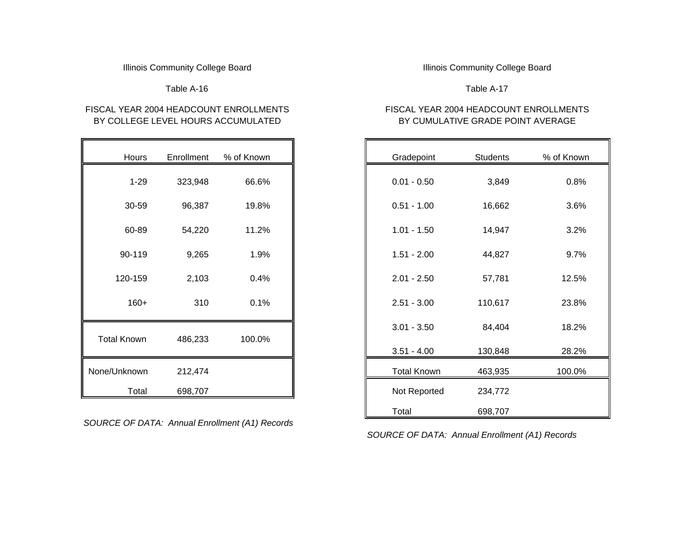#### Illinois Community College Board **Illinois Community College Board Illinois Community College Board**

Table A-16

## FISCAL YEAR 2004 HEADCOUNT ENROLLMENTSBY COLLEGE LEVEL HOURS ACCUMULATED

| Hours              | Enrollment | % of Known |
|--------------------|------------|------------|
|                    |            |            |
| $1 - 29$           | 323,948    | 66.6%      |
| 30-59              | 96,387     | 19.8%      |
| 60-89              | 54,220     | 11.2%      |
|                    |            |            |
| 90-119             | 9,265      | 1.9%       |
| 120-159            | 2,103      | 0.4%       |
|                    |            |            |
| $160+$             | 310        | 0.1%       |
|                    |            |            |
| <b>Total Known</b> | 486,233    | 100.0%     |
|                    |            |            |
| None/Unknown       | 212,474    |            |
| Total              | 698,707    |            |

*SOURCE OF DATA: Annual Enrollment (A1) Records*

Table A-17

## FISCAL YEAR 2004 HEADCOUNT ENROLLMENTS BY CUMULATIVE GRADE POINT AVERAGE

| S. | Enrollment | % of Known |
|----|------------|------------|
| 9  | 323,948    | 66.6%      |
| 9  | 96,387     | 19.8%      |
| 9  | 54,220     | 11.2%      |
| 9  | 9,265      | 1.9%       |
| 9  | 2,103      | 0.4%       |
| +  | 310        | 0.1%       |
|    |            |            |
| n. | 486,233    | 100.0%     |
| 'n | 212,474    |            |
| эI | 698,707    |            |
|    |            |            |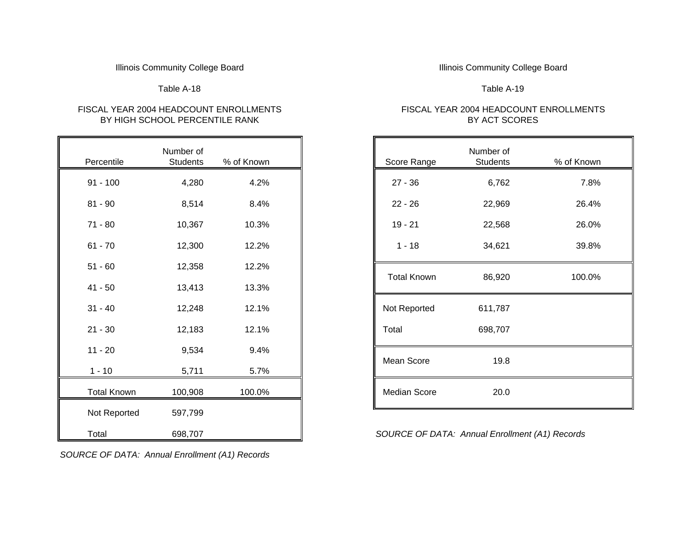#### Illinois Community College Board **Illinois Community College Board Illinois Community College Board**

#### Table A-18

#### FISCAL YEAR 2004 HEADCOUNT ENROLLMENTSBY HIGH SCHOOL PERCENTILE RANK

| Number of<br>Score Range<br>Students | % of Known | Number of<br><b>Students</b> | Percentile         |
|--------------------------------------|------------|------------------------------|--------------------|
| $27 - 36$<br>6,762                   | 4.2%       | 4,280                        | $91 - 100$         |
| 22,969<br>$22 - 26$                  | 8.4%       | 8,514                        | $81 - 90$          |
| $19 - 21$<br>22,568                  | 10.3%      | 10,367                       | $71 - 80$          |
| $1 - 18$<br>34,621                   | 12.2%      | 12,300                       | $61 - 70$          |
|                                      | 12.2%      | 12,358                       | $51 - 60$          |
| <b>Total Known</b><br>86,920         | 13.3%      | 13,413                       | $41 - 50$          |
| Not Reported<br>611,787              | 12.1%      | 12,248                       | $31 - 40$          |
| 698,707<br>Total                     | 12.1%      | 12,183                       | $21 - 30$          |
|                                      | 9.4%       | 9,534                        | $11 - 20$          |
| Mean Score<br>19.8                   | 5.7%       | 5,711                        | $1 - 10$           |
| Median Score<br>20.0                 | 100.0%     | 100,908                      | <b>Total Known</b> |
|                                      |            | 597,799                      | Not Reported       |
| SOURCE OF DATA: Annual Enro.         |            | 698,707                      | Total              |

#### *SOURCE OF DATA: Annual Enrollment (A1) Records*

#### Table A-19

#### FISCAL YEAR 2004 HEADCOUNT ENROLLMENTS BY ACT SCORES

|       | Number of       |            |
|-------|-----------------|------------|
| htile | <b>Students</b> | % of Known |
| 00    | 4,280           | 4.2%       |
| 0     | 8,514           | 8.4%       |
| 0     | 10,367          | 10.3%      |
| 0     | 12,300          | 12.2%      |
| 0     | 12,358          | 12.2%      |
| 0     | 13,413          | 13.3%      |
| 0     | 12,248          | 12.1%      |
| 0     | 12,183          | 12.1%      |
| 0     | 9,534           | 9.4%       |
|       | 5,711           | 5.7%       |
| Known | 100,908         | 100.0%     |
|       |                 |            |

698,707 *SOURCE OF DATA: Annual Enrollment (A1) Records*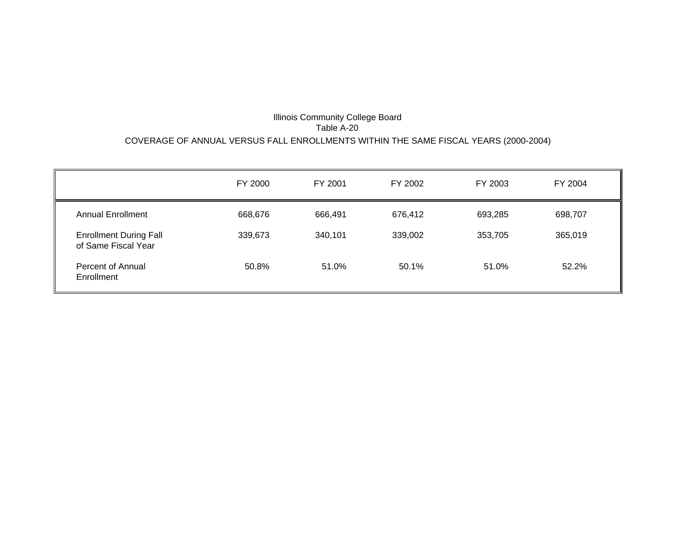#### Illinois Community College Board Table A-20 COVERAGE OF ANNUAL VERSUS FALL ENROLLMENTS WITHIN THE SAME FISCAL YEARS (2000-2004)

|                                                      | FY 2000 | FY 2001 | FY 2002 | FY 2003 | FY 2004 |
|------------------------------------------------------|---------|---------|---------|---------|---------|
| <b>Annual Enrollment</b>                             | 668,676 | 666,491 | 676,412 | 693,285 | 698,707 |
| <b>Enrollment During Fall</b><br>of Same Fiscal Year | 339,673 | 340,101 | 339,002 | 353,705 | 365,019 |
| Percent of Annual<br>Enrollment                      | 50.8%   | 51.0%   | 50.1%   | 51.0%   | 52.2%   |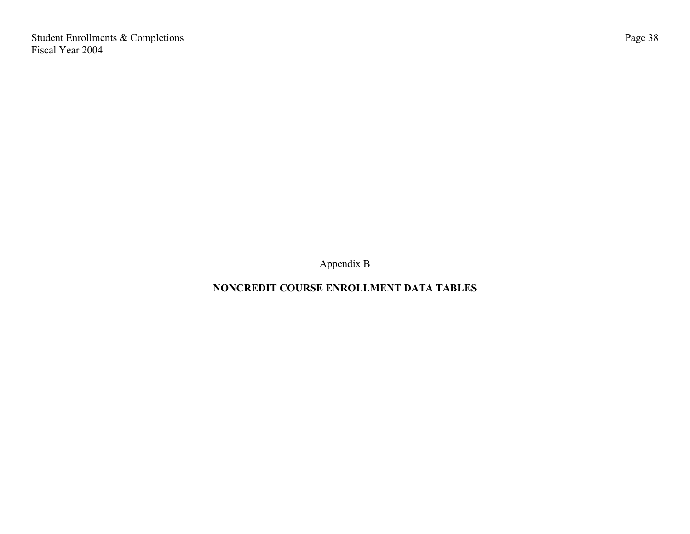Student Enrollments & Completions Fiscal Year 2004

Appendix B

# **NONCREDIT COURSE ENROLLMENT DATA TABLES**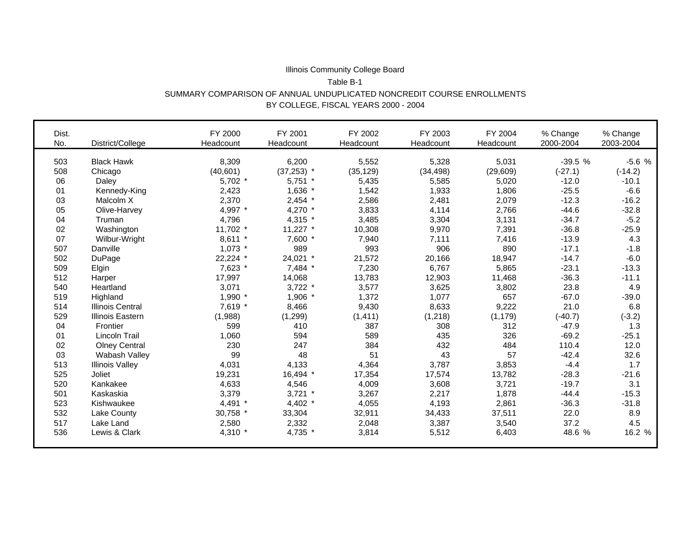#### Illinois Community College Board Table B-1 SUMMARY COMPARISON OF ANNUAL UNDUPLICATED NONCREDIT COURSE ENROLLMENTS BY COLLEGE, FISCAL YEARS 2000 - 2004

| Dist.<br>No. | District/College        | FY 2000<br>Headcount | FY 2001<br>Headcount | FY 2002<br>Headcount | FY 2003<br>Headcount | FY 2004<br>Headcount | % Change<br>2000-2004 | % Change<br>2003-2004 |
|--------------|-------------------------|----------------------|----------------------|----------------------|----------------------|----------------------|-----------------------|-----------------------|
| 503          | <b>Black Hawk</b>       | 8,309                | 6,200                | 5,552                | 5,328                | 5,031                | $-39.5%$              | $-5.6%$               |
| 508          | Chicago                 | (40, 601)            | $(37,253)$ *         | (35, 129)            | (34, 498)            | (29, 609)            | $(-27.1)$             | $(-14.2)$             |
| 06           | Daley                   | $5,702$ *            | $5,751$ *            | 5,435                | 5,585                | 5,020                | $-12.0$               | $-10.1$               |
| 01           | Kennedy-King            | 2,423                | 1,636 *              | 1,542                | 1,933                | 1,806                | $-25.5$               | $-6.6$                |
| 03           | Malcolm X               | 2,370                | $2,454$ *            | 2,586                | 2,481                | 2,079                | $-12.3$               | $-16.2$               |
| 05           | Olive-Harvey            | 4,997 *              | 4,270 *              | 3,833                | 4,114                | 2,766                | $-44.6$               | $-32.8$               |
| 04           | Truman                  | 4,796                | 4,315 *              | 3,485                | 3,304                | 3,131                | $-34.7$               | $-5.2$                |
| 02           | Washington              | 11,702 *             | $11,227$ *           | 10,308               | 9,970                | 7,391                | $-36.8$               | $-25.9$               |
| 07           | Wilbur-Wright           | $8,611$ *            | 7,600 *              | 7,940                | 7,111                | 7,416                | $-13.9$               | 4.3                   |
| 507          | Danville                | $1,073$ *            | 989                  | 993                  | 906                  | 890                  | $-17.1$               | $-1.8$                |
| 502          | DuPage                  | 22,224 *             | 24,021 *             | 21,572               | 20,166               | 18,947               | $-14.7$               | $-6.0$                |
| 509          | Elgin                   | 7,623 *              | 7,484 *              | 7,230                | 6,767                | 5,865                | $-23.1$               | $-13.3$               |
| 512          | Harper                  | 17,997               | 14,068               | 13,783               | 12,903               | 11,468               | $-36.3$               | $-11.1$               |
| 540          | Heartland               | 3,071                | $3,722$ *            | 3,577                | 3,625                | 3,802                | 23.8                  | 4.9                   |
| 519          | Highland                | 1,990 *              | 1,906 *              | 1,372                | 1,077                | 657                  | $-67.0$               | $-39.0$               |
| 514          | <b>Illinois Central</b> | 7,619 *              | 8,466                | 9,430                | 8,633                | 9,222                | 21.0                  | 6.8                   |
| 529          | <b>Illinois Eastern</b> | (1,988)              | (1, 299)             | (1, 411)             | (1,218)              | (1, 179)             | $(-40.7)$             | $(-3.2)$              |
| 04           | Frontier                | 599                  | 410                  | 387                  | 308                  | 312                  | $-47.9$               | 1.3                   |
| 01           | Lincoln Trail           | 1,060                | 594                  | 589                  | 435                  | 326                  | $-69.2$               | $-25.1$               |
| 02           | <b>Olney Central</b>    | 230                  | 247                  | 384                  | 432                  | 484                  | 110.4                 | 12.0                  |
| 03           | Wabash Valley           | 99                   | 48                   | 51                   | 43                   | 57                   | $-42.4$               | 32.6                  |
| 513          | <b>Illinois Valley</b>  | 4,031                | 4,133                | 4,364                | 3,787                | 3,853                | $-4.4$                | 1.7                   |
| 525          | Joliet                  | 19,231               | 16,494 *             | 17,354               | 17,574               | 13,782               | $-28.3$               | $-21.6$               |
| 520          | Kankakee                | 4,633                | 4,546                | 4,009                | 3,608                | 3,721                | $-19.7$               | 3.1                   |
| 501          | Kaskaskia               | 3,379                | $3,721$ *            | 3,267                | 2,217                | 1,878                | $-44.4$               | $-15.3$               |
| 523          | Kishwaukee              | 4,491                | 4,402 *              | 4,055                | 4,193                | 2,861                | $-36.3$               | $-31.8$               |
| 532          | <b>Lake County</b>      | 30,758 *             | 33,304               | 32,911               | 34,433               | 37,511               | 22.0                  | 8.9                   |
| 517          | Lake Land               | 2,580                | 2,332                | 2,048                | 3,387                | 3,540                | 37.2                  | 4.5                   |
| 536          | Lewis & Clark           | 4,310 *              | 4,735 *              | 3,814                | 5,512                | 6,403                | 48.6 %                | 16.2 %                |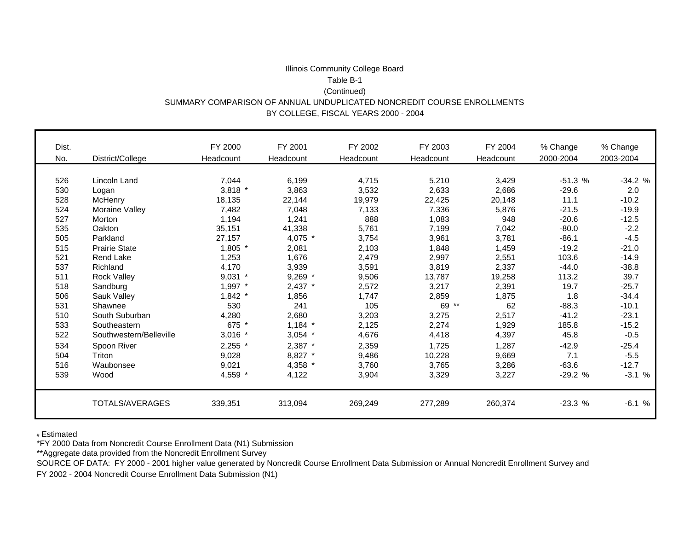#### Illinois Community College Board Table B-1(Continued) SUMMARY COMPARISON OF ANNUAL UNDUPLICATED NONCREDIT COURSE ENROLLMENTS BY COLLEGE, FISCAL YEARS 2000 - 2004

| Dist. |                         | FY 2000   | FY 2001   | FY 2002   | FY 2003   | FY 2004   | % Change  | % Change  |
|-------|-------------------------|-----------|-----------|-----------|-----------|-----------|-----------|-----------|
| No.   | District/College        | Headcount | Headcount | Headcount | Headcount | Headcount | 2000-2004 | 2003-2004 |
|       |                         |           |           |           |           |           |           |           |
| 526   | Lincoln Land            | 7,044     | 6,199     | 4,715     | 5,210     | 3,429     | $-51.3%$  | $-34.2%$  |
| 530   | Logan                   | $3,818$ * | 3,863     | 3,532     | 2,633     | 2,686     | $-29.6$   | 2.0       |
| 528   | McHenry                 | 18,135    | 22,144    | 19,979    | 22,425    | 20,148    | 11.1      | $-10.2$   |
| 524   | Moraine Valley          | 7,482     | 7,048     | 7,133     | 7,336     | 5,876     | $-21.5$   | $-19.9$   |
| 527   | Morton                  | 1,194     | 1,241     | 888       | 1,083     | 948       | $-20.6$   | $-12.5$   |
| 535   | Oakton                  | 35,151    | 41,338    | 5,761     | 7,199     | 7,042     | $-80.0$   | $-2.2$    |
| 505   | Parkland                | 27,157    | 4,075 *   | 3,754     | 3,961     | 3,781     | $-86.1$   | $-4.5$    |
| 515   | <b>Prairie State</b>    | $1,805$ * | 2,081     | 2,103     | 1,848     | 1,459     | $-19.2$   | $-21.0$   |
| 521   | <b>Rend Lake</b>        | 1,253     | 1,676     | 2,479     | 2,997     | 2,551     | 103.6     | $-14.9$   |
| 537   | Richland                | 4,170     | 3,939     | 3,591     | 3,819     | 2,337     | $-44.0$   | $-38.8$   |
| 511   | Rock Valley             | $9,031$ * | $9,269$ * | 9,506     | 13,787    | 19,258    | 113.2     | 39.7      |
| 518   | Sandburg                | 1,997 *   | 2,437 *   | 2,572     | 3,217     | 2,391     | 19.7      | $-25.7$   |
| 506   | Sauk Valley             | $1,842$ * | 1,856     | 1,747     | 2,859     | 1,875     | 1.8       | $-34.4$   |
| 531   | Shawnee                 | 530       | 241       | 105       | $69**$    | 62        | $-88.3$   | $-10.1$   |
| 510   | South Suburban          | 4,280     | 2,680     | 3,203     | 3,275     | 2,517     | $-41.2$   | $-23.1$   |
| 533   | Southeastern            | 675 *     | $1,184$ * | 2,125     | 2,274     | 1,929     | 185.8     | $-15.2$   |
| 522   | Southwestern/Belleville | $3,016$ * | $3,054$ * | 4,676     | 4,418     | 4,397     | 45.8      | $-0.5$    |
| 534   | Spoon River             | $2,255$ * | 2,387 *   | 2,359     | 1,725     | 1,287     | $-42.9$   | $-25.4$   |
| 504   | Triton                  | 9,028     | 8,827 *   | 9,486     | 10,228    | 9,669     | 7.1       | $-5.5$    |
| 516   | Waubonsee               | 9,021     | 4,358 *   | 3,760     | 3,765     | 3,286     | $-63.6$   | $-12.7$   |
| 539   | Wood                    | 4,559 *   | 4,122     | 3,904     | 3,329     | 3,227     | $-29.2%$  | $-3.1%$   |
|       |                         |           |           |           |           |           |           |           |
|       | TOTALS/AVERAGES         | 339,351   | 313,094   | 269,249   | 277,289   | 260,374   | $-23.3%$  | $-6.1%$   |

# Estimated

\*FY 2000 Data from Noncredit Course Enrollment Data (N1) Submission

\*\*Aggregate data provided from the Noncredit Enrollment Survey

SOURCE OF DATA: FY 2000 - 2001 higher value generated by Noncredit Course Enrollment Data Submission or Annual Noncredit Enrollment Survey and

FY 2002 - 2004 Noncredit Course Enrollment Data Submission (N1)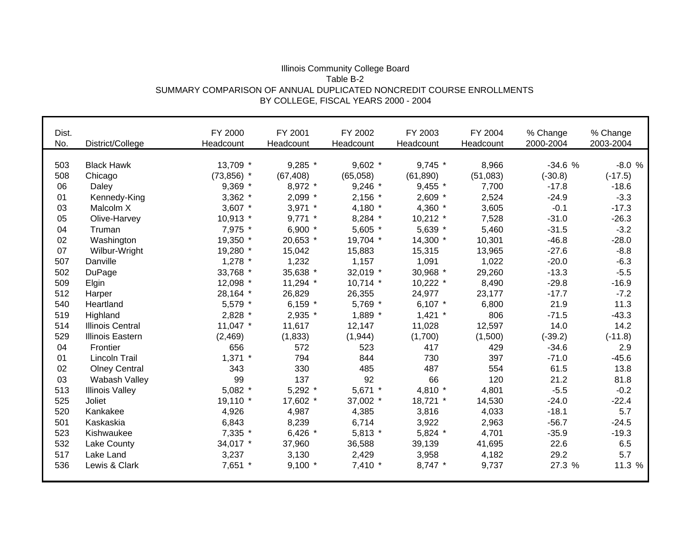#### Illinois Community College Board Table B-2 SUMMARY COMPARISON OF ANNUAL DUPLICATED NONCREDIT COURSE ENROLLMENTS BY COLLEGE, FISCAL YEARS 2000 - 2004

| Dist. |                         | FY 2000       | FY 2001    | FY 2002    | FY 2003    | FY 2004   | % Change  | % Change  |
|-------|-------------------------|---------------|------------|------------|------------|-----------|-----------|-----------|
| No.   | District/College        | Headcount     | Headcount  | Headcount  | Headcount  | Headcount | 2000-2004 | 2003-2004 |
| 503   | <b>Black Hawk</b>       | 13,709 *      | 9,285 *    | $9,602$ *  | 9,745 *    | 8,966     | $-34.6%$  | $-8.0%$   |
| 508   | Chicago                 | $(73, 856)$ * | (67, 408)  | (65,058)   | (61, 890)  | (51,083)  | $(-30.8)$ | $(-17.5)$ |
| 06    | Daley                   | 9,369 *       | 8,972 *    | $9,246$ *  | $9,455$ *  | 7,700     | $-17.8$   | $-18.6$   |
| 01    | Kennedy-King            | $3,362$ *     | $2,099$ *  | $2,156$ *  | 2,609 *    | 2,524     | $-24.9$   | $-3.3$    |
| 03    | Malcolm X               | $3,607$ *     | $3,971$ *  | 4,180 *    | 4,360 *    | 3,605     | $-0.1$    | $-17.3$   |
| 05    |                         |               | $9,771$ *  |            |            |           | $-31.0$   |           |
|       | Olive-Harvey            | $10,913$ *    |            | 8,284 *    | $10,212$ * | 7,528     |           | $-26.3$   |
| 04    | Truman                  | 7,975 *       | 6,900 *    | 5,605 *    | 5,639 *    | 5,460     | $-31.5$   | $-3.2$    |
| 02    | Washington              | 19,350 *      | 20,653 *   | 19,704 *   | 14,300 *   | 10,301    | $-46.8$   | $-28.0$   |
| 07    | Wilbur-Wright           | 19,280 *      | 15,042     | 15,883     | 15,315     | 13,965    | $-27.6$   | $-8.8$    |
| 507   | Danville                | $1,278$ *     | 1,232      | 1,157      | 1,091      | 1,022     | $-20.0$   | $-6.3$    |
| 502   | DuPage                  | 33,768 *      | 35,638 *   | 32,019 *   | 30,968 *   | 29,260    | $-13.3$   | $-5.5$    |
| 509   | Elgin                   | 12,098 *      | $11,294$ * | $10,714$ * | $10,222$ * | 8,490     | $-29.8$   | $-16.9$   |
| 512   | Harper                  | 28,164 *      | 26,829     | 26,355     | 24,977     | 23,177    | $-17.7$   | $-7.2$    |
| 540   | Heartland               | 5,579 *       | 6,159 $*$  | 5,769 *    | 6,107 $*$  | 6,800     | 21.9      | 11.3      |
| 519   | Highland                | 2,828 *       | 2,935 *    | 1,889 *    | $1,421$ *  | 806       | $-71.5$   | $-43.3$   |
| 514   | <b>Illinois Central</b> | 11,047 $*$    | 11,617     | 12,147     | 11,028     | 12,597    | 14.0      | 14.2      |
| 529   | <b>Illinois Eastern</b> | (2, 469)      | (1,833)    | (1,944)    | (1,700)    | (1,500)   | $(-39.2)$ | $(-11.8)$ |
| 04    | Frontier                | 656           | 572        | 523        | 417        | 429       | $-34.6$   | 2.9       |
| 01    | <b>Lincoln Trail</b>    | $1,371$ *     | 794        | 844        | 730        | 397       | $-71.0$   | $-45.6$   |
| 02    | <b>Olney Central</b>    | 343           | 330        | 485        | 487        | 554       | 61.5      | 13.8      |
| 03    | Wabash Valley           | 99            | 137        | 92         | 66         | 120       | 21.2      | 81.8      |
| 513   | <b>Illinois Valley</b>  | $5,082$ *     | 5,292 *    | 5,671 *    | 4,810 *    | 4,801     | $-5.5$    | $-0.2$    |
| 525   | Joliet                  | 19,110 *      | 17,602 *   | 37,002 *   | 18,721 *   | 14,530    | $-24.0$   | $-22.4$   |
| 520   | Kankakee                | 4,926         | 4,987      | 4,385      | 3,816      | 4,033     | $-18.1$   | 5.7       |
| 501   | Kaskaskia               | 6,843         | 8,239      | 6,714      | 3,922      | 2,963     | $-56.7$   | $-24.5$   |
| 523   | Kishwaukee              | 7,335 *       | 6,426 $*$  | $5,813$ *  | 5,824 *    | 4,701     | $-35.9$   | $-19.3$   |
| 532   | Lake County             | 34,017 *      | 37,960     | 36,588     | 39,139     | 41,695    | 22.6      | 6.5       |
| 517   | Lake Land               | 3,237         | 3,130      | 2,429      | 3,958      | 4,182     | 29.2      | 5.7       |
| 536   | Lewis & Clark           | 7,651 *       | $9,100$ *  | $7,410*$   | 8,747 *    | 9,737     | 27.3 %    | 11.3 %    |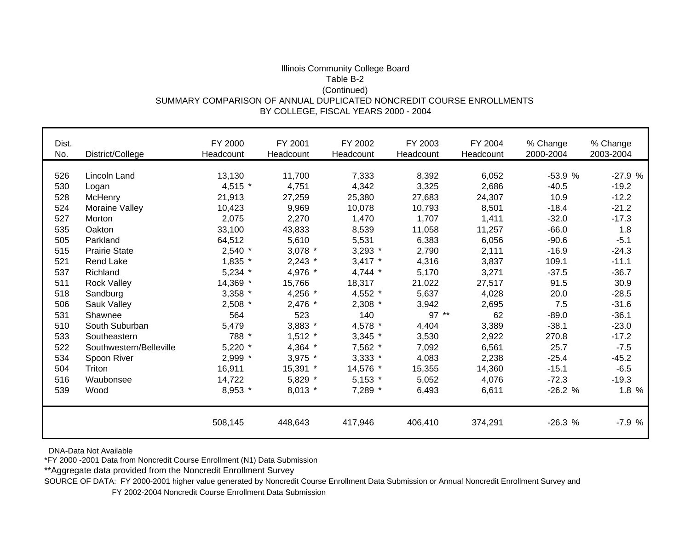#### Illinois Community College Board Table B-2 (Continued) SUMMARY COMPARISON OF ANNUAL DUPLICATED NONCREDIT COURSE ENROLLMENTS BY COLLEGE, FISCAL YEARS 2000 - 2004

| Dist.<br>No. | District/College        | FY 2000<br>Headcount | FY 2001<br>Headcount | FY 2002<br>Headcount | FY 2003<br>Headcount | FY 2004<br>Headcount | % Change<br>2000-2004 | % Change<br>2003-2004 |
|--------------|-------------------------|----------------------|----------------------|----------------------|----------------------|----------------------|-----------------------|-----------------------|
|              |                         |                      |                      |                      |                      |                      |                       |                       |
| 526          | Lincoln Land            | 13,130               | 11,700               | 7,333                | 8,392                | 6,052                | $-53.9%$              | $-27.9%$              |
| 530          | Logan                   | 4,515 *              | 4,751                | 4,342                | 3,325                | 2,686                | $-40.5$               | $-19.2$               |
| 528          | McHenry                 | 21,913               | 27,259               | 25,380               | 27,683               | 24,307               | 10.9                  | $-12.2$               |
| 524          | Moraine Valley          | 10,423               | 9,969                | 10,078               | 10,793               | 8,501                | $-18.4$               | $-21.2$               |
| 527          | Morton                  | 2,075                | 2,270                | 1,470                | 1,707                | 1,411                | $-32.0$               | $-17.3$               |
| 535          | Oakton                  | 33,100               | 43,833               | 8,539                | 11,058               | 11,257               | $-66.0$               | 1.8                   |
| 505          | Parkland                | 64,512               | 5,610                | 5,531                | 6,383                | 6,056                | $-90.6$               | $-5.1$                |
| 515          | <b>Prairie State</b>    | $2,540$ *            | 3,078 *              | $3,293$ *            | 2,790                | 2,111                | $-16.9$               | $-24.3$               |
| 521          | Rend Lake               | $1,835$ *            | $2,243$ *            | $3,417$ *            | 4,316                | 3,837                | 109.1                 | $-11.1$               |
| 537          | Richland                | $5,234$ *            | 4,976 *              | $4,744$ *            | 5,170                | 3,271                | $-37.5$               | $-36.7$               |
| 511          | <b>Rock Valley</b>      | 14,369 *             | 15,766               | 18,317               | 21,022               | 27,517               | 91.5                  | 30.9                  |
| 518          | Sandburg                | $3,358$ *            | 4,256 *              | 4,552 *              | 5,637                | 4,028                | 20.0                  | $-28.5$               |
| 506          | Sauk Valley             | $2,508$ *            | 2,476 *              | 2,308 *              | 3,942                | 2,695                | 7.5                   | $-31.6$               |
| 531          | Shawnee                 | 564                  | 523                  | 140                  | $97**$               | 62                   | $-89.0$               | $-36.1$               |
| 510          | South Suburban          | 5,479                | 3,883 *              | 4,578 *              | 4,404                | 3,389                | $-38.1$               | $-23.0$               |
| 533          | Southeastern            | 788 *                | $1,512$ *            | $3,345$ *            | 3,530                | 2,922                | 270.8                 | $-17.2$               |
| 522          | Southwestern/Belleville | $5,220$ *            | 4,364 *              | 7,562 *              | 7,092                | 6,561                | 25.7                  | $-7.5$                |
| 534          | Spoon River             | 2,999 *              | 3,975 *              | $3,333$ *            | 4,083                | 2,238                | $-25.4$               | $-45.2$               |
| 504          | Triton                  | 16,911               | 15,391 *             | 14,576 *             | 15,355               | 14,360               | $-15.1$               | $-6.5$                |
| 516          | Waubonsee               | 14,722               | 5,829 *              | $5,153$ *            | 5,052                | 4,076                | $-72.3$               | $-19.3$               |
| 539          | Wood                    | 8,953 *              | $8,013$ *            | 7,289 *              | 6,493                | 6,611                | $-26.2%$              | 1.8 %                 |
|              |                         | 508,145              | 448,643              | 417,946              | 406,410              | 374,291              | $-26.3%$              | $-7.9%$               |

DNA-Data Not Available

\*FY 2000 -2001 Data from Noncredit Course Enrollment (N1) Data Submission

\*\*Aggregate data provided from the Noncredit Enrollment Survey

SOURCE OF DATA: FY 2000-2001 higher value generated by Noncredit Course Enrollment Data Submission or Annual Noncredit Enrollment Survey and

FY 2002-2004 Noncredit Course Enrollment Data Submission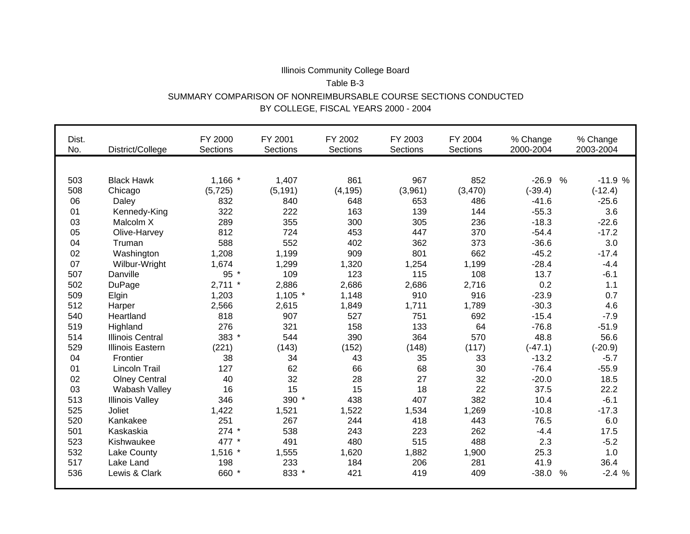# Illinois Community College Board Table B-3SUMMARY COMPARISON OF NONREIMBURSABLE COURSE SECTIONS CONDUCTEDBY COLLEGE, FISCAL YEARS 2000 - 2004

| Dist.<br>No. | District/College        | FY 2000<br><b>Sections</b> | FY 2001<br><b>Sections</b> | FY 2002<br><b>Sections</b> | FY 2003<br><b>Sections</b> | FY 2004<br>Sections | % Change<br>2000-2004    | % Change<br>2003-2004 |
|--------------|-------------------------|----------------------------|----------------------------|----------------------------|----------------------------|---------------------|--------------------------|-----------------------|
|              |                         |                            |                            |                            |                            |                     |                          |                       |
| 503          | <b>Black Hawk</b>       | $1,166$ *                  | 1,407                      | 861                        | 967                        | 852                 | $-26.9$<br>%             | $-11.9%$              |
| 508          | Chicago                 | (5, 725)                   | (5, 191)                   | (4, 195)                   | (3,961)                    | (3,470)             | $(-39.4)$                | $(-12.4)$             |
| 06           | Daley                   | 832                        | 840                        | 648                        | 653                        | 486                 | $-41.6$                  | $-25.6$               |
| 01           | Kennedy-King            | 322                        | 222                        | 163                        | 139                        | 144                 | $-55.3$                  | 3.6                   |
| 03           | Malcolm X               | 289                        | 355                        | 300                        | 305                        | 236                 | $-18.3$                  | $-22.6$               |
| 05           | Olive-Harvey            | 812                        | 724                        | 453                        | 447                        | 370                 | $-54.4$                  | $-17.2$               |
| 04           | Truman                  | 588                        | 552                        | 402                        | 362                        | 373                 | $-36.6$                  | 3.0                   |
| 02           | Washington              | 1,208                      | 1,199                      | 909                        | 801                        | 662                 | $-45.2$                  | $-17.4$               |
| 07           | Wilbur-Wright           | 1,674                      | 1,299                      | 1,320                      | 1,254                      | 1,199               | $-28.4$                  | $-4.4$                |
| 507          | Danville                | 95 *                       | 109                        | 123                        | 115                        | 108                 | 13.7                     | $-6.1$                |
| 502          | <b>DuPage</b>           | $2,711$ *                  | 2,886                      | 2,686                      | 2,686                      | 2,716               | 0.2                      | 1.1                   |
| 509          | Elgin                   | 1,203                      | $1,105$ *                  | 1,148                      | 910                        | 916                 | $-23.9$                  | 0.7                   |
| 512          | Harper                  | 2,566                      | 2,615                      | 1,849                      | 1,711                      | 1,789               | $-30.3$                  | 4.6                   |
| 540          | Heartland               | 818                        | 907                        | 527                        | 751                        | 692                 | $-15.4$                  | $-7.9$                |
| 519          | Highland                | 276                        | 321                        | 158                        | 133                        | 64                  | $-76.8$                  | $-51.9$               |
| 514          | <b>Illinois Central</b> | 383 *                      | 544                        | 390                        | 364                        | 570                 | 48.8                     | 56.6                  |
| 529          | <b>Illinois Eastern</b> | (221)                      | (143)                      | (152)                      | (148)                      | (117)               | $(-47.1)$                | $(-20.9)$             |
| 04           | Frontier                | 38                         | 34                         | 43                         | 35                         | 33                  | $-13.2$                  | $-5.7$                |
| 01           | <b>Lincoln Trail</b>    | 127                        | 62                         | 66                         | 68                         | 30                  | $-76.4$                  | $-55.9$               |
| 02           | <b>Olney Central</b>    | 40                         | 32                         | 28                         | 27                         | 32                  | $-20.0$                  | 18.5                  |
| 03           | Wabash Valley           | 16                         | 15                         | 15                         | 18                         | 22                  | 37.5                     | 22.2                  |
| 513          | <b>Illinois Valley</b>  | 346                        | 390 *                      | 438                        | 407                        | 382                 | 10.4                     | $-6.1$                |
| 525          | Joliet                  | 1,422                      | 1,521                      | 1,522                      | 1,534                      | 1,269               | $-10.8$                  | $-17.3$               |
| 520          | Kankakee                | 251                        | 267                        | 244                        | 418                        | 443                 | 76.5                     | 6.0                   |
| 501          | Kaskaskia               | $274$ *                    | 538                        | 243                        | 223                        | 262                 | $-4.4$                   | 17.5                  |
| 523          | Kishwaukee              | 477 *                      | 491                        | 480                        | 515                        | 488                 | 2.3                      | $-5.2$                |
| 532          | Lake County             | $1,516$ *                  | 1,555                      | 1,620                      | 1,882                      | 1,900               | 25.3                     | 1.0                   |
| 517          | Lake Land               | 198                        | 233                        | 184                        | 206                        | 281                 | 41.9                     | 36.4                  |
| 536          | Lewis & Clark           | 660 *                      | 833 *                      | 421                        | 419                        | 409                 | $-38.0$<br>$\frac{0}{0}$ | $-2.4%$               |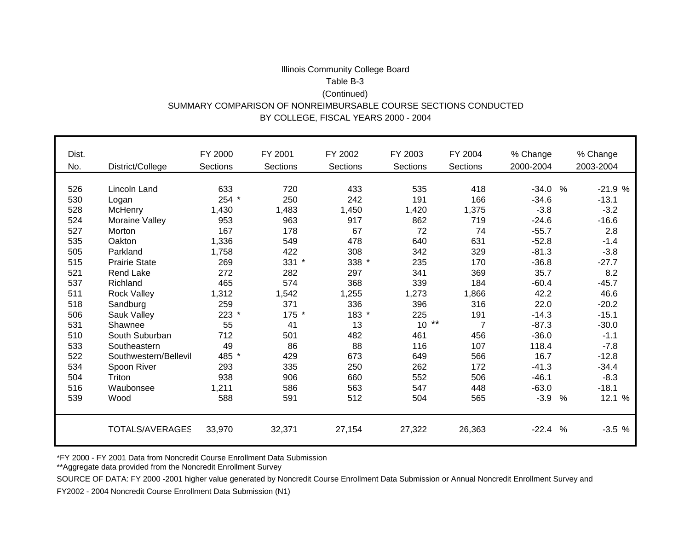## Illinois Community College Board Table B-3(Continued) SUMMARY COMPARISON OF NONREIMBURSABLE COURSE SECTIONS CONDUCTED BY COLLEGE, FISCAL YEARS 2000 - 2004

| Dist. |                       | FY 2000        | FY 2001  | FY 2002  | FY 2003  | FY 2004  | % Change                | % Change  |
|-------|-----------------------|----------------|----------|----------|----------|----------|-------------------------|-----------|
| No.   | District/College      | Sections       | Sections | Sections | Sections | Sections | 2000-2004               | 2003-2004 |
|       |                       |                |          |          |          |          |                         |           |
| 526   | Lincoln Land          | 633            | 720      | 433      | 535      | 418      | $-34.0$<br>$\%$         | $-21.9%$  |
| 530   | Logan                 | 254            | 250      | 242      | 191      | 166      | $-34.6$                 | $-13.1$   |
| 528   | <b>McHenry</b>        | 1,430          | 1,483    | 1,450    | 1,420    | 1,375    | $-3.8$                  | $-3.2$    |
| 524   | Moraine Valley        | 953            | 963      | 917      | 862      | 719      | $-24.6$                 | $-16.6$   |
| 527   | Morton                | 167            | 178      | 67       | 72       | 74       | $-55.7$                 | 2.8       |
| 535   | Oakton                | 1,336          | 549      | 478      | 640      | 631      | $-52.8$                 | $-1.4$    |
| 505   | Parkland              | 1,758          | 422      | 308      | 342      | 329      | $-81.3$                 | $-3.8$    |
| 515   | <b>Prairie State</b>  | 269            | $331 *$  | 338 *    | 235      | 170      | $-36.8$                 | $-27.7$   |
| 521   | <b>Rend Lake</b>      | 272            | 282      | 297      | 341      | 369      | 35.7                    | 8.2       |
| 537   | Richland              | 465            | 574      | 368      | 339      | 184      | $-60.4$                 | $-45.7$   |
| 511   | <b>Rock Valley</b>    | 1,312          | 1,542    | 1,255    | 1,273    | 1,866    | 42.2                    | 46.6      |
| 518   | Sandburg              | 259            | 371      | 336      | 396      | 316      | 22.0                    | $-20.2$   |
| 506   | Sauk Valley           | 223<br>$\star$ | 175 *    | 183 *    | 225      | 191      | $-14.3$                 | $-15.1$   |
| 531   | Shawnee               | 55             | 41       | 13       | $10**$   | 7        | $-87.3$                 | $-30.0$   |
| 510   | South Suburban        | 712            | 501      | 482      | 461      | 456      | $-36.0$                 | $-1.1$    |
| 533   | Southeastern          | 49             | 86       | 88       | 116      | 107      | 118.4                   | $-7.8$    |
| 522   | Southwestern/Bellevil | 485 *          | 429      | 673      | 649      | 566      | 16.7                    | $-12.8$   |
| 534   | Spoon River           | 293            | 335      | 250      | 262      | 172      | $-41.3$                 | $-34.4$   |
| 504   | Triton                | 938            | 906      | 660      | 552      | 506      | $-46.1$                 | $-8.3$    |
| 516   | Waubonsee             | 1,211          | 586      | 563      | 547      | 448      | $-63.0$                 | $-18.1$   |
| 539   | Wood                  | 588            | 591      | 512      | 504      | 565      | $-3.9$<br>$\frac{0}{0}$ | 12.1 %    |
|       |                       |                |          |          |          |          |                         |           |
|       | TOTALS/AVERAGES       | 33,970         | 32,371   | 27,154   | 27,322   | 26,363   | $-22.4$<br>$\%$         | $-3.5%$   |

\*FY 2000 - FY 2001 Data from Noncredit Course Enrollment Data Submission

\*\*Aggregate data provided from the Noncredit Enrollment Survey

SOURCE OF DATA: FY 2000 -2001 higher value generated by Noncredit Course Enrollment Data Submission or Annual Noncredit Enrollment Survey and

FY2002 - 2004 Noncredit Course Enrollment Data Submission (N1)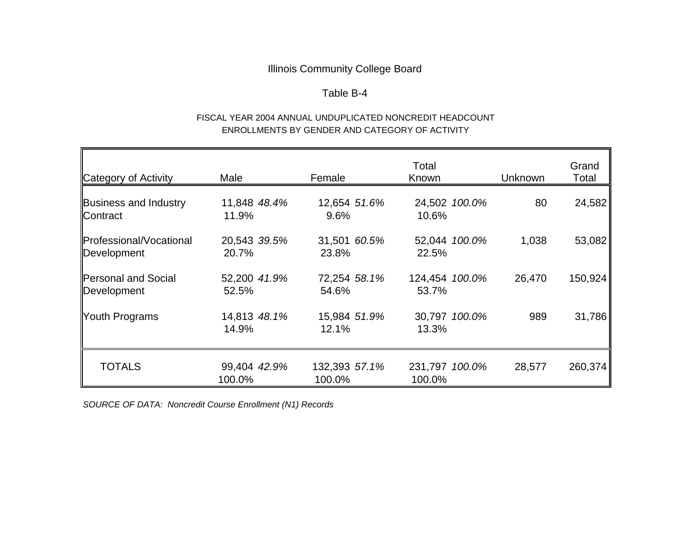## Table B-4

## FISCAL YEAR 2004 ANNUAL UNDUPLICATED NONCREDIT HEADCOUNT ENROLLMENTS BY GENDER AND CATEGORY OF ACTIVITY

| Category of Activity                     | Male                   | Female                  | Total<br>Known           | <b>Unknown</b> | Grand<br>Total |
|------------------------------------------|------------------------|-------------------------|--------------------------|----------------|----------------|
| <b>Business and Industry</b><br>Contract | 11,848 48.4%<br>11.9%  | 12,654 51.6%<br>9.6%    | 24,502 100.0%<br>10.6%   | 80             | 24,582         |
| Professional/Vocational<br>Development   | 20,543 39.5%<br>20.7%  | 31,501 60.5%<br>23.8%   | 52,044 100.0%<br>22.5%   | 1,038          | 53,082         |
| Personal and Social<br>Development       | 52,200 41.9%<br>52.5%  | 72,254 58.1%<br>54.6%   | 124,454 100.0%<br>53.7%  | 26,470         | 150,924        |
| <b>Youth Programs</b>                    | 14,813 48.1%<br>14.9%  | 15,984 51.9%<br>12.1%   | 30,797 100.0%<br>13.3%   | 989            | 31,786         |
| <b>TOTALS</b>                            | 99,404 42.9%<br>100.0% | 132,393 57.1%<br>100.0% | 231,797 100.0%<br>100.0% | 28,577         | 260,374        |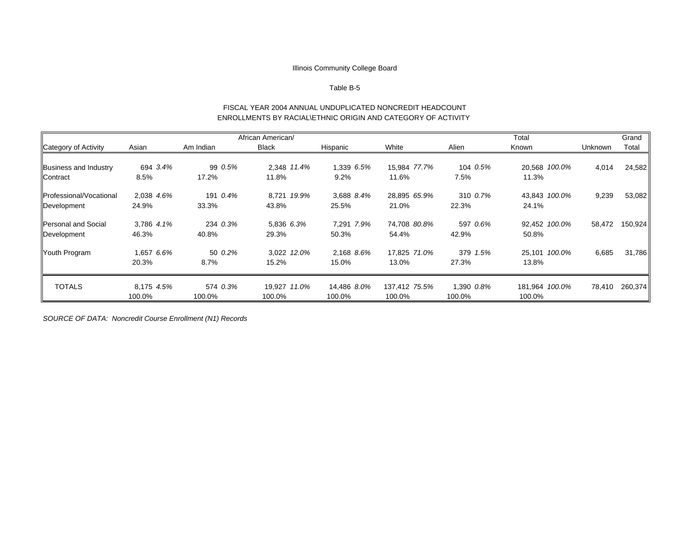#### Table B-5

#### FISCAL YEAR 2004 ANNUAL UNDUPLICATED NONCREDIT HEADCOUNT ENROLLMENTS BY RACIAL\ETHNIC ORIGIN AND CATEGORY OF ACTIVITY

|                                |            |           | African American/ |             |               |            | Total          |         | Grand   |
|--------------------------------|------------|-----------|-------------------|-------------|---------------|------------|----------------|---------|---------|
| Category of Activity           | Asian      | Am Indian | <b>Black</b>      | Hispanic    | White         | Alien      | Known          | Unknown | Total   |
|                                |            |           |                   |             |               |            |                |         |         |
| Business and Industry          | 694 3.4%   | 99 0.5%   | 2.348 11.4%       | 1.339 6.5%  | 15.984 77.7%  | 104 0.5%   | 20.568 100.0%  | 4,014   | 24,582  |
| Contract                       | 8.5%       | 17.2%     | 11.8%             | 9.2%        | 11.6%         | 7.5%       | 11.3%          |         |         |
| <b>Professional/Vocational</b> | 2,038 4.6% | 191 0.4%  | 8,721 19.9%       | 3,688 8.4%  | 28,895 65.9%  | 310 0.7%   | 43,843 100.0%  | 9,239   | 53,082  |
| Development                    | 24.9%      | 33.3%     | 43.8%             | 25.5%       | 21.0%         | 22.3%      | 24.1%          |         |         |
| Personal and Social            | 3,786 4.1% | 234 0.3%  | 5,836 6.3%        | 7,291 7.9%  | 74,708 80.8%  | 597 0.6%   | 92,452 100.0%  | 58,472  | 150,924 |
| Development                    | 46.3%      | 40.8%     | 29.3%             | 50.3%       | 54.4%         | 42.9%      | 50.8%          |         |         |
| Youth Program                  | 1,657 6.6% | 50 0.2%   | 3,022 12.0%       | 2,168 8.6%  | 17,825 71.0%  | 379 1.5%   | 25,101 100.0%  | 6,685   | 31,786  |
|                                | 20.3%      | 8.7%      | 15.2%             | 15.0%       | 13.0%         | 27.3%      | 13.8%          |         |         |
| <b>TOTALS</b>                  | 8,175 4.5% | 574 0.3%  | 19,927 11.0%      | 14,486 8.0% | 137,412 75.5% | 1,390 0.8% | 181,964 100.0% | 78,410  | 260,374 |
|                                | 100.0%     | 100.0%    | 100.0%            | 100.0%      | 100.0%        | 100.0%     | 100.0%         |         |         |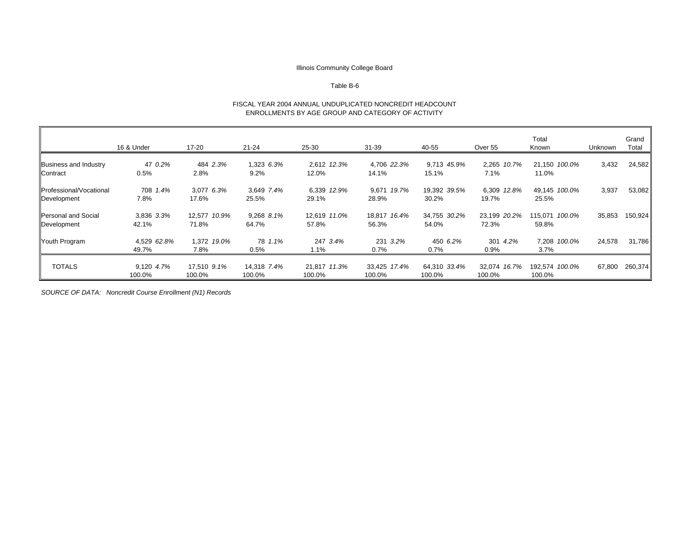#### Table B-6

#### FISCAL YEAR 2004 ANNUAL UNDUPLICATED NONCREDIT HEADCOUNT ENROLLMENTS BY AGE GROUP AND CATEGORY OF ACTIVITY

|                                           | 16 & Under           | 17-20                 | $21 - 24$             | 25-30                  | $31 - 39$              | 40-55                  | Over 55                | Total<br>Known           | Unknown | Grand<br>Total |
|-------------------------------------------|----------------------|-----------------------|-----------------------|------------------------|------------------------|------------------------|------------------------|--------------------------|---------|----------------|
| <b>Business and Industry</b><br>Contract  | 47 0.2%<br>0.5%      | 484 2.3%<br>2.8%      | 1,323 6.3%<br>9.2%    | 2,612 12.3%<br>12.0%   | 4,706 22.3%<br>14.1%   | 9,713 45.9%<br>15.1%   | 2,265 10.7%<br>7.1%    | 21,150 100.0%<br>11.0%   | 3,432   | 24,582         |
| Professional/Vocational<br>Development    | 708 1.4%<br>7.8%     | 3,077 6.3%<br>17.6%   | 3,649 7.4%<br>25.5%   | 6,339 12.9%<br>29.1%   | 9,671 19.7%<br>28.9%   | 19,392 39.5%<br>30.2%  | 6,309 12.8%<br>19.7%   | 49,145 100.0%<br>25.5%   | 3,937   | 53,082         |
| <b>Personal and Social</b><br>Development | 3,836 3.3%<br>42.1%  | 12.577 10.9%<br>71.8% | 9,268 8.1%<br>64.7%   | 12,619 11.0%<br>57.8%  | 18,817 16.4%<br>56.3%  | 34,755 30.2%<br>54.0%  | 23,199 20.2%<br>72.3%  | 115,071 100.0%<br>59.8%  | 35,853  | 150,924        |
| Youth Program                             | 4,529 62.8%<br>49.7% | 1,372 19.0%<br>7.8%   | 78 1.1%<br>0.5%       | 247 3.4%<br>$1.1\%$    | 231 3.2%<br>$0.7\%$    | 450 6.2%<br>0.7%       | 301 4.2%<br>0.9%       | 7,208 100.0%<br>$3.7\%$  | 24,578  | 31,786         |
| <b>TOTALS</b>                             | 9,120 4.7%<br>100.0% | 17,510 9.1%<br>100.0% | 14,318 7.4%<br>100.0% | 21,817 11.3%<br>100.0% | 33,425 17.4%<br>100.0% | 64,310 33.4%<br>100.0% | 32,074 16.7%<br>100.0% | 192,574 100.0%<br>100.0% | 67,800  | 260,374        |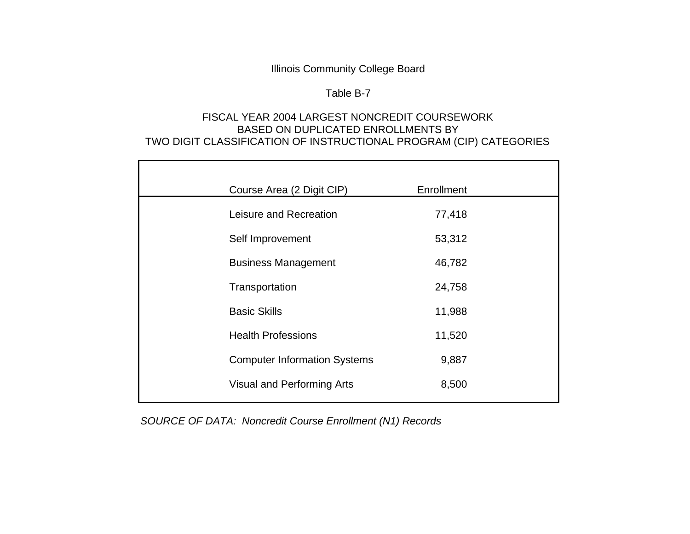# Table B-7

# FISCAL YEAR 2004 LARGEST NONCREDIT COURSEWORKBASED ON DUPLICATED ENROLLMENTS BY TWO DIGIT CLASSIFICATION OF INSTRUCTIONAL PROGRAM (CIP) CATEGORIES

| Course Area (2 Digit CIP)           | Enrollment |  |
|-------------------------------------|------------|--|
| Leisure and Recreation              | 77,418     |  |
| Self Improvement                    | 53,312     |  |
| <b>Business Management</b>          | 46,782     |  |
| Transportation                      | 24,758     |  |
| <b>Basic Skills</b>                 | 11,988     |  |
| <b>Health Professions</b>           | 11,520     |  |
| <b>Computer Information Systems</b> | 9,887      |  |
| Visual and Performing Arts          | 8,500      |  |
|                                     |            |  |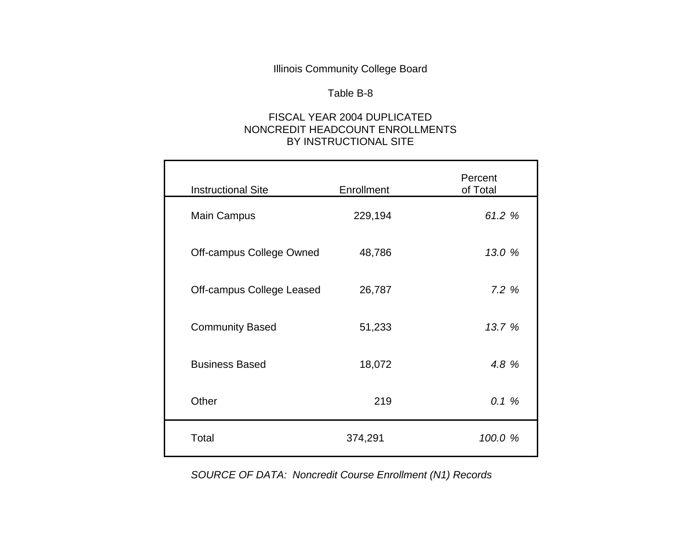#### Table B-8

# FISCAL YEAR 2004 DUPLICATEDNONCREDIT HEADCOUNT ENROLLMENTS BY INSTRUCTIONAL SITE

| <b>Instructional Site</b> | Enrollment | Percent<br>of Total |
|---------------------------|------------|---------------------|
| <b>Main Campus</b>        | 229,194    | 61.2 %              |
| Off-campus College Owned  | 48,786     | 13.0 %              |
| Off-campus College Leased | 26,787     | 7.2%                |
| <b>Community Based</b>    | 51,233     | 13.7 %              |
| <b>Business Based</b>     | 18,072     | 4.8 %               |
| Other                     | 219        | 0.1%                |
| Total                     | 374,291    | 100.0 %             |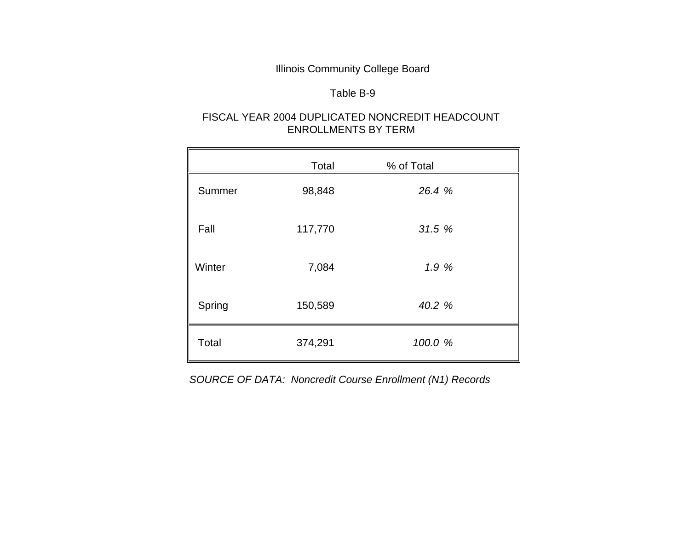## Table B-9

# FISCAL YEAR 2004 DUPLICATED NONCREDIT HEADCOUNT ENROLLMENTS BY TERM

|        | Total   | % of Total |  |
|--------|---------|------------|--|
| Summer | 98,848  | 26.4 %     |  |
| Fall   | 117,770 | 31.5%      |  |
| Winter | 7,084   | 1.9%       |  |
| Spring | 150,589 | 40.2 %     |  |
| Total  | 374,291 | 100.0 %    |  |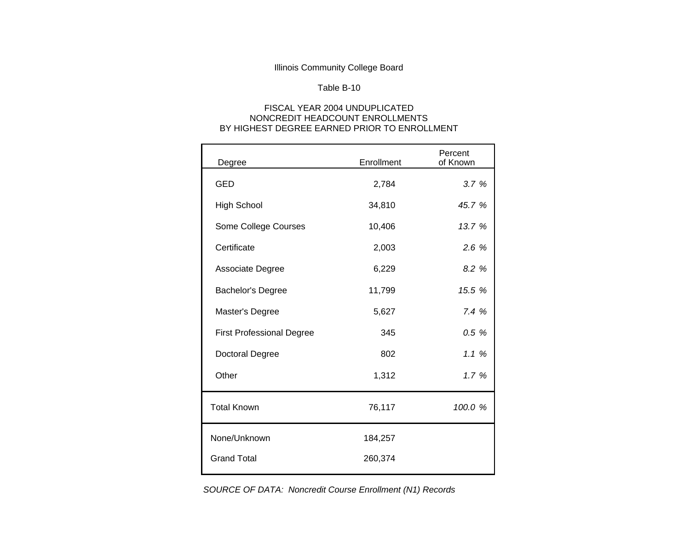#### Table B-10

#### FISCAL YEAR 2004 UNDUPLICATED NONCREDIT HEADCOUNT ENROLLMENTS BY HIGHEST DEGREE EARNED PRIOR TO ENROLLMENT

| Degree                           | Enrollment | Percent<br>of Known |
|----------------------------------|------------|---------------------|
| <b>GED</b>                       | 2,784      | 3.7%                |
| <b>High School</b>               | 34,810     | 45.7 %              |
| Some College Courses             | 10,406     | 13.7 %              |
| Certificate                      | 2,003      | 2.6%                |
| Associate Degree                 | 6,229      | 8.2 %               |
| <b>Bachelor's Degree</b>         | 11,799     | 15.5 %              |
| Master's Degree                  | 5,627      | 7.4%                |
| <b>First Professional Degree</b> | 345        | 0.5 %               |
| <b>Doctoral Degree</b>           | 802        | 1.1%                |
| Other                            | 1,312      | 1.7%                |
| <b>Total Known</b>               | 76,117     | 100.0 %             |
| None/Unknown                     | 184,257    |                     |
| <b>Grand Total</b>               | 260,374    |                     |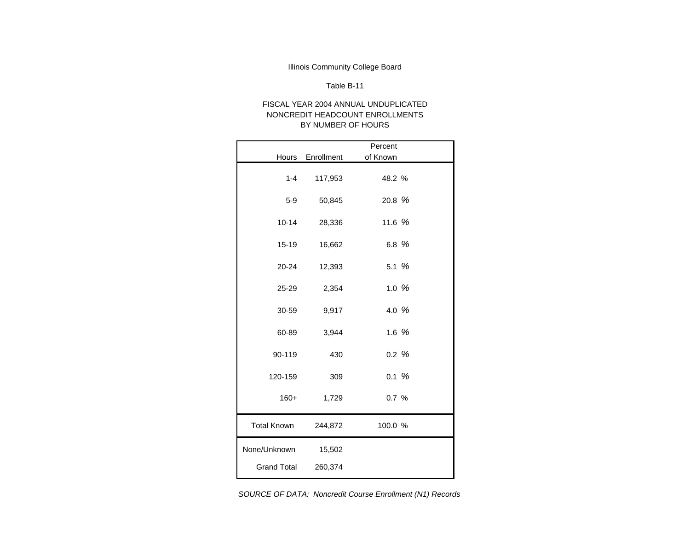#### Table B-11

#### FISCAL YEAR 2004 ANNUAL UNDUPLICATEDNONCREDIT HEADCOUNT ENROLLMENTS BY NUMBER OF HOURS

|                     |            | Percent  |  |
|---------------------|------------|----------|--|
| Hours               | Enrollment | of Known |  |
| $1 - 4$             | 117,953    | 48.2 %   |  |
| $5-9$               | 50,845     | 20.8 %   |  |
| $10 - 14$           | 28,336     | 11.6 $%$ |  |
| $15 - 19$           | 16,662     | 6.8 %    |  |
| 20-24               | 12,393     | 5.1%     |  |
| 25-29               | 2,354      | 1.0%     |  |
| 30-59               | 9,917      | 4.0 %    |  |
| 60-89               | 3,944      | 1.6 $%$  |  |
| 90-119              | 430        | 0.2%     |  |
| 120-159             | 309        | 0.1%     |  |
| $160+$              | 1,729      | 0.7%     |  |
| <b>Total Known</b>  | 244,872    | 100.0 %  |  |
| None/Unknown        | 15,502     |          |  |
| Grand Total 260,374 |            |          |  |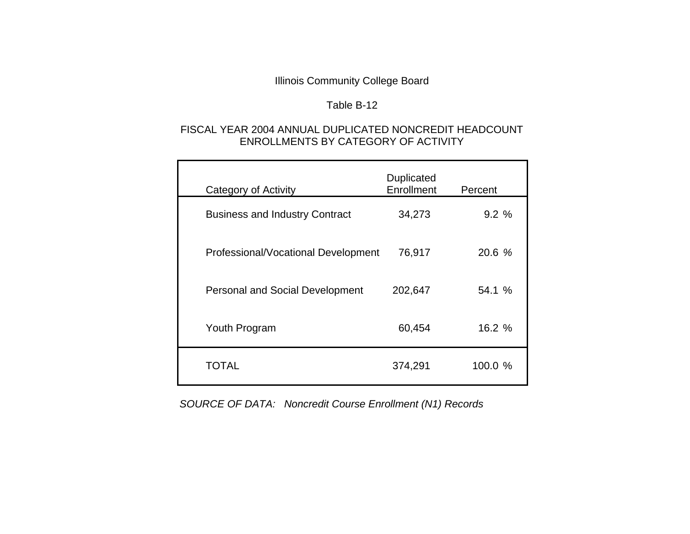# Table B-12

## FISCAL YEAR 2004 ANNUAL DUPLICATED NONCREDIT HEADCOUNT ENROLLMENTS BY CATEGORY OF ACTIVITY

| Category of Activity                   | Duplicated<br>Enrollment | Percent |
|----------------------------------------|--------------------------|---------|
| <b>Business and Industry Contract</b>  | 34,273                   | 9.2%    |
| Professional/Vocational Development    | 76,917                   | 20.6 %  |
| <b>Personal and Social Development</b> | 202,647                  | 54.1 %  |
| Youth Program                          | 60,454                   | 16.2 %  |
| TOTAL                                  | 374,291                  | 100.0 % |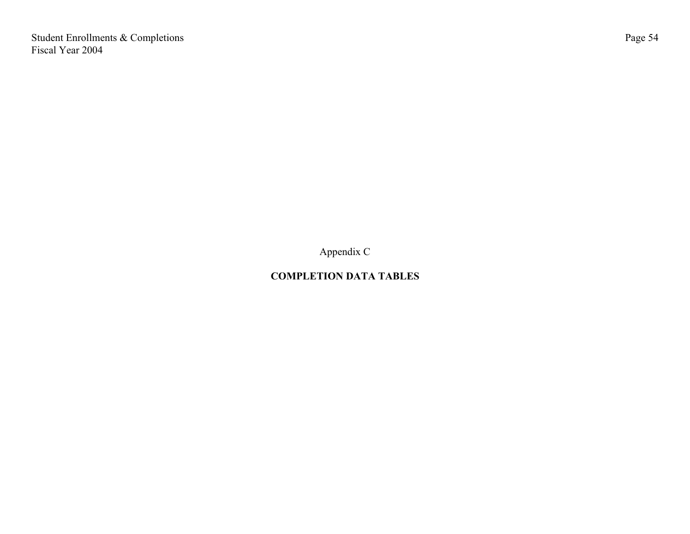Student Enrollments & Completions Fiscal Year 2004

Appendix C

# **COMPLETION DATA TABLES**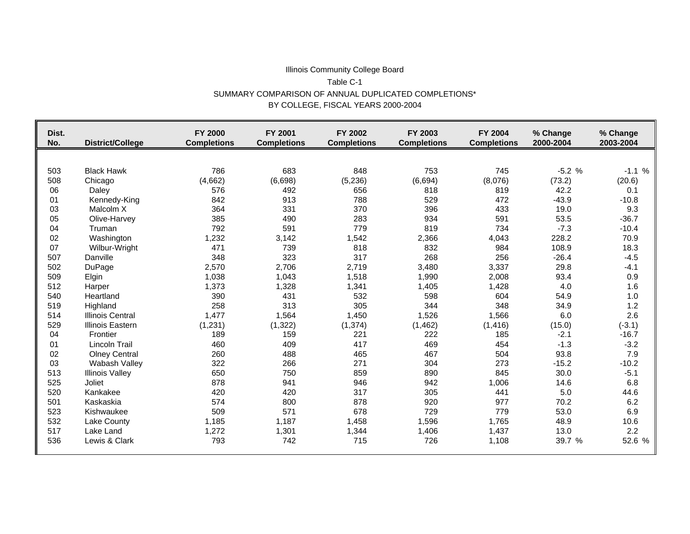#### Illinois Community College Board Table C-1 SUMMARY COMPARISON OF ANNUAL DUPLICATED COMPLETIONS\* BY COLLEGE, FISCAL YEARS 2000-2004

| Dist.<br>No. | <b>District/College</b> | <b>FY 2000</b><br><b>Completions</b> | FY 2001<br><b>Completions</b> | FY 2002<br><b>Completions</b> | FY 2003<br><b>Completions</b> | FY 2004<br><b>Completions</b> | % Change<br>2000-2004 | % Change<br>2003-2004 |
|--------------|-------------------------|--------------------------------------|-------------------------------|-------------------------------|-------------------------------|-------------------------------|-----------------------|-----------------------|
|              |                         |                                      |                               |                               |                               |                               |                       |                       |
| 503          | <b>Black Hawk</b>       | 786                                  | 683                           | 848                           | 753                           | 745                           | $-5.2%$               | $-1.1%$               |
| 508          | Chicago                 | (4,662)                              | (6,698)                       | (5, 236)                      | (6,694)                       | (8,076)                       | (73.2)                | (20.6)                |
| 06           | Daley                   | 576                                  | 492                           | 656                           | 818                           | 819                           | 42.2                  | 0.1                   |
| 01           | Kennedy-King            | 842                                  | 913                           | 788                           | 529                           | 472                           | $-43.9$               | $-10.8$               |
| 03           | Malcolm X               | 364                                  | 331                           | 370                           | 396                           | 433                           | 19.0                  | 9.3                   |
| 05           | Olive-Harvey            | 385                                  | 490                           | 283                           | 934                           | 591                           | 53.5                  | $-36.7$               |
| 04           | Truman                  | 792                                  | 591                           | 779                           | 819                           | 734                           | $-7.3$                | $-10.4$               |
| 02           | Washington              | 1,232                                | 3,142                         | 1,542                         | 2,366                         | 4,043                         | 228.2                 | 70.9                  |
| 07           | Wilbur-Wright           | 471                                  | 739                           | 818                           | 832                           | 984                           | 108.9                 | 18.3                  |
| 507          | Danville                | 348                                  | 323                           | 317                           | 268                           | 256                           | $-26.4$               | $-4.5$                |
| 502          | DuPage                  | 2,570                                | 2,706                         | 2,719                         | 3,480                         | 3,337                         | 29.8                  | $-4.1$                |
| 509          | Elgin                   | 1,038                                | 1,043                         | 1,518                         | 1,990                         | 2,008                         | 93.4                  | 0.9                   |
| 512          | Harper                  | 1,373                                | 1,328                         | 1,341                         | 1,405                         | 1,428                         | 4.0                   | 1.6                   |
| 540          | Heartland               | 390                                  | 431                           | 532                           | 598                           | 604                           | 54.9                  | 1.0                   |
| 519          | Highland                | 258                                  | 313                           | 305                           | 344                           | 348                           | 34.9                  | 1.2                   |
| 514          | <b>Illinois Central</b> | 1,477                                | 1,564                         | 1,450                         | 1,526                         | 1,566                         | 6.0                   | 2.6                   |
| 529          | <b>Illinois Eastern</b> | (1,231)                              | (1, 322)                      | (1, 374)                      | (1, 462)                      | (1, 416)                      | (15.0)                | $(-3.1)$              |
| 04           | Frontier                | 189                                  | 159                           | 221                           | 222                           | 185                           | $-2.1$                | $-16.7$               |
| 01           | Lincoln Trail           | 460                                  | 409                           | 417                           | 469                           | 454                           | $-1.3$                | $-3.2$                |
| 02           | <b>Olney Central</b>    | 260                                  | 488                           | 465                           | 467                           | 504                           | 93.8                  | 7.9                   |
| 03           | Wabash Valley           | 322                                  | 266                           | 271                           | 304                           | 273                           | $-15.2$               | $-10.2$               |
| 513          | <b>Illinois Valley</b>  | 650                                  | 750                           | 859                           | 890                           | 845                           | 30.0                  | $-5.1$                |
| 525          | Joliet                  | 878                                  | 941                           | 946                           | 942                           | 1,006                         | 14.6                  | 6.8                   |
| 520          | Kankakee                | 420                                  | 420                           | 317                           | 305                           | 441                           | 5.0                   | 44.6                  |
| 501          | Kaskaskia               | 574                                  | 800                           | 878                           | 920                           | 977                           | 70.2                  | 6.2                   |
| 523          | Kishwaukee              | 509                                  | 571                           | 678                           | 729                           | 779                           | 53.0                  | 6.9                   |
| 532          | Lake County             | 1,185                                | 1,187                         | 1,458                         | 1,596                         | 1,765                         | 48.9                  | 10.6                  |
| 517          | Lake Land               | 1,272                                | 1,301                         | 1,344                         | 1,406                         | 1,437                         | 13.0                  | 2.2                   |
| 536          | Lewis & Clark           | 793                                  | 742                           | 715                           | 726                           | 1,108                         | 39.7 %                | 52.6 %                |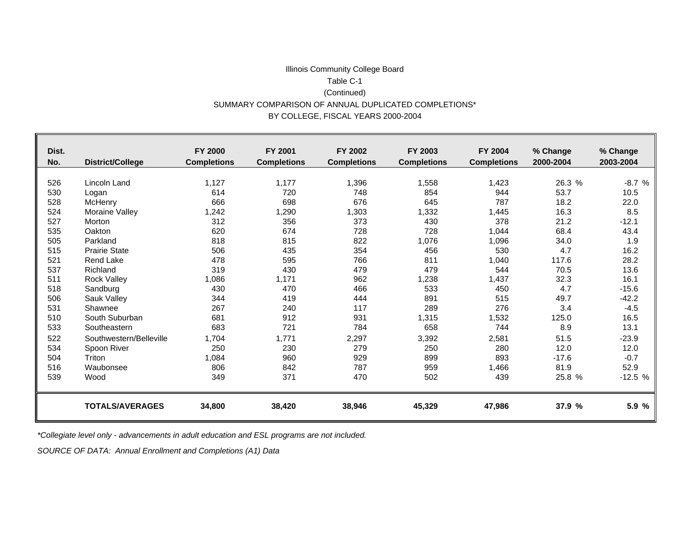#### Illinois Community College Board Table C-1(Continued) SUMMARY COMPARISON OF ANNUAL DUPLICATED COMPLETIONS\* BY COLLEGE, FISCAL YEARS 2000-2004

| Dist. |                         | <b>FY 2000</b>     | <b>FY 2001</b>     | FY 2002            | FY 2003            | FY 2004            | % Change  | % Change  |
|-------|-------------------------|--------------------|--------------------|--------------------|--------------------|--------------------|-----------|-----------|
| No.   | <b>District/College</b> | <b>Completions</b> | <b>Completions</b> | <b>Completions</b> | <b>Completions</b> | <b>Completions</b> | 2000-2004 | 2003-2004 |
|       |                         |                    |                    |                    |                    |                    |           |           |
| 526   | Lincoln Land            | 1,127              | 1,177              | 1,396              | 1,558              | 1,423              | 26.3 %    | $-8.7%$   |
| 530   | Logan                   | 614                | 720                | 748                | 854                | 944                | 53.7      | 10.5      |
| 528   | McHenry                 | 666                | 698                | 676                | 645                | 787                | 18.2      | 22.0      |
| 524   | Moraine Valley          | 1,242              | ,290               | 1,303              | 1,332              | 1,445              | 16.3      | 8.5       |
| 527   | Morton                  | 312                | 356                | 373                | 430                | 378                | 21.2      | $-12.1$   |
| 535   | Oakton                  | 620                | 674                | 728                | 728                | 1,044              | 68.4      | 43.4      |
| 505   | Parkland                | 818                | 815                | 822                | 1,076              | 1,096              | 34.0      | 1.9       |
| 515   | <b>Prairie State</b>    | 506                | 435                | 354                | 456                | 530                | 4.7       | 16.2      |
| 521   | <b>Rend Lake</b>        | 478                | 595                | 766                | 811                | 1,040              | 117.6     | 28.2      |
| 537   | Richland                | 319                | 430                | 479                | 479                | 544                | 70.5      | 13.6      |
| 511   | <b>Rock Valley</b>      | 1,086              | 1,171              | 962                | 1,238              | 1,437              | 32.3      | 16.1      |
| 518   | Sandburg                | 430                | 470                | 466                | 533                | 450                | 4.7       | $-15.6$   |
| 506   | Sauk Valley             | 344                | 419                | 444                | 891                | 515                | 49.7      | $-42.2$   |
| 531   | Shawnee                 | 267                | 240                | 117                | 289                | 276                | 3.4       | $-4.5$    |
| 510   | South Suburban          | 681                | 912                | 931                | 1,315              | 1,532              | 125.0     | 16.5      |
| 533   | Southeastern            | 683                | 721                | 784                | 658                | 744                | 8.9       | 13.1      |
| 522   | Southwestern/Belleville | 1,704              | 1,771              | 2,297              | 3,392              | 2,581              | 51.5      | $-23.9$   |
| 534   | Spoon River             | 250                | 230                | 279                | 250                | 280                | 12.0      | 12.0      |
| 504   | Triton                  | 1,084              | 960                | 929                | 899                | 893                | $-17.6$   | $-0.7$    |
| 516   | Waubonsee               | 806                | 842                | 787                | 959                | 1,466              | 81.9      | 52.9      |
| 539   | Wood                    | 349                | 371                | 470                | 502                | 439                | 25.8 %    | $-12.5%$  |
|       |                         |                    |                    |                    |                    |                    |           |           |
|       | <b>TOTALS/AVERAGES</b>  | 34,800             | 38,420             | 38,946             | 45,329             | 47,986             | 37.9 %    | 5.9 %     |

*\*Collegiate level only - advancements in adult education and ESL programs are not included.*

*SOURCE OF DATA: Annual Enrollment and Completions (A1) Data*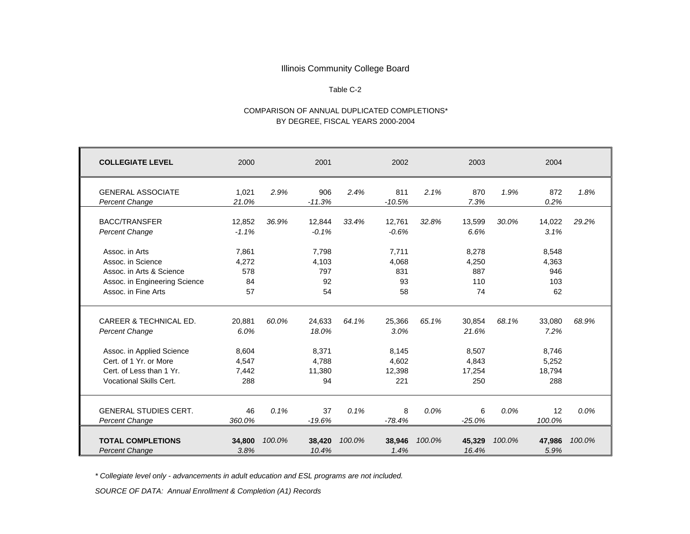#### Table C-2

#### COMPARISON OF ANNUAL DUPLICATED COMPLETIONS\*BY DEGREE, FISCAL YEARS 2000-2004

| <b>COLLEGIATE LEVEL</b>                                                                                                                                                         | 2000                                             |        | 2001                                              |        | 2002                                              |        | 2003                                               |         | 2004                                              |         |
|---------------------------------------------------------------------------------------------------------------------------------------------------------------------------------|--------------------------------------------------|--------|---------------------------------------------------|--------|---------------------------------------------------|--------|----------------------------------------------------|---------|---------------------------------------------------|---------|
| <b>GENERAL ASSOCIATE</b><br><b>Percent Change</b>                                                                                                                               | 1,021<br>21.0%                                   | 2.9%   | 906<br>$-11.3%$                                   | 2.4%   | 811<br>$-10.5%$                                   | 2.1%   | 870<br>7.3%                                        | 1.9%    | 872<br>0.2%                                       | 1.8%    |
| <b>BACC/TRANSFER</b><br><b>Percent Change</b>                                                                                                                                   | 12,852<br>$-1.1%$                                | 36.9%  | 12,844<br>$-0.1%$                                 | 33.4%  | 12,761<br>$-0.6%$                                 | 32.8%  | 13,599<br>6.6%                                     | 30.0%   | 14,022<br>3.1%                                    | 29.2%   |
| Assoc. in Arts<br>Assoc. in Science<br>Assoc. in Arts & Science<br>Assoc. in Engineering Science<br>Assoc. in Fine Arts                                                         | 7.861<br>4,272<br>578<br>84<br>57                |        | 7.798<br>4,103<br>797<br>92<br>54                 |        | 7.711<br>4,068<br>831<br>93<br>58                 |        | 8,278<br>4,250<br>887<br>110<br>74                 |         | 8,548<br>4,363<br>946<br>103<br>62                |         |
| <b>CAREER &amp; TECHNICAL ED.</b><br><b>Percent Change</b><br>Assoc. in Applied Science<br>Cert. of 1 Yr. or More<br>Cert. of Less than 1 Yr.<br><b>Vocational Skills Cert.</b> | 20,881<br>6.0%<br>8,604<br>4.547<br>7,442<br>288 | 60.0%  | 24,633<br>18.0%<br>8,371<br>4.788<br>11,380<br>94 | 64.1%  | 25,366<br>3.0%<br>8,145<br>4.602<br>12.398<br>221 | 65.1%  | 30,854<br>21.6%<br>8,507<br>4.843<br>17,254<br>250 | 68.1%   | 33,080<br>7.2%<br>8,746<br>5,252<br>18.794<br>288 | 68.9%   |
| <b>GENERAL STUDIES CERT.</b><br>Percent Change                                                                                                                                  | 46<br>360.0%                                     | 0.1%   | 37<br>$-19.6%$                                    | 0.1%   | 8<br>$-78.4%$                                     | 0.0%   | 6<br>$-25.0%$                                      | $0.0\%$ | 12<br>100.0%                                      | $0.0\%$ |
| <b>TOTAL COMPLETIONS</b><br><b>Percent Change</b>                                                                                                                               | 34,800<br>3.8%                                   | 100.0% | 38,420<br>10.4%                                   | 100.0% | 38,946<br>1.4%                                    | 100.0% | 45,329<br>16.4%                                    | 100.0%  | 47,986<br>5.9%                                    | 100.0%  |

*\* Collegiate level only - advancements in adult education and ESL programs are not included.*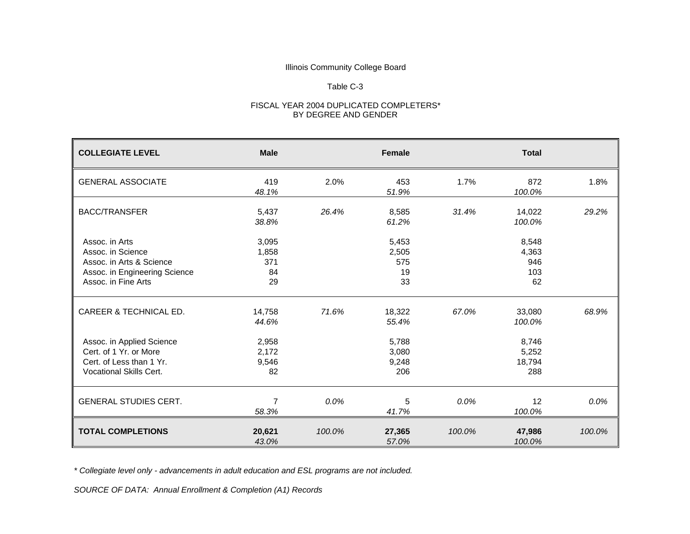#### Table C-3

#### FISCAL YEAR 2004 DUPLICATED COMPLETERS\* BY DEGREE AND GENDER

| <b>COLLEGIATE LEVEL</b>                                                                                                 | <b>Male</b>                       |         | <b>Female</b>                     |        | <b>Total</b>                       |        |
|-------------------------------------------------------------------------------------------------------------------------|-----------------------------------|---------|-----------------------------------|--------|------------------------------------|--------|
| <b>GENERAL ASSOCIATE</b>                                                                                                | 419<br>48.1%                      | 2.0%    | 453<br>51.9%                      | 1.7%   | 872<br>100.0%                      | 1.8%   |
| <b>BACC/TRANSFER</b>                                                                                                    | 5,437<br>38.8%                    | 26.4%   | 8,585<br>61.2%                    | 31.4%  | 14,022<br>100.0%                   | 29.2%  |
| Assoc. in Arts<br>Assoc. in Science<br>Assoc. in Arts & Science<br>Assoc. in Engineering Science<br>Assoc. in Fine Arts | 3,095<br>1,858<br>371<br>84<br>29 |         | 5,453<br>2,505<br>575<br>19<br>33 |        | 8,548<br>4,363<br>946<br>103<br>62 |        |
| CAREER & TECHNICAL ED.                                                                                                  | 14,758<br>44.6%                   | 71.6%   | 18,322<br>55.4%                   | 67.0%  | 33,080<br>100.0%                   | 68.9%  |
| Assoc. in Applied Science<br>Cert. of 1 Yr. or More<br>Cert. of Less than 1 Yr.<br><b>Vocational Skills Cert.</b>       | 2,958<br>2,172<br>9,546<br>82     |         | 5,788<br>3,080<br>9,248<br>206    |        | 8,746<br>5,252<br>18,794<br>288    |        |
| <b>GENERAL STUDIES CERT.</b>                                                                                            | 7<br>58.3%                        | $0.0\%$ | 5<br>41.7%                        | 0.0%   | 12<br>100.0%                       | 0.0%   |
| <b>TOTAL COMPLETIONS</b>                                                                                                | 20,621<br>43.0%                   | 100.0%  | 27,365<br>57.0%                   | 100.0% | 47,986<br>100.0%                   | 100.0% |

*\* Collegiate level only - advancements in adult education and ESL programs are not included.*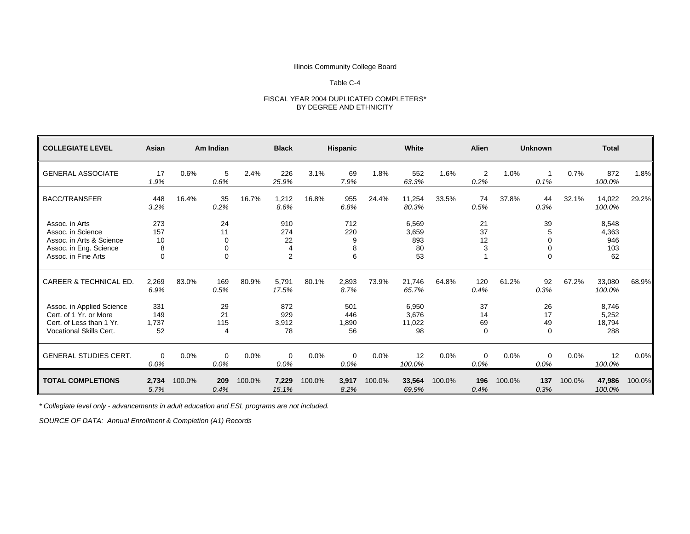#### Table C-4

# FISCAL YEAR 2004 DUPLICATED COMPLETERS\* BY DEGREE AND ETHNICITY

| <b>COLLEGIATE LEVEL</b>                                                                                           | Asian                                |        | Am Indian                      |        | <b>Black</b>                            |        | <b>Hispanic</b>           |        | White                             |        | Alien                      |        | <b>Unknown</b>                                    |        | <b>Total</b>                       |         |
|-------------------------------------------------------------------------------------------------------------------|--------------------------------------|--------|--------------------------------|--------|-----------------------------------------|--------|---------------------------|--------|-----------------------------------|--------|----------------------------|--------|---------------------------------------------------|--------|------------------------------------|---------|
| <b>GENERAL ASSOCIATE</b>                                                                                          | 17<br>1.9%                           | 0.6%   | 5<br>0.6%                      | 2.4%   | 226<br>25.9%                            | 3.1%   | 69<br>7.9%                | 1.8%   | 552<br>63.3%                      | 1.6%   | 2<br>0.2%                  | 1.0%   | 0.1%                                              | 0.7%   | 872<br>100.0%                      | 1.8%    |
| <b>BACC/TRANSFER</b>                                                                                              | 448<br>3.2%                          | 16.4%  | 35<br>0.2%                     | 16.7%  | 1,212<br>8.6%                           | 16.8%  | 955<br>6.8%               | 24.4%  | 11,254<br>80.3%                   | 33.5%  | 74<br>0.5%                 | 37.8%  | 44<br>0.3%                                        | 32.1%  | 14,022<br>100.0%                   | 29.2%   |
| Assoc. in Arts<br>Assoc. in Science<br>Assoc. in Arts & Science<br>Assoc. in Eng. Science<br>Assoc. in Fine Arts  | 273<br>157<br>10<br>8<br>$\mathbf 0$ |        | 24<br>11<br>$\Omega$<br>0<br>0 |        | 910<br>274<br>22<br>4<br>$\overline{2}$ |        | 712<br>220<br>9<br>8<br>6 |        | 6,569<br>3,659<br>893<br>80<br>53 |        | 21<br>37<br>12<br>3        |        | 39<br>5<br>$\Omega$<br>$\mathbf 0$<br>$\mathbf 0$ |        | 8,548<br>4,363<br>946<br>103<br>62 |         |
| <b>CAREER &amp; TECHNICAL ED.</b>                                                                                 | 2,269<br>6.9%                        | 83.0%  | 169<br>0.5%                    | 80.9%  | 5,791<br>17.5%                          | 80.1%  | 2,893<br>8.7%             | 73.9%  | 21,746<br>65.7%                   | 64.8%  | 120<br>0.4%                | 61.2%  | 92<br>0.3%                                        | 67.2%  | 33,080<br>100.0%                   | 68.9%   |
| Assoc. in Applied Science<br>Cert. of 1 Yr. or More<br>Cert. of Less than 1 Yr.<br><b>Vocational Skills Cert.</b> | 331<br>149<br>1,737<br>52            |        | 29<br>21<br>115<br>4           |        | 872<br>929<br>3,912<br>78               |        | 501<br>446<br>1.890<br>56 |        | 6,950<br>3.676<br>11,022<br>98    |        | 37<br>14<br>69<br>$\Omega$ |        | 26<br>17<br>49<br>$\Omega$                        |        | 8,746<br>5,252<br>18,794<br>288    |         |
| <b>GENERAL STUDIES CERT.</b>                                                                                      | $\mathbf 0$<br>0.0%                  | 0.0%   | $\Omega$<br>0.0%               | 0.0%   | $\Omega$<br>0.0%                        | 0.0%   | $\Omega$<br>$0.0\%$       | 0.0%   | 12<br>100.0%                      | 0.0%   | $\Omega$<br>$0.0\%$        | 0.0%   | $\mathbf 0$<br>0.0%                               | 0.0%   | 12<br>100.0%                       | $0.0\%$ |
| <b>TOTAL COMPLETIONS</b>                                                                                          | 2,734<br>5.7%                        | 100.0% | 209<br>0.4%                    | 100.0% | 7,229<br>15.1%                          | 100.0% | 3,917<br>8.2%             | 100.0% | 33,564<br>69.9%                   | 100.0% | 196<br>0.4%                | 100.0% | 137<br>0.3%                                       | 100.0% | 47,986<br>100.0%                   | 100.0%  |

*\* Collegiate level only - advancements in adult education and ESL programs are not included.*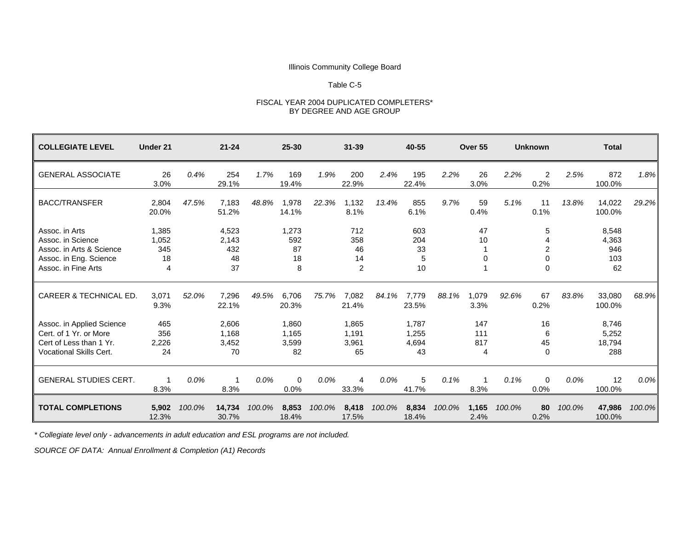#### Table C-5

#### FISCAL YEAR 2004 DUPLICATED COMPLETERS\* BY DEGREE AND AGE GROUP

| <b>COLLEGIATE LEVEL</b>                                                                                          | Under 21                         |         | $21 - 24$                         |         | $25 - 30$                     |         | $31 - 39$                     |        | 40-55                         |        | Over 55                |        | <b>Unknown</b>            |        | <b>Total</b>                       |        |
|------------------------------------------------------------------------------------------------------------------|----------------------------------|---------|-----------------------------------|---------|-------------------------------|---------|-------------------------------|--------|-------------------------------|--------|------------------------|--------|---------------------------|--------|------------------------------------|--------|
| <b>GENERAL ASSOCIATE</b>                                                                                         | 26<br>3.0%                       | 0.4%    | 254<br>29.1%                      | 1.7%    | 169<br>19.4%                  | 1.9%    | 200<br>22.9%                  | 2.4%   | 195<br>22.4%                  | 2.2%   | 26<br>3.0%             | 2.2%   | $\overline{2}$<br>0.2%    | 2.5%   | 872<br>100.0%                      | 1.8%   |
| <b>BACC/TRANSFER</b>                                                                                             | 2,804<br>20.0%                   | 47.5%   | 7,183<br>51.2%                    | 48.8%   | 1,978<br>14.1%                | 22.3%   | 1.132<br>8.1%                 | 13.4%  | 855<br>6.1%                   | 9.7%   | 59<br>0.4%             | 5.1%   | 11<br>0.1%                | 13.8%  | 14,022<br>100.0%                   | 29.2%  |
| Assoc. in Arts<br>Assoc. in Science<br>Assoc. in Arts & Science<br>Assoc. in Eng. Science<br>Assoc. in Fine Arts | 1,385<br>1,052<br>345<br>18<br>4 |         | 4,523<br>2,143<br>432<br>48<br>37 |         | 1,273<br>592<br>87<br>18<br>8 |         | 712<br>358<br>46<br>14<br>2   |        | 603<br>204<br>33<br>5<br>10   |        | 47<br>10<br>0          |        | 5<br>$\Omega$<br>$\Omega$ |        | 8,548<br>4,363<br>946<br>103<br>62 |        |
| <b>CAREER &amp; TECHNICAL ED.</b>                                                                                | 3,071<br>9.3%                    | 52.0%   | 7,296<br>22.1%                    | 49.5%   | 6,706<br>20.3%                | 75.7%   | 7.082<br>21.4%                | 84.1%  | 7,779<br>23.5%                | 88.1%  | 1,079<br>3.3%          | 92.6%  | 67<br>0.2%                | 83.8%  | 33,080<br>100.0%                   | 68.9%  |
| Assoc. in Applied Science<br>Cert. of 1 Yr. or More<br>Cert of Less than 1 Yr.<br><b>Vocational Skills Cert.</b> | 465<br>356<br>2,226<br>24        |         | 2,606<br>1.168<br>3,452<br>70     |         | 1,860<br>1,165<br>3,599<br>82 |         | 1,865<br>1,191<br>3,961<br>65 |        | 1,787<br>1,255<br>4,694<br>43 |        | 147<br>111<br>817<br>4 |        | 16<br>6<br>45<br>$\Omega$ |        | 8,746<br>5,252<br>18,794<br>288    |        |
| <b>GENERAL STUDIES CERT.</b>                                                                                     | $\mathbf 1$<br>8.3%              | $0.0\%$ | -1<br>8.3%                        | $0.0\%$ | $\Omega$<br>0.0%              | $0.0\%$ | 4<br>33.3%                    | 0.0%   | 5<br>41.7%                    | 0.1%   | 8.3%                   | 0.1%   | $\Omega$<br>0.0%          | 0.0%   | 12<br>100.0%                       | 0.0%   |
| <b>TOTAL COMPLETIONS</b>                                                                                         | 5,902<br>12.3%                   | 100.0%  | 14,734<br>30.7%                   | 100.0%  | 8,853<br>18.4%                | 100.0%  | 8,418<br>17.5%                | 100.0% | 8,834<br>18.4%                | 100.0% | 1,165<br>2.4%          | 100.0% | 80<br>0.2%                | 100.0% | 47,986<br>100.0%                   | 100.0% |

*\* Collegiate level only - advancements in adult education and ESL programs are not included.*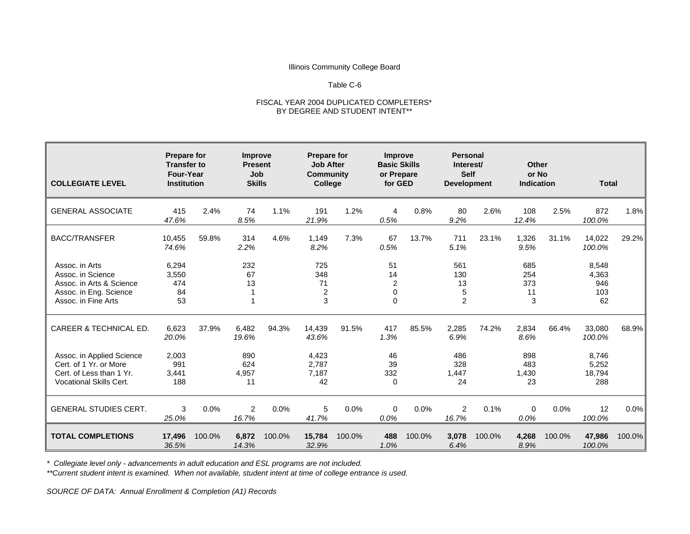#### Table C-6

#### FISCAL YEAR 2004 DUPLICATED COMPLETERS\* BY DEGREE AND STUDENT INTENT\*\*

| <b>COLLEGIATE LEVEL</b>                                                                                           | <b>Prepare for</b><br><b>Transfer to</b><br>Four-Year<br><b>Institution</b> |        | Improve<br><b>Present</b><br>Job<br><b>Skills</b> |        | <b>Prepare for</b><br><b>Job After</b><br><b>Community</b><br><b>College</b> |        | <b>Improve</b><br><b>Basic Skills</b><br>or Prepare<br>for GED |        | <b>Personal</b><br>Interest/<br><b>Self</b><br><b>Development</b> |        | Other<br>or No<br><b>Indication</b> |        | <b>Total</b>                       |         |
|-------------------------------------------------------------------------------------------------------------------|-----------------------------------------------------------------------------|--------|---------------------------------------------------|--------|------------------------------------------------------------------------------|--------|----------------------------------------------------------------|--------|-------------------------------------------------------------------|--------|-------------------------------------|--------|------------------------------------|---------|
| <b>GENERAL ASSOCIATE</b>                                                                                          | 415<br>47.6%                                                                | 2.4%   | 74<br>8.5%                                        | 1.1%   | 191<br>21.9%                                                                 | 1.2%   | 4<br>0.5%                                                      | 0.8%   | 80<br>9.2%                                                        | 2.6%   | 108<br>12.4%                        | 2.5%   | 872<br>100.0%                      | 1.8%    |
| <b>BACC/TRANSFER</b>                                                                                              | 10,455<br>74.6%                                                             | 59.8%  | 314<br>2.2%                                       | 4.6%   | 1,149<br>8.2%                                                                | 7.3%   | 67<br>0.5%                                                     | 13.7%  | 711<br>5.1%                                                       | 23.1%  | 1,326<br>9.5%                       | 31.1%  | 14,022<br>100.0%                   | 29.2%   |
| Assoc. in Arts<br>Assoc. in Science<br>Assoc. in Arts & Science<br>Assoc. in Eng. Science<br>Assoc. in Fine Arts  | 6,294<br>3,550<br>474<br>84<br>53                                           |        | 232<br>67<br>13                                   |        | 725<br>348<br>71<br>2<br>3                                                   |        | 51<br>14<br>2<br>$\Omega$<br>$\Omega$                          |        | 561<br>130<br>13<br>5<br>$\overline{2}$                           |        | 685<br>254<br>373<br>11<br>3        |        | 8,548<br>4,363<br>946<br>103<br>62 |         |
| CAREER & TECHNICAL ED.                                                                                            | 6,623<br>20.0%                                                              | 37.9%  | 6,482<br>19.6%                                    | 94.3%  | 14,439<br>43.6%                                                              | 91.5%  | 417<br>1.3%                                                    | 85.5%  | 2,285<br>6.9%                                                     | 74.2%  | 2,834<br>8.6%                       | 66.4%  | 33,080<br>100.0%                   | 68.9%   |
| Assoc. in Applied Science<br>Cert. of 1 Yr. or More<br>Cert. of Less than 1 Yr.<br><b>Vocational Skills Cert.</b> | 2,003<br>991<br>3,441<br>188                                                |        | 890<br>624<br>4,957<br>11                         |        | 4,423<br>2,787<br>7,187<br>42                                                |        | 46<br>39<br>332<br>0                                           |        | 486<br>328<br>1,447<br>24                                         |        | 898<br>483<br>1,430<br>23           |        | 8.746<br>5,252<br>18,794<br>288    |         |
| <b>GENERAL STUDIES CERT.</b>                                                                                      | 3<br>25.0%                                                                  | 0.0%   | $\overline{2}$<br>16.7%                           | 0.0%   | 5<br>41.7%                                                                   | 0.0%   | 0<br>0.0%                                                      | 0.0%   | $\overline{2}$<br>16.7%                                           | 0.1%   | $\mathbf 0$<br>0.0%                 | 0.0%   | 12<br>100.0%                       | $0.0\%$ |
| <b>TOTAL COMPLETIONS</b>                                                                                          | 17,496<br>36.5%                                                             | 100.0% | 6,872<br>14.3%                                    | 100.0% | 15,784<br>32.9%                                                              | 100.0% | 488<br>1.0%                                                    | 100.0% | 3,078<br>6.4%                                                     | 100.0% | 4,268<br>8.9%                       | 100.0% | 47,986<br>100.0%                   | 100.0%  |

*\* Collegiate level only - advancements in adult education and ESL programs are not included.*

*\*\*Current student intent is examined. When not available, student intent at time of college entrance is used.*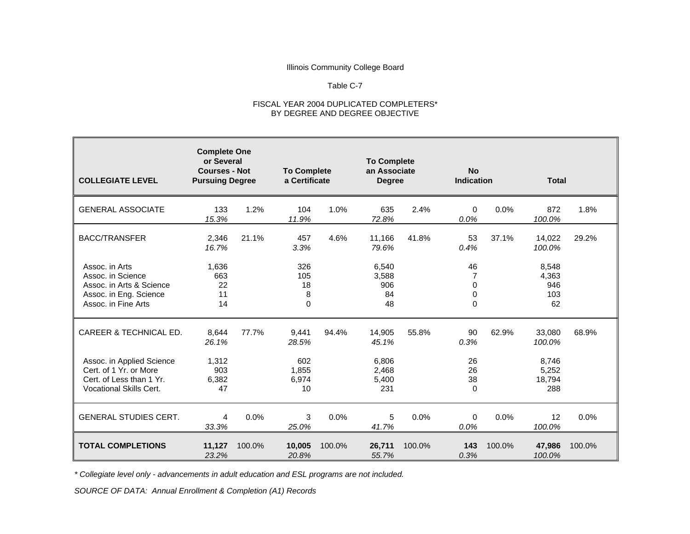#### Table C-7

#### FISCAL YEAR 2004 DUPLICATED COMPLETERS\* BY DEGREE AND DEGREE OBJECTIVE

| <b>COLLEGIATE LEVEL</b>                                                                                          | <b>Complete One</b><br>or Several<br><b>Courses - Not</b><br><b>Pursuing Degree</b> |        |                                   | <b>To Complete</b><br>a Certificate |                                   | <b>To Complete</b><br>an Associate<br><b>Degree</b> |                               | <b>Indication</b> | <b>Total</b>                       |        |
|------------------------------------------------------------------------------------------------------------------|-------------------------------------------------------------------------------------|--------|-----------------------------------|-------------------------------------|-----------------------------------|-----------------------------------------------------|-------------------------------|-------------------|------------------------------------|--------|
| <b>GENERAL ASSOCIATE</b>                                                                                         | 133<br>15.3%                                                                        | 1.2%   | 104<br>11.9%                      | 1.0%                                | 635<br>72.8%                      | 2.4%                                                | 0<br>0.0%                     | 0.0%              | 872<br>100.0%                      | 1.8%   |
| <b>BACC/TRANSFER</b>                                                                                             | 2,346<br>16.7%                                                                      | 21.1%  | 457<br>3.3%                       | 4.6%                                | 11,166<br>79.6%                   | 41.8%                                               | 53<br>0.4%                    | 37.1%             | 14,022<br>100.0%                   | 29.2%  |
| Assoc. in Arts<br>Assoc. in Science<br>Assoc. in Arts & Science<br>Assoc. in Eng. Science<br>Assoc. in Fine Arts | 1,636<br>663<br>22<br>11<br>14                                                      |        | 326<br>105<br>18<br>8<br>$\Omega$ |                                     | 6,540<br>3,588<br>906<br>84<br>48 |                                                     | 46<br>7<br>0<br>0<br>$\Omega$ |                   | 8,548<br>4,363<br>946<br>103<br>62 |        |
| CAREER & TECHNICAL ED.                                                                                           | 8,644<br>26.1%                                                                      | 77.7%  | 9,441<br>28.5%                    | 94.4%                               | 14,905<br>45.1%                   | 55.8%                                               | 90<br>0.3%                    | 62.9%             | 33,080<br>100.0%                   | 68.9%  |
| Assoc. in Applied Science<br>Cert. of 1 Yr. or More<br>Cert. of Less than 1 Yr.<br>Vocational Skills Cert.       | 1,312<br>903<br>6,382<br>47                                                         |        | 602<br>1,855<br>6,974<br>10       |                                     | 6,806<br>2,468<br>5,400<br>231    |                                                     | 26<br>26<br>38<br>0           |                   | 8,746<br>5,252<br>18,794<br>288    |        |
| <b>GENERAL STUDIES CERT.</b>                                                                                     | 4<br>33.3%                                                                          | 0.0%   | 3<br>25.0%                        | 0.0%                                | 5<br>41.7%                        | 0.0%                                                | $\Omega$<br>0.0%              | 0.0%              | 12<br>100.0%                       | 0.0%   |
| <b>TOTAL COMPLETIONS</b>                                                                                         | 11,127<br>23.2%                                                                     | 100.0% | 10,005<br>20.8%                   | 100.0%                              | 26,711<br>55.7%                   | 100.0%                                              | 143<br>0.3%                   | 100.0%            | 47,986<br>100.0%                   | 100.0% |

*\* Collegiate level only - advancements in adult education and ESL programs are not included.*